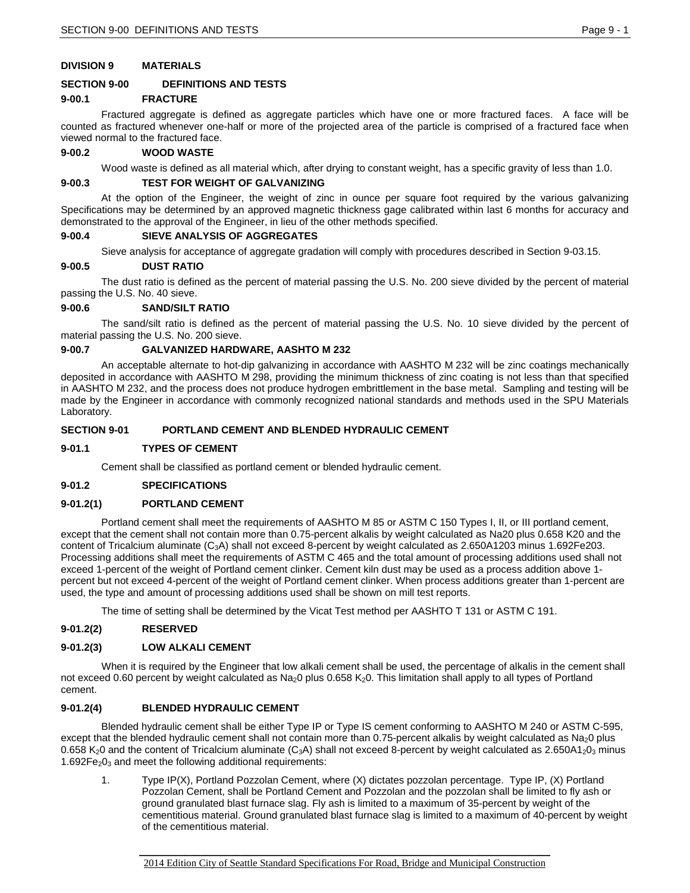### **DIVISION 9 MATERIALS**

### **SECTION 9-00 DEFINITIONS AND TESTS**

### **9-00.1 FRACTURE**

Fractured aggregate is defined as aggregate particles which have one or more fractured faces. A face will be counted as fractured whenever one-half or more of the projected area of the particle is comprised of a fractured face when viewed normal to the fractured face.

#### **9-00.2 WOOD WASTE**

Wood waste is defined as all material which, after drying to constant weight, has a specific gravity of less than 1.0.

#### **9-00.3 TEST FOR WEIGHT OF GALVANIZING**

At the option of the Engineer, the weight of zinc in ounce per square foot required by the various galvanizing Specifications may be determined by an approved magnetic thickness gage calibrated within last 6 months for accuracy and demonstrated to the approval of the Engineer, in lieu of the other methods specified.

### **9-00.4 SIEVE ANALYSIS OF AGGREGATES**

Sieve analysis for acceptance of aggregate gradation will comply with procedures described in Section 9-03.15.

### **9-00.5 DUST RATIO**

The dust ratio is defined as the percent of material passing the U.S. No. 200 sieve divided by the percent of material passing the U.S. No. 40 sieve.

### **9-00.6 SAND/SILT RATIO**

The sand/silt ratio is defined as the percent of material passing the U.S. No. 10 sieve divided by the percent of material passing the U.S. No. 200 sieve.

### **9-00.7 GALVANIZED HARDWARE, AASHTO M 232**

An acceptable alternate to hot-dip galvanizing in accordance with AASHTO M 232 will be zinc coatings mechanically deposited in accordance with AASHTO M 298, providing the minimum thickness of zinc coating is not less than that specified in AASHTO M 232, and the process does not produce hydrogen embrittlement in the base metal. Sampling and testing will be made by the Engineer in accordance with commonly recognized national standards and methods used in the SPU Materials Laboratory.

## **SECTION 9-01 PORTLAND CEMENT AND BLENDED HYDRAULIC CEMENT**

#### **9-01.1 TYPES OF CEMENT**

Cement shall be classified as portland cement or blended hydraulic cement.

#### **9-01.2 SPECIFICATIONS**

### **9-01.2(1) PORTLAND CEMENT**

Portland cement shall meet the requirements of AASHTO M 85 or ASTM C 150 Types I, II, or III portland cement, except that the cement shall not contain more than 0.75-percent alkalis by weight calculated as Na20 plus 0.658 K20 and the content of Tricalcium aluminate (C3A) shall not exceed 8-percent by weight calculated as 2.650A1203 minus 1.692Fe203. Processing additions shall meet the requirements of ASTM C 465 and the total amount of processing additions used shall not exceed 1-percent of the weight of Portland cement clinker. Cement kiln dust may be used as a process addition above 1 percent but not exceed 4-percent of the weight of Portland cement clinker. When process additions greater than 1-percent are used, the type and amount of processing additions used shall be shown on mill test reports.

The time of setting shall be determined by the Vicat Test method per AASHTO T 131 or ASTM C 191.

#### **9-01.2(2) RESERVED**

## **9-01.2(3) LOW ALKALI CEMENT**

When it is required by the Engineer that low alkali cement shall be used, the percentage of alkalis in the cement shall not exceed 0.60 percent by weight calculated as Na<sub>2</sub>0 plus 0.658 K<sub>2</sub>0. This limitation shall apply to all types of Portland cement.

### **9-01.2(4) BLENDED HYDRAULIC CEMENT**

Blended hydraulic cement shall be either Type IP or Type IS cement conforming to AASHTO M 240 or ASTM C-595, except that the blended hydraulic cement shall not contain more than 0.75-percent alkalis by weight calculated as  $Na<sub>2</sub>0$  plus 0.658 K<sub>2</sub>0 and the content of Tricalcium aluminate (C<sub>3</sub>A) shall not exceed 8-percent by weight calculated as 2.650A1<sub>2</sub>0<sub>3</sub> minus 1.692 $Fe<sub>2</sub>O<sub>3</sub>$  and meet the following additional requirements:

1. Type IP(X), Portland Pozzolan Cement, where (X) dictates pozzolan percentage. Type IP, (X) Portland Pozzolan Cement, shall be Portland Cement and Pozzolan and the pozzolan shall be limited to fly ash or ground granulated blast furnace slag. Fly ash is limited to a maximum of 35-percent by weight of the cementitious material. Ground granulated blast furnace slag is limited to a maximum of 40-percent by weight of the cementitious material.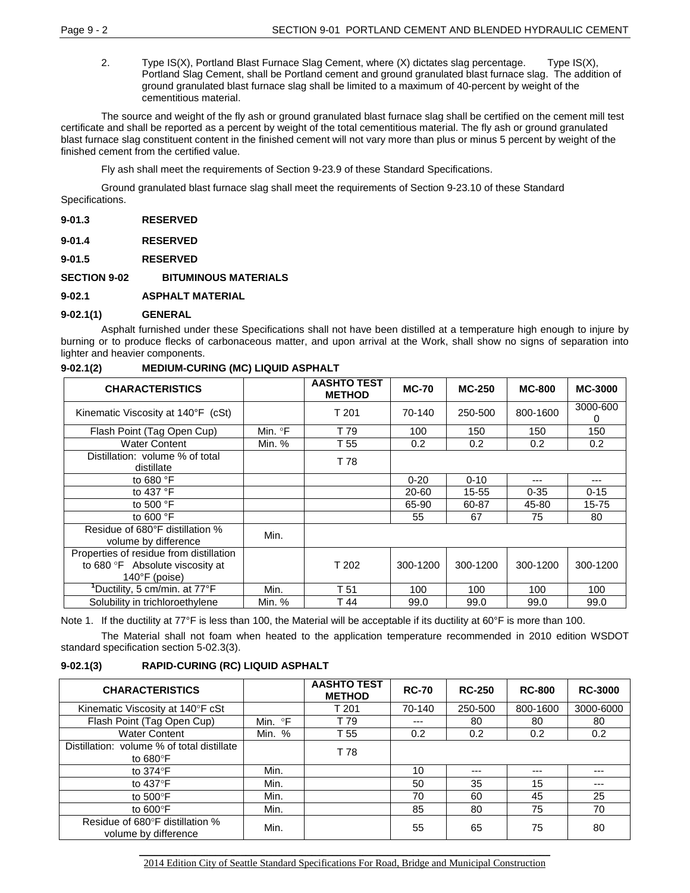2. Type IS(X), Portland Blast Furnace Slag Cement, where (X) dictates slag percentage. Type IS(X), Portland Slag Cement, shall be Portland cement and ground granulated blast furnace slag. The addition of ground granulated blast furnace slag shall be limited to a maximum of 40-percent by weight of the cementitious material.

The source and weight of the fly ash or ground granulated blast furnace slag shall be certified on the cement mill test certificate and shall be reported as a percent by weight of the total cementitious material. The fly ash or ground granulated blast furnace slag constituent content in the finished cement will not vary more than plus or minus 5 percent by weight of the finished cement from the certified value.

Fly ash shall meet the requirements of Section 9-23.9 of these Standard Specifications.

Ground granulated blast furnace slag shall meet the requirements of Section 9-23.10 of these Standard Specifications.

| <b>RESERVED</b><br>$9 - 01.3$ |
|-------------------------------|
|-------------------------------|

- **9-01.4 RESERVED**
- **9-01.5 RESERVED**

**SECTION 9-02 BITUMINOUS MATERIALS**

**9-02.1 ASPHALT MATERIAL**

## **9-02.1(1) GENERAL**

Asphalt furnished under these Specifications shall not have been distilled at a temperature high enough to injure by burning or to produce flecks of carbonaceous matter, and upon arrival at the Work, shall show no signs of separation into lighter and heavier components.

## **9-02.1(2) MEDIUM-CURING (MC) LIQUID ASPHALT**

| <b>CHARACTERISTICS</b>                                  |         | <b>AASHTO TEST</b><br><b>METHOD</b> | <b>MC-70</b> | <b>MC-250</b> | <b>MC-800</b> | <b>MC-3000</b> |
|---------------------------------------------------------|---------|-------------------------------------|--------------|---------------|---------------|----------------|
| Kinematic Viscosity at 140°F (cSt)                      |         | T 201                               | 70-140       | 250-500       | 800-1600      | 3000-600<br>0  |
| Flash Point (Tag Open Cup)                              | Min. °F | T 79                                | 100          | 150           | 150           | 150            |
| <b>Water Content</b>                                    | Min. %  | T 55                                | 0.2          | 0.2           | 0.2           | 0.2            |
| Distillation: volume % of total<br>distillate           |         | T 78                                |              |               |               |                |
| to 680 $\degree$ F                                      |         |                                     | $0 - 20$     | $0 - 10$      | ---           |                |
| to 437 $\degree$ F                                      |         |                                     | 20-60        | 15-55         | $0 - 35$      | $0 - 15$       |
| to 500 $\degree$ F                                      |         |                                     | 65-90        | 60-87         | 45-80         | 15-75          |
| to 600 $\degree$ F                                      |         |                                     | 55           | 67            | 75            | 80             |
| Residue of 680°F distillation %<br>volume by difference | Min.    |                                     |              |               |               |                |
| Properties of residue from distillation                 |         |                                     |              |               |               |                |
| to 680 °F Absolute viscosity at                         |         | T 202                               | 300-1200     | 300-1200      | 300-1200      | 300-1200       |
| $140^{\circ}$ F (poise)                                 |         |                                     |              |               |               |                |
| 'Ductility, 5 cm/min. at 77°F                           | Min.    | T 51                                | 100          | 100           | 100           | 100            |
| Solubility in trichloroethylene                         | Min. %  | T 44                                | 99.0         | 99.0          | 99.0          | 99.0           |

Note 1. If the ductility at 77°F is less than 100, the Material will be acceptable if its ductility at 60°F is more than 100.

The Material shall not foam when heated to the application temperature recommended in 2010 edition WSDOT standard specification section 5-02.3(3).

### **9-02.1(3) RAPID-CURING (RC) LIQUID ASPHALT**

| <b>CHARACTERISTICS</b>                                         |         | <b>AASHTO TEST</b><br><b>METHOD</b> | <b>RC-70</b> | <b>RC-250</b> | <b>RC-800</b> | <b>RC-3000</b> |
|----------------------------------------------------------------|---------|-------------------------------------|--------------|---------------|---------------|----------------|
| Kinematic Viscosity at 140°F cSt                               |         | T 201                               | 70-140       | 250-500       | 800-1600      | 3000-6000      |
| Flash Point (Tag Open Cup)                                     | Min. °F | T 79                                | $---$        | 80            | 80            | 80             |
| <b>Water Content</b>                                           | Min. %  | T 55                                | 0.2          | 0.2           | 0.2           | 0.2            |
| Distillation: volume % of total distillate<br>to $680^\circ$ F |         | T 78                                |              |               |               |                |
| to $374^\circ$ F                                               | Min.    |                                     | 10           | $---$         | $---$         | ---            |
| to $437^{\circ}$ F                                             | Min.    |                                     | 50           | 35            | 15            | $---$          |
| to $500^{\circ}$ F                                             | Min.    |                                     | 70           | 60            | 45            | 25             |
| to $600^{\circ}$ F                                             | Min.    |                                     | 85           | 80            | 75            | 70             |
| Residue of 680°F distillation %<br>volume by difference        | Min.    |                                     | 55           | 65            | 75            | 80             |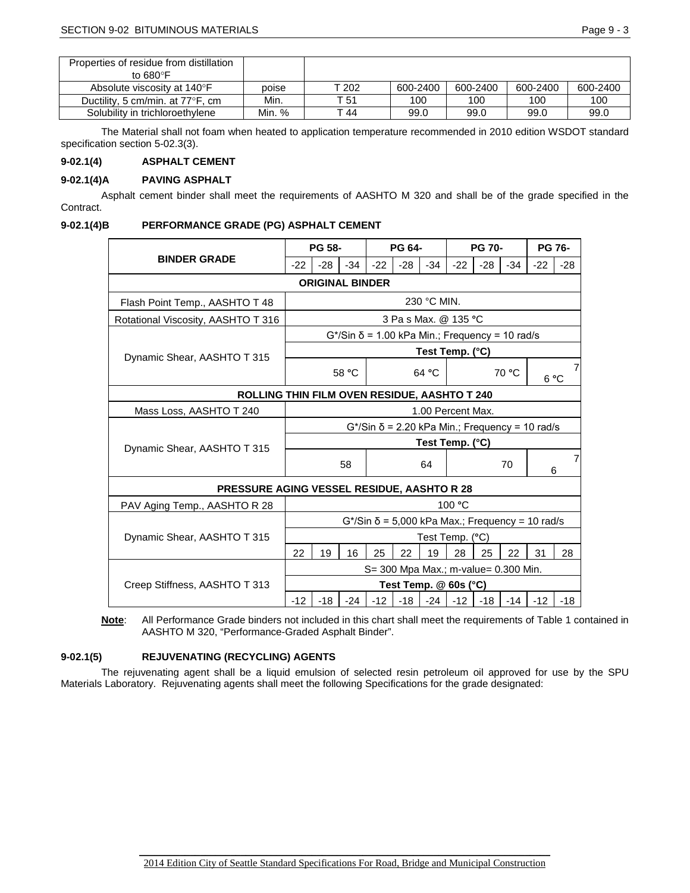| Properties of residue from distillation |        |       |          |          |          |          |
|-----------------------------------------|--------|-------|----------|----------|----------|----------|
| to $680^\circ$ F                        |        |       |          |          |          |          |
| Absolute viscosity at 140°F             | poise  | T 202 | 600-2400 | 600-2400 | 600-2400 | 600-2400 |
| Ductility, 5 cm/min. at 77°F, cm        | Min.   | T 51  | 100      | 100      | 100      | 100      |
| Solubility in trichloroethylene         | Min. % | T 44  | 99.0     | 99.0     | 99.0     | 99.0     |

The Material shall not foam when heated to application temperature recommended in 2010 edition WSDOT standard specification section 5-02.3(3).

## **9-02.1(4) ASPHALT CEMENT**

## **9-02.1(4)A PAVING ASPHALT**

Asphalt cement binder shall meet the requirements of AASHTO M 320 and shall be of the grade specified in the Contract.

### **9-02.1(4)B PERFORMANCE GRADE (PG) ASPHALT CEMENT**

|                                              | PG 58-                                                                |                 |       | PG 64- |                                                               |                   | <b>PG 70-</b> |        |       | <b>PG 76-</b> |       |  |
|----------------------------------------------|-----------------------------------------------------------------------|-----------------|-------|--------|---------------------------------------------------------------|-------------------|---------------|--------|-------|---------------|-------|--|
| <b>BINDER GRADE</b>                          | $-22$                                                                 | $-28$           | $-34$ | $-22$  | $-28$                                                         | $-34$             | $-22$         | $-28$  | $-34$ | $-22$         | $-28$ |  |
|                                              | <b>ORIGINAL BINDER</b>                                                |                 |       |        |                                                               |                   |               |        |       |               |       |  |
| Flash Point Temp., AASHTO T 48               | 230 °C MIN.                                                           |                 |       |        |                                                               |                   |               |        |       |               |       |  |
| Rotational Viscosity, AASHTO T 316           | 3 Pa s Max. @ 135 °C                                                  |                 |       |        |                                                               |                   |               |        |       |               |       |  |
|                                              | $G^{\star}/\text{Sin} \ \delta$ = 1.00 kPa Min.; Frequency = 10 rad/s |                 |       |        |                                                               |                   |               |        |       |               |       |  |
| Dynamic Shear, AASHTO T 315                  |                                                                       | Test Temp. (°C) |       |        |                                                               |                   |               |        |       |               |       |  |
|                                              | 58 °C                                                                 |                 |       |        |                                                               | 64 °C             | 70 °C         |        |       | 6°C           | 7     |  |
| ROLLING THIN FILM OVEN RESIDUE, AASHTO T 240 |                                                                       |                 |       |        |                                                               |                   |               |        |       |               |       |  |
| Mass Loss, AASHTO T 240                      | 1.00 Percent Max.                                                     |                 |       |        |                                                               |                   |               |        |       |               |       |  |
|                                              | $G^*$ /Sin $\delta$ = 2.20 kPa Min.; Frequency = 10 rad/s             |                 |       |        |                                                               |                   |               |        |       |               |       |  |
| Dynamic Shear, AASHTO T 315                  | Test Temp. (°C)                                                       |                 |       |        |                                                               |                   |               |        |       |               |       |  |
|                                              | 58                                                                    |                 | 64    |        |                                                               | 70                |               | 7<br>6 |       |               |       |  |
| PRESSURE AGING VESSEL RESIDUE, AASHTO R 28   |                                                                       |                 |       |        |                                                               |                   |               |        |       |               |       |  |
| PAV Aging Temp., AASHTO R 28                 |                                                                       |                 |       |        |                                                               |                   | 100 °C        |        |       |               |       |  |
|                                              |                                                                       |                 |       |        | $G^{\star}/Sin \delta = 5,000 kPa Max$ ; Frequency = 10 rad/s |                   |               |        |       |               |       |  |
| Dynamic Shear, AASHTO T 315                  |                                                                       |                 |       |        |                                                               | Test Temp. (°C)   |               |        |       |               |       |  |
|                                              |                                                                       | 19              | 16    | 25     | 22                                                            | 19                | 28            | 25     | 22    | 31            | 28    |  |
|                                              | S= 300 Mpa Max.; m-value= 0.300 Min.                                  |                 |       |        |                                                               |                   |               |        |       |               |       |  |
| Creep Stiffness, AASHTO T 313                |                                                                       |                 |       |        | Test Temp. @ 60s (°C)                                         |                   |               |        |       |               |       |  |
|                                              |                                                                       | $-18$           | $-24$ | $-12$  |                                                               | $-18$ $-24$ $-12$ |               | $-18$  | $-14$ | $-12$         | $-18$ |  |

**Note**: All Performance Grade binders not included in this chart shall meet the requirements of Table 1 contained in AASHTO M 320, "Performance-Graded Asphalt Binder".

## **9-02.1(5) REJUVENATING (RECYCLING) AGENTS**

The rejuvenating agent shall be a liquid emulsion of selected resin petroleum oil approved for use by the SPU Materials Laboratory. Rejuvenating agents shall meet the following Specifications for the grade designated: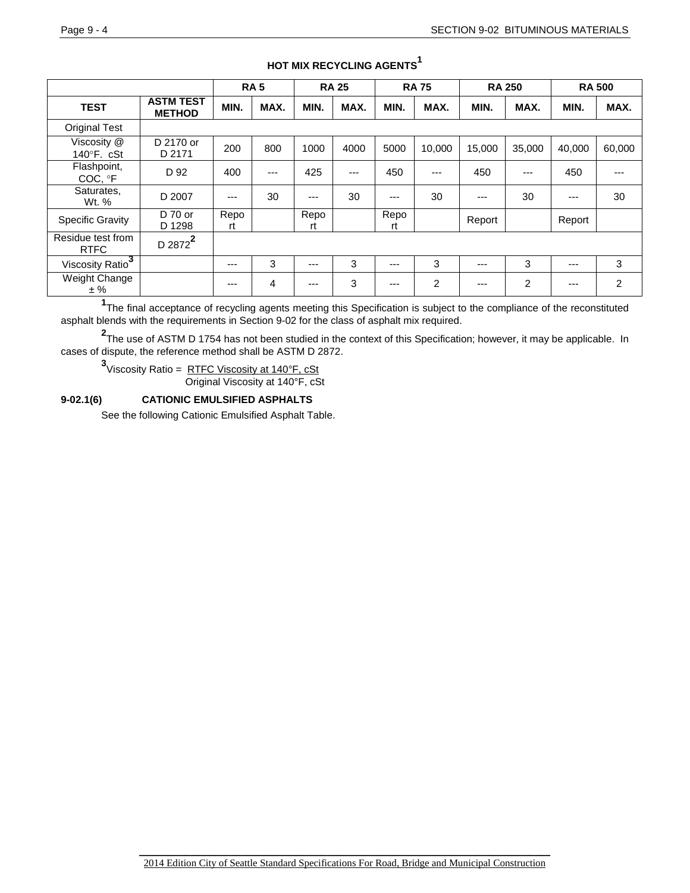|                                   |                                   | <b>RA5</b><br><b>RA 25</b> |      |            | <b>RA75</b> |            | <b>RA 250</b> |         | <b>RA 500</b> |        |        |
|-----------------------------------|-----------------------------------|----------------------------|------|------------|-------------|------------|---------------|---------|---------------|--------|--------|
| <b>TEST</b>                       | <b>ASTM TEST</b><br><b>METHOD</b> | MIN.                       | MAX. | MIN.       | MAX.        | MIN.       | MAX.          | MIN.    | MAX.          | MIN.   | MAX.   |
| <b>Original Test</b>              |                                   |                            |      |            |             |            |               |         |               |        |        |
| Viscosity @<br>$140^\circ$ F. cSt | D 2170 or<br>D 2171               | 200                        | 800  | 1000       | 4000        | 5000       | 10,000        | 15,000  | 35,000        | 40,000 | 60,000 |
| Flashpoint,<br>COC, °F            | D 92                              | 400                        | ---  | 425        | ---         | 450        | $---$         | 450     | $--$          | 450    |        |
| Saturates,<br>Wt. %               | D 2007                            | ---                        | 30   | $---$      | 30          | $---$      | 30            | ---     | 30            | ---    | 30     |
| <b>Specific Gravity</b>           | D 70 or<br>D 1298                 | Repo<br>rt                 |      | Repo<br>rt |             | Repo<br>rt |               | Report  |               | Report |        |
| Residue test from<br><b>RTFC</b>  | D 2872 <sup>2</sup>               |                            |      |            |             |            |               |         |               |        |        |
| Viscosity Ratio $\frac{3}{1}$     |                                   | ---                        | 3    | $---$      | 3           | $---$      | 3             | $- - -$ | 3             | ---    | 3      |
| Weight Change<br>± %              |                                   | ---                        | 4    | ---        | 3           | $---$      | 2             | $---$   | 2             | ---    | 2      |

# **HOT MIX RECYCLING AGENTS**<sup>1</sup>

**1** The final acceptance of recycling agents meeting this Specification is subject to the compliance of the reconstituted asphalt blends with the requirements in Section 9-02 for the class of asphalt mix required.

**2** The use of ASTM D 1754 has not been studied in the context of this Specification; however, it may be applicable. In cases of dispute, the reference method shall be ASTM D 2872.

**3**<br>Viscosity Ratio = <u>RTFC Viscosity at 140°F, cSt</u> Original Viscosity at 140°F, cSt

## **9-02.1(6) CATIONIC EMULSIFIED ASPHALTS**

See the following Cationic Emulsified Asphalt Table.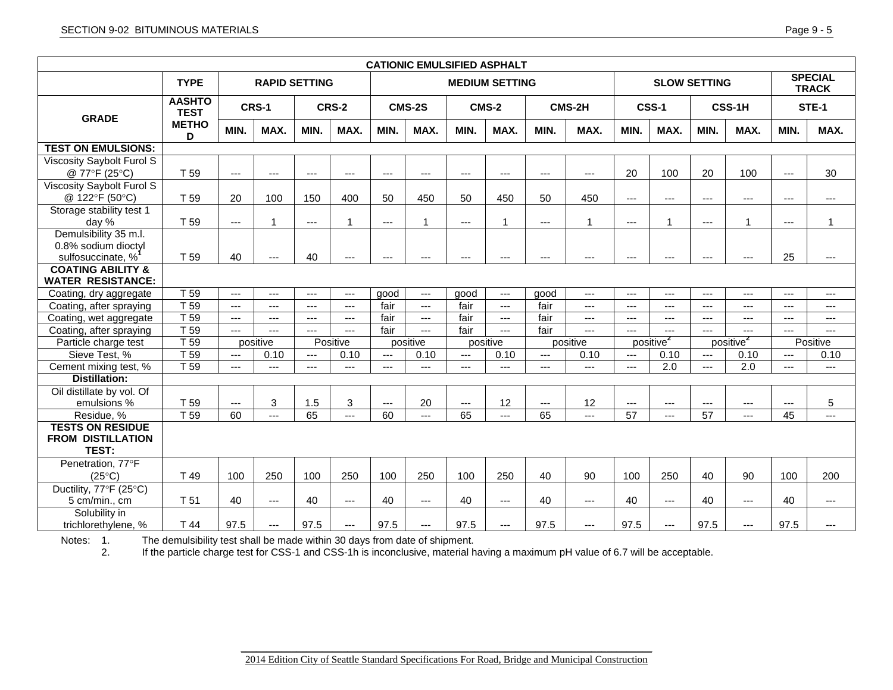| <b>CATIONIC EMULSIFIED ASPHALT</b> |                              |                                               |              |       |                |                |                                    |                     |                                    |                     |                |                                |                       |                     |                       |                   |                |
|------------------------------------|------------------------------|-----------------------------------------------|--------------|-------|----------------|----------------|------------------------------------|---------------------|------------------------------------|---------------------|----------------|--------------------------------|-----------------------|---------------------|-----------------------|-------------------|----------------|
|                                    | <b>TYPE</b>                  | <b>RAPID SETTING</b><br><b>MEDIUM SETTING</b> |              |       |                |                |                                    | <b>SLOW SETTING</b> |                                    |                     |                | <b>SPECIAL</b><br><b>TRACK</b> |                       |                     |                       |                   |                |
| <b>GRADE</b>                       | <b>AASHTO</b><br><b>TEST</b> |                                               | <b>CRS-1</b> |       | <b>CRS-2</b>   |                | CMS-2S                             |                     | <b>CMS-2</b>                       |                     | CMS-2H         |                                | <b>CSS-1</b>          |                     | <b>CSS-1H</b>         |                   | <b>STE-1</b>   |
|                                    | <b>METHO</b><br>D            | MIN.                                          | MAX.         | MIN.  | MAX.           | MIN.           | MAX.                               | MIN.                | MAX.                               | MIN.                | MAX.           | MIN.                           | MAX.                  | MIN.                | MAX.                  | MIN.              | MAX.           |
| <b>TEST ON EMULSIONS:</b>          |                              |                                               |              |       |                |                |                                    |                     |                                    |                     |                |                                |                       |                     |                       |                   |                |
| Viscosity Saybolt Furol S          |                              |                                               |              |       |                |                |                                    |                     |                                    |                     |                |                                |                       |                     |                       |                   |                |
| @ 77°F (25°C)                      | T 59                         | ---                                           | ---          | ---   | ---            | $---$          | $\cdots$                           | $\cdots$            | $---$                              | $\cdots$            | $\cdots$       | 20                             | 100                   | 20                  | 100                   | $---$             | 30             |
| <b>Viscosity Saybolt Furol S</b>   |                              |                                               |              |       |                |                |                                    |                     |                                    |                     |                |                                |                       |                     |                       |                   |                |
| @ 122°F (50°C)                     | T 59                         | 20                                            | 100          | 150   | 400            | 50             | 450                                | 50                  | 450                                | 50                  | 450            | $\scriptstyle\cdots$           | $\cdots$              | $\cdots$            | ---                   | ---               | $---$          |
| Storage stability test 1           |                              |                                               |              |       |                |                |                                    |                     |                                    |                     |                |                                |                       |                     |                       |                   |                |
| day %                              | T 59                         | ---                                           |              | $---$ | 1              | $\overline{a}$ | 1                                  | $---$               | 1                                  | $---$               | 1              | $---$                          | $\mathbf{1}$          | $\overline{a}$      | 1                     | $\qquad \qquad -$ | 1              |
| Demulsibility 35 m.l.              |                              |                                               |              |       |                |                |                                    |                     |                                    |                     |                |                                |                       |                     |                       |                   |                |
| 0.8% sodium dioctyl                |                              |                                               |              |       |                |                |                                    |                     |                                    |                     |                |                                |                       |                     |                       |                   |                |
| sulfosuccinate, %                  | T 59                         | 40                                            | ---          | 40    | ---            | $\cdots$       | $\cdots$                           | ---                 | $---$                              | $\qquad \qquad - -$ | $---$          | $\overline{\phantom{a}}$       | $\cdots$              | $\cdots$            | ---                   | 25                | $---$          |
| <b>COATING ABILITY &amp;</b>       |                              |                                               |              |       |                |                |                                    |                     |                                    |                     |                |                                |                       |                     |                       |                   |                |
| <b>WATER RESISTANCE:</b>           |                              |                                               |              |       |                |                |                                    |                     |                                    |                     |                |                                |                       |                     |                       |                   |                |
| Coating, dry aggregate             | T 59                         | $---$                                         | $---$        | $---$ | $---$          | good           | $\mathbb{L} \mathbb{L} \mathbb{L}$ | good                | $\mathbb{L} \mathbb{L} \mathbb{L}$ | good                | $\overline{a}$ | $\overline{a}$                 | $\overline{a}$        | $\overline{a}$      | $---$                 | $\overline{a}$    | $\overline{a}$ |
| Coating, after spraying            | T 59                         | $\overline{a}$                                | $---$        | $---$ | $\overline{a}$ | fair           | $\sim$                             | fair                | $\overline{a}$                     | fair                | $\overline{a}$ | $\overline{a}$                 | $\overline{a}$        | $\overline{a}$      | $\overline{a}$        | $\overline{a}$    | $\overline{a}$ |
| Coating, wet aggregate             | T <sub>59</sub>              | $\overline{a}$                                | ---          | ---   | $\overline{a}$ | fair           | $\overline{a}$                     | fair                | $\qquad \qquad - -$                | fair                | $\overline{a}$ | $\qquad \qquad -\qquad$        | $\overline{a}$        | $\overline{a}$      | $---$                 | $\overline{a}$    | $\overline{a}$ |
| Coating, after spraying            | T <sub>59</sub>              | $---$                                         | ---          | $---$ | $\overline{a}$ | fair           | $\cdots$                           | fair                | $\cdots$                           | fair                | $\overline{a}$ | $\overline{a}$                 | $---$                 | $\qquad \qquad - -$ | $---$                 | $\qquad \qquad -$ | $---$          |
| Particle charge test               | T <sub>59</sub>              |                                               | positive     |       | Positive       |                | positive                           |                     | positive                           |                     | positive       |                                | positive <sup>2</sup> |                     | positive <sup>2</sup> |                   | Positive       |
| Sieve Test, %                      | T <sub>59</sub>              | $---$                                         | 0.10         | $---$ | 0.10           | $\overline{a}$ | 0.10                               | $---$               | 0.10                               | $---$               | 0.10           | $\overline{a}$                 | 0.10                  | $\cdots$            | 0.10                  | $\overline{a}$    | 0.10           |
| Cement mixing test, %              | T <sub>59</sub>              | $---$                                         | ---          | ---   | ---            | $---$          | $---$                              | ---                 | $---$                              | $\cdots$            | ---            | $\overline{a}$                 | $\overline{2.0}$      | $\overline{a}$      | $\overline{2.0}$      | ---               | ---            |
| <b>Distillation:</b>               |                              |                                               |              |       |                |                |                                    |                     |                                    |                     |                |                                |                       |                     |                       |                   |                |
| Oil distillate by vol. Of          |                              |                                               |              |       |                |                |                                    |                     |                                    |                     |                |                                |                       |                     |                       |                   |                |
| emulsions %                        | T 59                         | ---                                           | 3            | 1.5   | $\mathbf{3}$   | $\overline{a}$ | 20                                 | $---$               | 12                                 | $---$               | 12             | ---                            | $\overline{a}$        | $\overline{a}$      | $---$                 | $---$             | 5              |
| Residue, %                         | T <sub>59</sub>              | 60                                            | $---$        | 65    | ---            | 60             | $\overline{a}$                     | 65                  | $\overline{a}$                     | 65                  | $---$          | $\overline{57}$                | $---$                 | $\overline{57}$     | $---$                 | 45                | $\overline{a}$ |
| <b>TESTS ON RESIDUE</b>            |                              |                                               |              |       |                |                |                                    |                     |                                    |                     |                |                                |                       |                     |                       |                   |                |
| <b>FROM DISTILLATION</b>           |                              |                                               |              |       |                |                |                                    |                     |                                    |                     |                |                                |                       |                     |                       |                   |                |
| <b>TEST:</b>                       |                              |                                               |              |       |                |                |                                    |                     |                                    |                     |                |                                |                       |                     |                       |                   |                |
| Penetration, 77°F                  |                              |                                               |              |       |                |                |                                    |                     |                                    |                     |                |                                |                       |                     |                       |                   |                |
| $(25^{\circ}C)$                    | T 49                         | 100                                           | 250          | 100   | 250            | 100            | 250                                | 100                 | 250                                | 40                  | 90             | 100                            | 250                   | 40                  | 90                    | 100               | 200            |
| Ductility, 77°F (25°C)             |                              |                                               |              |       |                |                |                                    |                     |                                    |                     |                |                                |                       |                     |                       |                   |                |
| 5 cm/min., cm                      | T 51                         | 40                                            | ---          | 40    | $---$          | 40             | $\overline{a}$                     | 40                  | $\overline{a}$                     | 40                  | $\overline{a}$ | 40                             | $\overline{a}$        | 40                  | $---$                 | 40                | $\overline{a}$ |
| Solubility in                      |                              |                                               |              |       |                |                |                                    |                     |                                    |                     |                |                                |                       |                     |                       |                   |                |
| trichlorethylene, %                | T 44                         | 97.5                                          | ---          | 97.5  | $---$          | 97.5           | $---$                              | 97.5                | $---$                              | 97.5                | $---$          | 97.5                           | $---$                 | 97.5                | ---                   | 97.5              | ---            |

Notes: 1. The demulsibility test shall be made within 30 days from date of shipment.

2. If the particle charge test for CSS-1 and CSS-1h is inconclusive, material having a maximum pH value of 6.7 will be acceptable.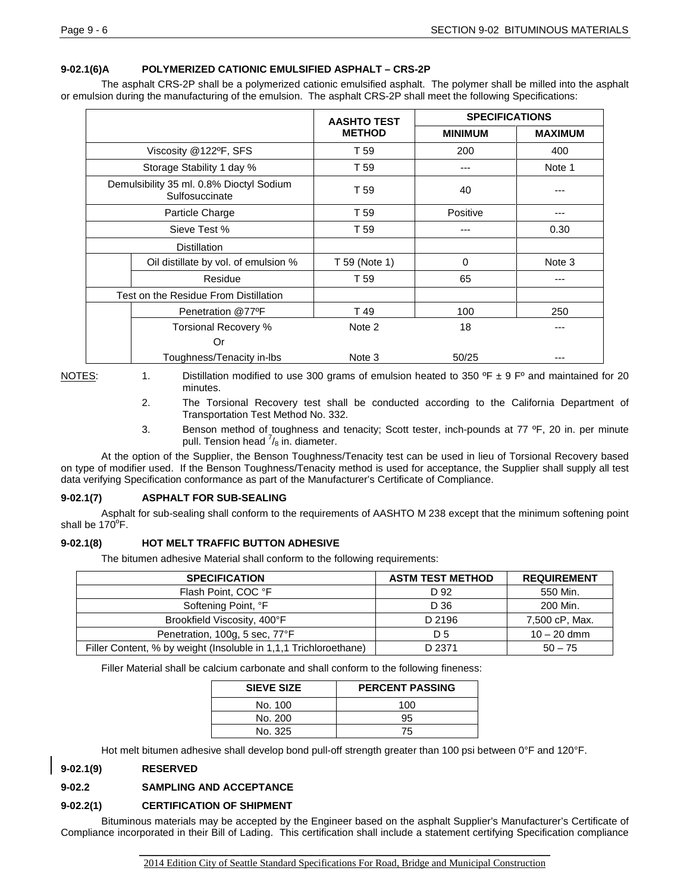## **9-02.1(6)A POLYMERIZED CATIONIC EMULSIFIED ASPHALT – CRS-2P**

The asphalt CRS-2P shall be a polymerized cationic emulsified asphalt. The polymer shall be milled into the asphalt or emulsion during the manufacturing of the emulsion. The asphalt CRS-2P shall meet the following Specifications:

|                                                            | <b>AASHTO TEST</b> | <b>SPECIFICATIONS</b> |                |
|------------------------------------------------------------|--------------------|-----------------------|----------------|
|                                                            | <b>METHOD</b>      | <b>MINIMUM</b>        | <b>MAXIMUM</b> |
| Viscosity @122ºF, SFS                                      | T 59               | 200                   | 400            |
| Storage Stability 1 day %                                  | T 59               |                       | Note 1         |
| Demulsibility 35 ml. 0.8% Dioctyl Sodium<br>Sulfosuccinate | T 59               | 40                    |                |
| Particle Charge                                            | T 59               | Positive              | ---            |
| Sieve Test %                                               | T 59               |                       | 0.30           |
| <b>Distillation</b>                                        |                    |                       |                |
| Oil distillate by vol. of emulsion %                       | T 59 (Note 1)      | 0                     | Note 3         |
| Residue                                                    | T 59               | 65                    |                |
| Test on the Residue From Distillation                      |                    |                       |                |
| Penetration @77ºF                                          | T 49               | 100                   | 250            |
| Torsional Recovery %                                       | Note 2             | 18                    |                |
| Or                                                         |                    |                       |                |
| Toughness/Tenacity in-Ibs                                  | Note 3             | 50/25                 |                |

NOTES: 1. Distillation modified to use 300 grams of emulsion heated to 350  $^{\circ}$ F ± 9 F $^{\circ}$  and maintained for 20 minutes.

- 2. The Torsional Recovery test shall be conducted according to the California Department of Transportation Test Method No. 332.
- 3. Benson method of toughness and tenacity; Scott tester, inch-pounds at 77 ºF, 20 in. per minute pull. Tension head  $\frac{7}{8}$  in. diameter.

At the option of the Supplier, the Benson Toughness/Tenacity test can be used in lieu of Torsional Recovery based on type of modifier used. If the Benson Toughness/Tenacity method is used for acceptance, the Supplier shall supply all test data verifying Specification conformance as part of the Manufacturer's Certificate of Compliance.

### **9-02.1(7) ASPHALT FOR SUB-SEALING**

Asphalt for sub-sealing shall conform to the requirements of AASHTO M 238 except that the minimum softening point shall be  $170^{\circ}$ F.

### **9-02.1(8) HOT MELT TRAFFIC BUTTON ADHESIVE**

The bitumen adhesive Material shall conform to the following requirements:

| <b>SPECIFICATION</b>                                             | <b>ASTM TEST METHOD</b> | <b>REQUIREMENT</b> |
|------------------------------------------------------------------|-------------------------|--------------------|
| Flash Point, COC °F                                              | D 92                    | 550 Min.           |
| Softening Point, °F                                              | D 36                    | 200 Min.           |
| Brookfield Viscosity, 400°F                                      | D 2196                  | 7,500 cP, Max.     |
| Penetration, 100g, 5 sec, 77°F                                   | D 5                     | $10 - 20$ dmm      |
| Filler Content, % by weight (Insoluble in 1,1,1 Trichloroethane) | D 2371                  | $50 - 75$          |

Filler Material shall be calcium carbonate and shall conform to the following fineness:

| <b>SIEVE SIZE</b> | <b>PERCENT PASSING</b> |
|-------------------|------------------------|
| No. 100           | 100                    |
| No. 200           | 95                     |
| No. 325           | 75                     |

Hot melt bitumen adhesive shall develop bond pull-off strength greater than 100 psi between 0°F and 120°F.

## **9-02.1(9) RESERVED**

## **9-02.2 SAMPLING AND ACCEPTANCE**

### **9-02.2(1) CERTIFICATION OF SHIPMENT**

Bituminous materials may be accepted by the Engineer based on the asphalt Supplier's Manufacturer's Certificate of Compliance incorporated in their Bill of Lading. This certification shall include a statement certifying Specification compliance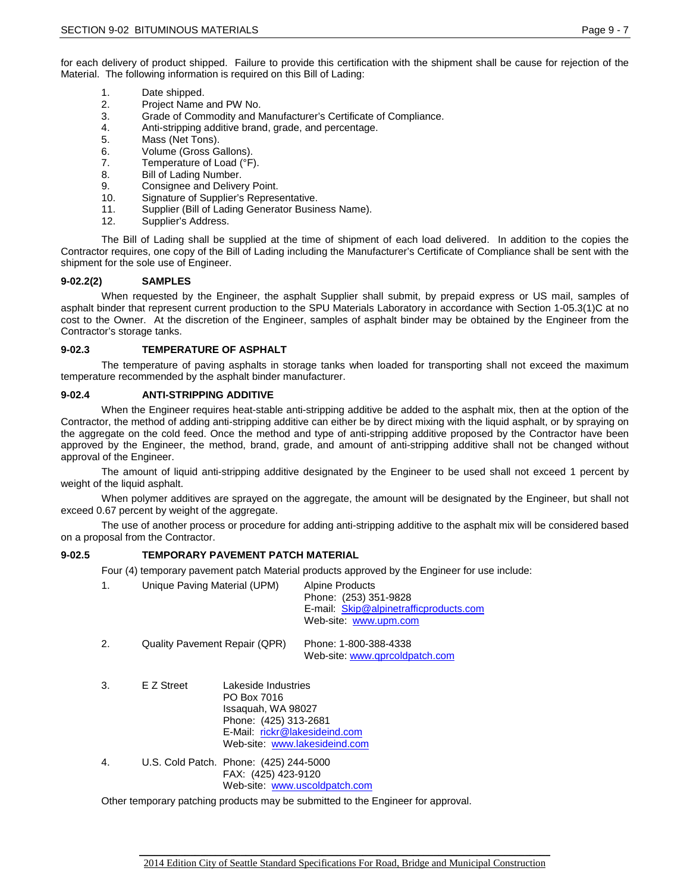for each delivery of product shipped. Failure to provide this certification with the shipment shall be cause for rejection of the Material. The following information is required on this Bill of Lading:

- 1. Date shipped.
- 2. Project Name and PW No.
- 3. Grade of Commodity and Manufacturer's Certificate of Compliance.
- 4. Anti-stripping additive brand, grade, and percentage.<br>5. Mass (Net Tons).
- Mass (Net Tons).
- 6. Volume (Gross Gallons).
- 7. Temperature of Load (°F).
- 8. Bill of Lading Number.
- 9. Consignee and Delivery Point.<br>10. Signature of Supplier's Repres
- 10. Signature of Supplier's Representative.<br>11 Supplier (Bill of Lading Generator Busin
- Supplier (Bill of Lading Generator Business Name).
- 12. Supplier's Address.

The Bill of Lading shall be supplied at the time of shipment of each load delivered. In addition to the copies the Contractor requires, one copy of the Bill of Lading including the Manufacturer's Certificate of Compliance shall be sent with the shipment for the sole use of Engineer.

### **9-02.2(2) SAMPLES**

When requested by the Engineer, the asphalt Supplier shall submit, by prepaid express or US mail, samples of asphalt binder that represent current production to the SPU Materials Laboratory in accordance with Section 1-05.3(1)C at no cost to the Owner. At the discretion of the Engineer, samples of asphalt binder may be obtained by the Engineer from the Contractor's storage tanks.

### **9-02.3 TEMPERATURE OF ASPHALT**

The temperature of paving asphalts in storage tanks when loaded for transporting shall not exceed the maximum temperature recommended by the asphalt binder manufacturer.

### **9-02.4 ANTI-STRIPPING ADDITIVE**

When the Engineer requires heat-stable anti-stripping additive be added to the asphalt mix, then at the option of the Contractor, the method of adding anti-stripping additive can either be by direct mixing with the liquid asphalt, or by spraying on the aggregate on the cold feed. Once the method and type of anti-stripping additive proposed by the Contractor have been approved by the Engineer, the method, brand, grade, and amount of anti-stripping additive shall not be changed without approval of the Engineer.

The amount of liquid anti-stripping additive designated by the Engineer to be used shall not exceed 1 percent by weight of the liquid asphalt.

When polymer additives are sprayed on the aggregate, the amount will be designated by the Engineer, but shall not exceed 0.67 percent by weight of the aggregate.

The use of another process or procedure for adding anti-stripping additive to the asphalt mix will be considered based on a proposal from the Contractor.

### **9-02.5 TEMPORARY PAVEMENT PATCH MATERIAL**

Four (4) temporary pavement patch Material products approved by the Engineer for use include:

| $\mathbf{1}$ . | Unique Paving Material (UPM)                                                     |                                                                                                                                                     | <b>Alpine Products</b><br>Phone: (253) 351-9828<br>E-mail: Skip@alpinetrafficproducts.com<br>Web-site: www.upm.com |  |  |  |  |  |
|----------------|----------------------------------------------------------------------------------|-----------------------------------------------------------------------------------------------------------------------------------------------------|--------------------------------------------------------------------------------------------------------------------|--|--|--|--|--|
| 2.             | <b>Quality Pavement Repair (QPR)</b>                                             |                                                                                                                                                     | Phone: 1-800-388-4338<br>Web-site: www.gprcoldpatch.com                                                            |  |  |  |  |  |
| 3.             | E Z Street                                                                       | Lakeside Industries<br>PO Box 7016<br>Issaguah, WA 98027<br>Phone: (425) 313-2681<br>E-Mail: rickr@lakesideind.com<br>Web-site: www.lakesideind.com |                                                                                                                    |  |  |  |  |  |
| 4.             |                                                                                  | U.S. Cold Patch. Phone: (425) 244-5000<br>FAX: (425) 423-9120<br>Web-site: www.uscoldpatch.com                                                      |                                                                                                                    |  |  |  |  |  |
|                | Other temporary patching products may be submitted to the Engineer for approval. |                                                                                                                                                     |                                                                                                                    |  |  |  |  |  |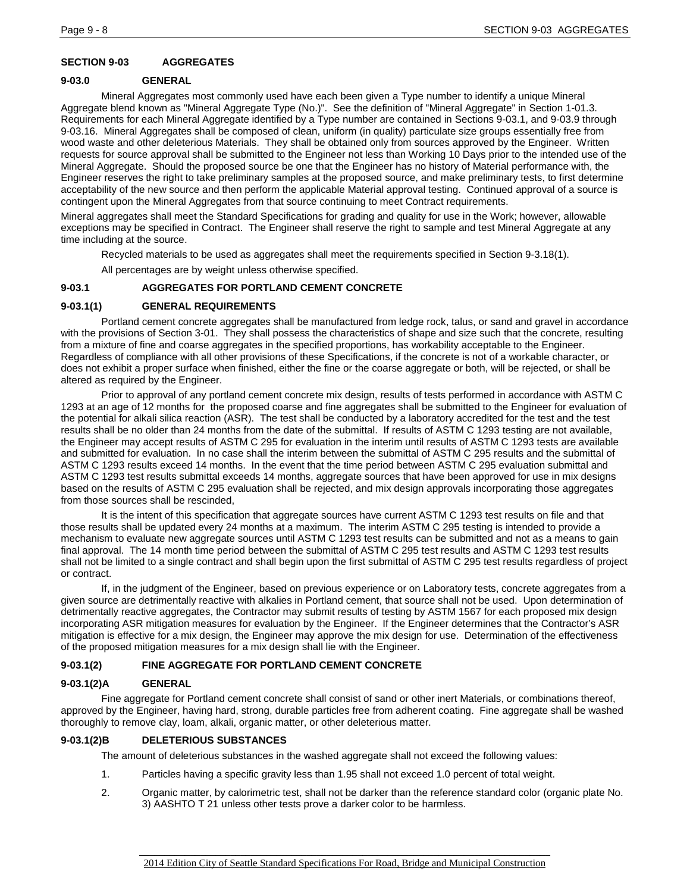## **SECTION 9-03 AGGREGATES**

### **9-03.0 GENERAL**

Mineral Aggregates most commonly used have each been given a Type number to identify a unique Mineral Aggregate blend known as "Mineral Aggregate Type (No.)". See the definition of "Mineral Aggregate" in Section 1-01.3. Requirements for each Mineral Aggregate identified by a Type number are contained in Sections 9-03.1, and 9-03.9 through 9-03.16. Mineral Aggregates shall be composed of clean, uniform (in quality) particulate size groups essentially free from wood waste and other deleterious Materials. They shall be obtained only from sources approved by the Engineer. Written requests for source approval shall be submitted to the Engineer not less than Working 10 Days prior to the intended use of the Mineral Aggregate. Should the proposed source be one that the Engineer has no history of Material performance with, the Engineer reserves the right to take preliminary samples at the proposed source, and make preliminary tests, to first determine acceptability of the new source and then perform the applicable Material approval testing. Continued approval of a source is contingent upon the Mineral Aggregates from that source continuing to meet Contract requirements.

Mineral aggregates shall meet the Standard Specifications for grading and quality for use in the Work; however, allowable exceptions may be specified in Contract. The Engineer shall reserve the right to sample and test Mineral Aggregate at any time including at the source.

Recycled materials to be used as aggregates shall meet the requirements specified in Section 9-3.18(1).

All percentages are by weight unless otherwise specified.

## **9-03.1 AGGREGATES FOR PORTLAND CEMENT CONCRETE**

## **9-03.1(1) GENERAL REQUIREMENTS**

Portland cement concrete aggregates shall be manufactured from ledge rock, talus, or sand and gravel in accordance with the provisions of Section 3-01. They shall possess the characteristics of shape and size such that the concrete, resulting from a mixture of fine and coarse aggregates in the specified proportions, has workability acceptable to the Engineer. Regardless of compliance with all other provisions of these Specifications, if the concrete is not of a workable character, or does not exhibit a proper surface when finished, either the fine or the coarse aggregate or both, will be rejected, or shall be altered as required by the Engineer.

Prior to approval of any portland cement concrete mix design, results of tests performed in accordance with ASTM C 1293 at an age of 12 months for the proposed coarse and fine aggregates shall be submitted to the Engineer for evaluation of the potential for alkali silica reaction (ASR). The test shall be conducted by a laboratory accredited for the test and the test results shall be no older than 24 months from the date of the submittal. If results of ASTM C 1293 testing are not available, the Engineer may accept results of ASTM C 295 for evaluation in the interim until results of ASTM C 1293 tests are available and submitted for evaluation. In no case shall the interim between the submittal of ASTM C 295 results and the submittal of ASTM C 1293 results exceed 14 months. In the event that the time period between ASTM C 295 evaluation submittal and ASTM C 1293 test results submittal exceeds 14 months, aggregate sources that have been approved for use in mix designs based on the results of ASTM C 295 evaluation shall be rejected, and mix design approvals incorporating those aggregates from those sources shall be rescinded,

It is the intent of this specification that aggregate sources have current ASTM C 1293 test results on file and that those results shall be updated every 24 months at a maximum. The interim ASTM C 295 testing is intended to provide a mechanism to evaluate new aggregate sources until ASTM C 1293 test results can be submitted and not as a means to gain final approval. The 14 month time period between the submittal of ASTM C 295 test results and ASTM C 1293 test results shall not be limited to a single contract and shall begin upon the first submittal of ASTM C 295 test results regardless of project or contract.

If, in the judgment of the Engineer, based on previous experience or on Laboratory tests, concrete aggregates from a given source are detrimentally reactive with alkalies in Portland cement, that source shall not be used. Upon determination of detrimentally reactive aggregates, the Contractor may submit results of testing by ASTM 1567 for each proposed mix design incorporating ASR mitigation measures for evaluation by the Engineer. If the Engineer determines that the Contractor's ASR mitigation is effective for a mix design, the Engineer may approve the mix design for use. Determination of the effectiveness of the proposed mitigation measures for a mix design shall lie with the Engineer.

## **9-03.1(2) FINE AGGREGATE FOR PORTLAND CEMENT CONCRETE**

### **9-03.1(2)A GENERAL**

Fine aggregate for Portland cement concrete shall consist of sand or other inert Materials, or combinations thereof, approved by the Engineer, having hard, strong, durable particles free from adherent coating. Fine aggregate shall be washed thoroughly to remove clay, loam, alkali, organic matter, or other deleterious matter.

## **9-03.1(2)B DELETERIOUS SUBSTANCES**

The amount of deleterious substances in the washed aggregate shall not exceed the following values:

- 1. Particles having a specific gravity less than 1.95 shall not exceed 1.0 percent of total weight.
- 2. Organic matter, by calorimetric test, shall not be darker than the reference standard color (organic plate No. 3) AASHTO T 21 unless other tests prove a darker color to be harmless.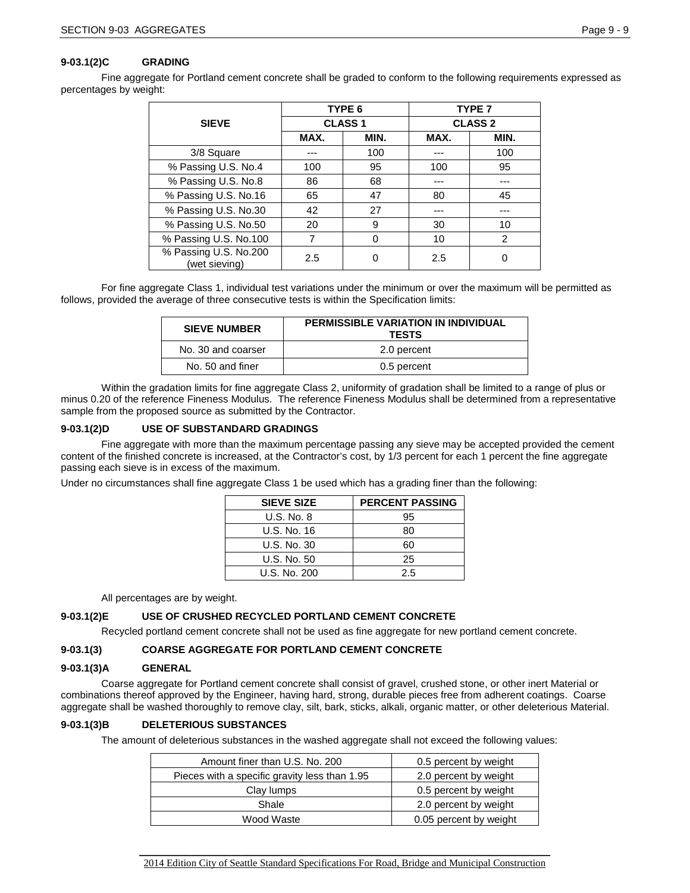### **9-03.1(2)C GRADING**

Fine aggregate for Portland cement concrete shall be graded to conform to the following requirements expressed as percentages by weight:

|                                        |      | TYPE 6        | <b>TYPE 7</b>  |               |  |  |
|----------------------------------------|------|---------------|----------------|---------------|--|--|
| <b>SIEVE</b>                           |      | <b>CLASS1</b> | <b>CLASS 2</b> |               |  |  |
|                                        | MAX. | MIN.          | MAX.           | MIN.          |  |  |
| 3/8 Square                             |      | 100           |                | 100           |  |  |
| % Passing U.S. No.4                    | 100  | 95            | 100            | 95            |  |  |
| % Passing U.S. No.8                    | 86   | 68            |                |               |  |  |
| % Passing U.S. No.16                   | 65   | 47            | 80             | 45            |  |  |
| % Passing U.S. No.30                   | 42   | 27            |                |               |  |  |
| % Passing U.S. No.50                   | 20   | 9             | 30             | 10            |  |  |
| % Passing U.S. No.100                  | 7    | $\Omega$      | 10             | $\mathcal{P}$ |  |  |
| % Passing U.S. No.200<br>(wet sieving) | 2.5  |               | 2.5            | 0             |  |  |

For fine aggregate Class 1, individual test variations under the minimum or over the maximum will be permitted as follows, provided the average of three consecutive tests is within the Specification limits:

| <b>SIEVE NUMBER</b> | <b>PERMISSIBLE VARIATION IN INDIVIDUAL</b><br><b>TESTS</b> |
|---------------------|------------------------------------------------------------|
| No. 30 and coarser  | 2.0 percent                                                |
| No. 50 and finer    | 0.5 percent                                                |

Within the gradation limits for fine aggregate Class 2, uniformity of gradation shall be limited to a range of plus or minus 0.20 of the reference Fineness Modulus. The reference Fineness Modulus shall be determined from a representative sample from the proposed source as submitted by the Contractor.

### **9-03.1(2)D USE OF SUBSTANDARD GRADINGS**

Fine aggregate with more than the maximum percentage passing any sieve may be accepted provided the cement content of the finished concrete is increased, at the Contractor's cost, by 1/3 percent for each 1 percent the fine aggregate passing each sieve is in excess of the maximum.

Under no circumstances shall fine aggregate Class 1 be used which has a grading finer than the following:

| <b>SIEVE SIZE</b> | <b>PERCENT PASSING</b> |
|-------------------|------------------------|
| U.S. No. 8        | 95                     |
| U.S. No. 16       | 80                     |
| U.S. No. 30       | 60                     |
| U.S. No. 50       | 25                     |
| U.S. No. 200      | 25                     |

All percentages are by weight.

#### **9-03.1(2)E USE OF CRUSHED RECYCLED PORTLAND CEMENT CONCRETE**

Recycled portland cement concrete shall not be used as fine aggregate for new portland cement concrete.

#### **9-03.1(3) COARSE AGGREGATE FOR PORTLAND CEMENT CONCRETE**

### **9-03.1(3)A GENERAL**

Coarse aggregate for Portland cement concrete shall consist of gravel, crushed stone, or other inert Material or combinations thereof approved by the Engineer, having hard, strong, durable pieces free from adherent coatings. Coarse aggregate shall be washed thoroughly to remove clay, silt, bark, sticks, alkali, organic matter, or other deleterious Material.

#### **9-03.1(3)B DELETERIOUS SUBSTANCES**

The amount of deleterious substances in the washed aggregate shall not exceed the following values:

| Amount finer than U.S. No. 200                | 0.5 percent by weight  |
|-----------------------------------------------|------------------------|
| Pieces with a specific gravity less than 1.95 | 2.0 percent by weight  |
| Clay lumps                                    | 0.5 percent by weight  |
| Shale                                         | 2.0 percent by weight  |
| Wood Waste                                    | 0.05 percent by weight |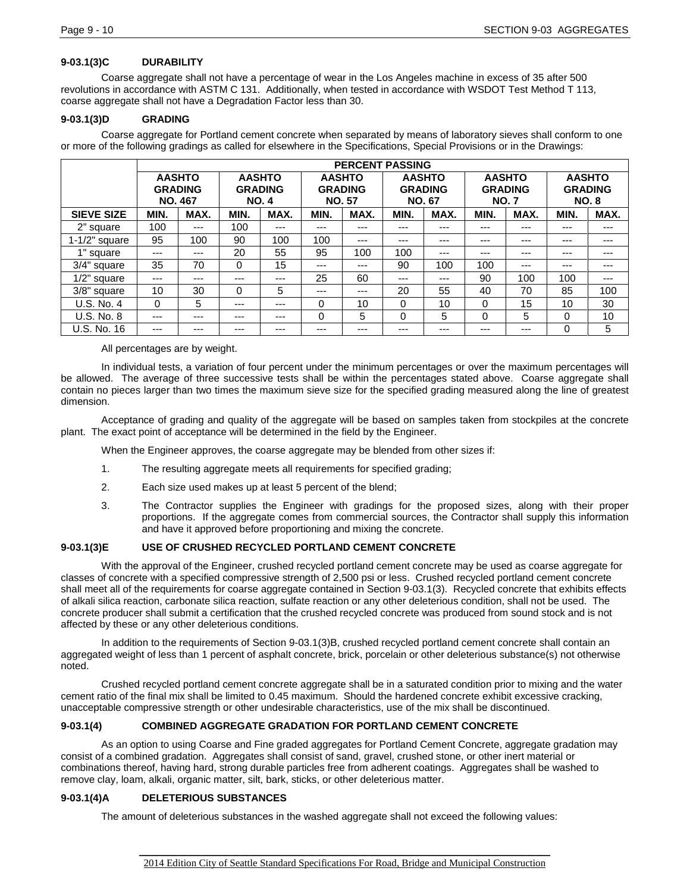## **9-03.1(3)C DURABILITY**

Coarse aggregate shall not have a percentage of wear in the Los Angeles machine in excess of 35 after 500 revolutions in accordance with ASTM C 131. Additionally, when tested in accordance with WSDOT Test Method T 113, coarse aggregate shall not have a Degradation Factor less than 30.

## **9-03.1(3)D GRADING**

Coarse aggregate for Portland cement concrete when separated by means of laboratory sieves shall conform to one or more of the following gradings as called for elsewhere in the Specifications, Special Provisions or in the Drawings:

|                   |          | <b>PERCENT PASSING</b>                            |                                                |       |                                                  |       |                                                  |      |                                                |       |                                                |      |
|-------------------|----------|---------------------------------------------------|------------------------------------------------|-------|--------------------------------------------------|-------|--------------------------------------------------|------|------------------------------------------------|-------|------------------------------------------------|------|
|                   |          | <b>AASHTO</b><br><b>GRADING</b><br><b>NO. 467</b> | <b>AASHTO</b><br><b>GRADING</b><br><b>NO.4</b> |       | <b>AASHTO</b><br><b>GRADING</b><br><b>NO. 57</b> |       | <b>AASHTO</b><br><b>GRADING</b><br><b>NO. 67</b> |      | <b>AASHTO</b><br><b>GRADING</b><br><b>NO.7</b> |       | <b>AASHTO</b><br><b>GRADING</b><br><b>NO.8</b> |      |
| <b>SIEVE SIZE</b> | MIN.     | MAX.                                              | MIN.                                           | MAX.  | MIN.                                             | MAX.  | MIN.                                             | MAX. | MIN.                                           | MAX.  | MIN.                                           | MAX. |
| 2" square         | 100      | $---$                                             | 100                                            | $---$ | ---                                              | ---   | $---$                                            | ---  | $---$                                          | ---   | ---                                            | ---  |
| $1-1/2"$ square   | 95       | 100                                               | 90                                             | 100   | 100                                              | ---   | $---$                                            | ---  | ---                                            | ---   | ---                                            | ---  |
| 1" square         | ---      | ---                                               | 20                                             | 55    | 95                                               | 100   | 100                                              | ---  | ---                                            | ---   | ---                                            | ---  |
| 3/4" square       | 35       | 70                                                | 0                                              | 15    | ---                                              | ---   | 90                                               | 100  | 100                                            | $---$ | ---                                            | ---  |
| $1/2$ " square    | $---$    | ---                                               | $---$                                          | $---$ | 25                                               | 60    | $---$                                            | ---  | 90                                             | 100   | 100                                            | ---  |
| 3/8" square       | 10       | 30                                                | 0                                              | 5     | ---                                              | $---$ | 20                                               | 55   | 40                                             | 70    | 85                                             | 100  |
| U.S. No. 4        | $\Omega$ | 5                                                 | $---$                                          | $---$ | 0                                                | 10    | 0                                                | 10   | $\Omega$                                       | 15    | 10                                             | 30   |
| U.S. No. 8        | ---      | ---                                               | $---$                                          | ---   | 0                                                | 5     | $\Omega$                                         | 5    | $\Omega$                                       | 5     | 0                                              | 10   |
| U.S. No. 16       | ---      | ---                                               | $---$                                          | ---   | ---                                              | ---   | $---$                                            | ---  | $---$                                          | ---   | $\Omega$                                       | 5    |

All percentages are by weight.

In individual tests, a variation of four percent under the minimum percentages or over the maximum percentages will be allowed. The average of three successive tests shall be within the percentages stated above. Coarse aggregate shall contain no pieces larger than two times the maximum sieve size for the specified grading measured along the line of greatest dimension.

Acceptance of grading and quality of the aggregate will be based on samples taken from stockpiles at the concrete plant. The exact point of acceptance will be determined in the field by the Engineer.

When the Engineer approves, the coarse aggregate may be blended from other sizes if:

- 1. The resulting aggregate meets all requirements for specified grading;
- 2. Each size used makes up at least 5 percent of the blend;
- 3. The Contractor supplies the Engineer with gradings for the proposed sizes, along with their proper proportions. If the aggregate comes from commercial sources, the Contractor shall supply this information and have it approved before proportioning and mixing the concrete.

## **9-03.1(3)E USE OF CRUSHED RECYCLED PORTLAND CEMENT CONCRETE**

With the approval of the Engineer, crushed recycled portland cement concrete may be used as coarse aggregate for classes of concrete with a specified compressive strength of 2,500 psi or less. Crushed recycled portland cement concrete shall meet all of the requirements for coarse aggregate contained in Section 9-03.1(3). Recycled concrete that exhibits effects of alkali silica reaction, carbonate silica reaction, sulfate reaction or any other deleterious condition, shall not be used. The concrete producer shall submit a certification that the crushed recycled concrete was produced from sound stock and is not affected by these or any other deleterious conditions.

In addition to the requirements of Section 9-03.1(3)B, crushed recycled portland cement concrete shall contain an aggregated weight of less than 1 percent of asphalt concrete, brick, porcelain or other deleterious substance(s) not otherwise noted.

Crushed recycled portland cement concrete aggregate shall be in a saturated condition prior to mixing and the water cement ratio of the final mix shall be limited to 0.45 maximum. Should the hardened concrete exhibit excessive cracking, unacceptable compressive strength or other undesirable characteristics, use of the mix shall be discontinued.

## **9-03.1(4) COMBINED AGGREGATE GRADATION FOR PORTLAND CEMENT CONCRETE**

As an option to using Coarse and Fine graded aggregates for Portland Cement Concrete, aggregate gradation may consist of a combined gradation. Aggregates shall consist of sand, gravel, crushed stone, or other inert material or combinations thereof, having hard, strong durable particles free from adherent coatings. Aggregates shall be washed to remove clay, loam, alkali, organic matter, silt, bark, sticks, or other deleterious matter.

### **9-03.1(4)A DELETERIOUS SUBSTANCES**

The amount of deleterious substances in the washed aggregate shall not exceed the following values: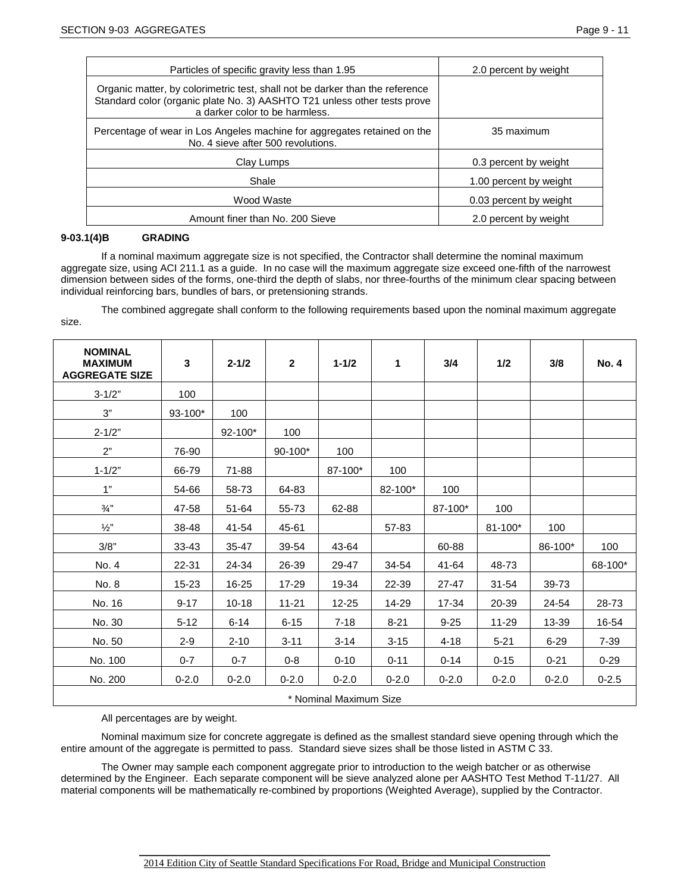| Particles of specific gravity less than 1.95                                                                                                                                               | 2.0 percent by weight  |  |  |  |
|--------------------------------------------------------------------------------------------------------------------------------------------------------------------------------------------|------------------------|--|--|--|
| Organic matter, by colorimetric test, shall not be darker than the reference<br>Standard color (organic plate No. 3) AASHTO T21 unless other tests prove<br>a darker color to be harmless. |                        |  |  |  |
| Percentage of wear in Los Angeles machine for aggregates retained on the<br>No. 4 sieve after 500 revolutions.                                                                             | 35 maximum             |  |  |  |
| Clav Lumps                                                                                                                                                                                 | 0.3 percent by weight  |  |  |  |
| Shale                                                                                                                                                                                      | 1.00 percent by weight |  |  |  |
| Wood Waste                                                                                                                                                                                 | 0.03 percent by weight |  |  |  |
| Amount finer than No. 200 Sieve                                                                                                                                                            | 2.0 percent by weight  |  |  |  |

#### **9-03.1(4)B GRADING**

If a nominal maximum aggregate size is not specified, the Contractor shall determine the nominal maximum aggregate size, using ACI 211.1 as a guide. In no case will the maximum aggregate size exceed one-fifth of the narrowest dimension between sides of the forms, one-third the depth of slabs, nor three-fourths of the minimum clear spacing between individual reinforcing bars, bundles of bars, or pretensioning strands.

The combined aggregate shall conform to the following requirements based upon the nominal maximum aggregate size.

| <b>NOMINAL</b><br><b>MAXIMUM</b><br><b>AGGREGATE SIZE</b> | 3           | $2 - 1/2$ | $\mathbf{2}$ | $1 - 1/2$ | 1         | 3/4       | 1/2         | 3/8       | <b>No. 4</b> |
|-----------------------------------------------------------|-------------|-----------|--------------|-----------|-----------|-----------|-------------|-----------|--------------|
| $3 - 1/2"$                                                | 100         |           |              |           |           |           |             |           |              |
| 3"                                                        | $93 - 100*$ | 100       |              |           |           |           |             |           |              |
| $2 - 1/2"$                                                |             | 92-100*   | 100          |           |           |           |             |           |              |
| 2"                                                        | 76-90       |           | $90-100*$    | 100       |           |           |             |           |              |
| $1 - 1/2"$                                                | 66-79       | 71-88     |              | 87-100*   | 100       |           |             |           |              |
| 1"                                                        | 54-66       | 58-73     | 64-83        |           | 82-100*   | 100       |             |           |              |
| $\frac{3}{4}$ "                                           | 47-58       | 51-64     | 55-73        | 62-88     |           | 87-100*   | 100         |           |              |
| $\frac{1}{2}$ "                                           | 38-48       | 41-54     | 45-61        |           | 57-83     |           | $81 - 100*$ | 100       |              |
| 3/8"                                                      | $33 - 43$   | $35 - 47$ | 39-54        | 43-64     |           | 60-88     |             | 86-100*   | 100          |
| No. 4                                                     | 22-31       | 24-34     | 26-39        | 29-47     | 34-54     | 41-64     | 48-73       |           | 68-100*      |
| No. 8                                                     | $15 - 23$   | 16-25     | $17 - 29$    | 19-34     | 22-39     | $27 - 47$ | $31 - 54$   | 39-73     |              |
| No. 16                                                    | $9 - 17$    | $10 - 18$ | $11 - 21$    | $12 - 25$ | 14-29     | 17-34     | 20-39       | 24-54     | 28-73        |
| No. 30                                                    | $5 - 12$    | $6 - 14$  | $6 - 15$     | $7 - 18$  | $8 - 21$  | $9 - 25$  | 11-29       | 13-39     | 16-54        |
| No. 50                                                    | $2 - 9$     | $2 - 10$  | $3 - 11$     | $3 - 14$  | $3 - 15$  | $4 - 18$  | $5 - 21$    | $6 - 29$  | $7-39$       |
| No. 100                                                   | $0 - 7$     | $0 - 7$   | $0 - 8$      | $0 - 10$  | $0 - 11$  | $0 - 14$  | $0 - 15$    | $0 - 21$  | $0 - 29$     |
| No. 200                                                   | $0 - 2.0$   | $0 - 2.0$ | $0 - 2.0$    | $0 - 2.0$ | $0 - 2.0$ | $0 - 2.0$ | $0 - 2.0$   | $0 - 2.0$ | $0 - 2.5$    |
| * Nominal Maximum Size                                    |             |           |              |           |           |           |             |           |              |

All percentages are by weight.

Nominal maximum size for concrete aggregate is defined as the smallest standard sieve opening through which the entire amount of the aggregate is permitted to pass. Standard sieve sizes shall be those listed in ASTM C 33.

The Owner may sample each component aggregate prior to introduction to the weigh batcher or as otherwise determined by the Engineer. Each separate component will be sieve analyzed alone per AASHTO Test Method T-11/27. All material components will be mathematically re-combined by proportions (Weighted Average), supplied by the Contractor.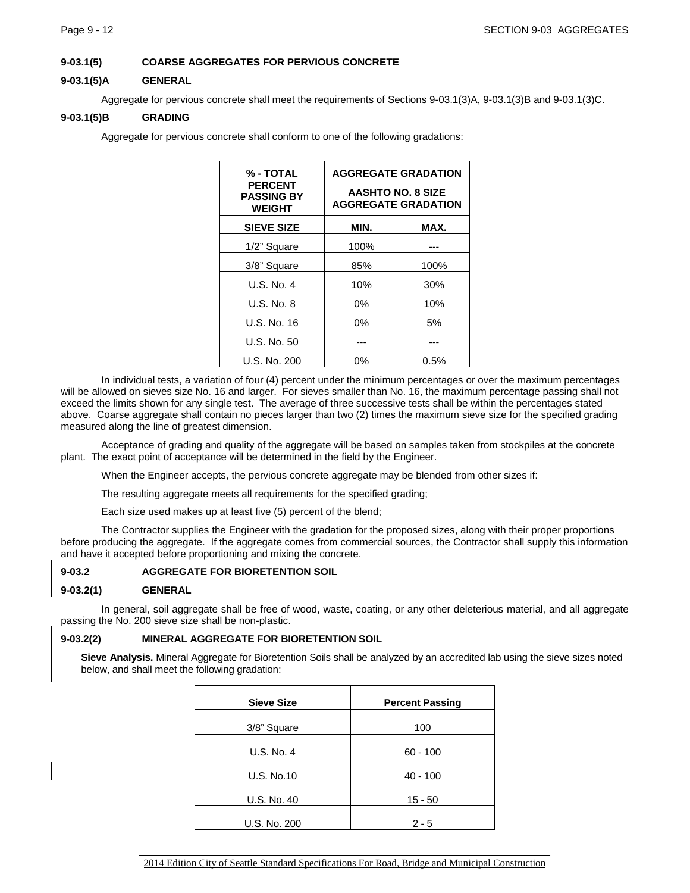## **9-03.1(5) COARSE AGGREGATES FOR PERVIOUS CONCRETE**

### **9-03.1(5)A GENERAL**

Aggregate for pervious concrete shall meet the requirements of Sections 9-03.1(3)A, 9-03.1(3)B and 9-03.1(3)C.

## **9-03.1(5)B GRADING**

Aggregate for pervious concrete shall conform to one of the following gradations:

| % - TOTAL                                            | <b>AGGREGATE GRADATION</b>                             |         |  |  |
|------------------------------------------------------|--------------------------------------------------------|---------|--|--|
| <b>PERCENT</b><br><b>PASSING BY</b><br><b>WEIGHT</b> | <b>AASHTO NO. 8 SIZE</b><br><b>AGGREGATE GRADATION</b> |         |  |  |
| <b>SIEVE SIZE</b>                                    | MIN.                                                   | MAX.    |  |  |
| 1/2" Square                                          | 100%                                                   |         |  |  |
| 3/8" Square                                          | 85%                                                    | 100%    |  |  |
| U.S. No. 4                                           | 10%                                                    | 30%     |  |  |
| $U.S.$ No. $8$                                       | $0\%$                                                  | 10%     |  |  |
| U.S. No. 16                                          | 0%                                                     | 5%      |  |  |
| U.S. No. 50                                          |                                                        |         |  |  |
| U.S. No. 200                                         | 0%                                                     | $0.5\%$ |  |  |

In individual tests, a variation of four (4) percent under the minimum percentages or over the maximum percentages will be allowed on sieves size No. 16 and larger. For sieves smaller than No. 16, the maximum percentage passing shall not exceed the limits shown for any single test. The average of three successive tests shall be within the percentages stated above. Coarse aggregate shall contain no pieces larger than two (2) times the maximum sieve size for the specified grading measured along the line of greatest dimension.

Acceptance of grading and quality of the aggregate will be based on samples taken from stockpiles at the concrete plant. The exact point of acceptance will be determined in the field by the Engineer.

When the Engineer accepts, the pervious concrete aggregate may be blended from other sizes if:

The resulting aggregate meets all requirements for the specified grading;

Each size used makes up at least five (5) percent of the blend;

The Contractor supplies the Engineer with the gradation for the proposed sizes, along with their proper proportions before producing the aggregate. If the aggregate comes from commercial sources, the Contractor shall supply this information and have it accepted before proportioning and mixing the concrete.

### **9-03.2 AGGREGATE FOR BIORETENTION SOIL**

### **9-03.2(1) GENERAL**

In general, soil aggregate shall be free of wood, waste, coating, or any other deleterious material, and all aggregate passing the No. 200 sieve size shall be non-plastic.

### **9-03.2(2) MINERAL AGGREGATE FOR BIORETENTION SOIL**

**Sieve Analysis.** Mineral Aggregate for Bioretention Soils shall be analyzed by an accredited lab using the sieve sizes noted below, and shall meet the following gradation:

| <b>Sieve Size</b> | <b>Percent Passing</b> |
|-------------------|------------------------|
| 3/8" Square       | 100                    |
| U.S. No. 4        | $60 - 100$             |
| <b>U.S. No.10</b> | $40 - 100$             |
| U.S. No. 40       | $15 - 50$              |
| U.S. No. 200      | $2 - 5$                |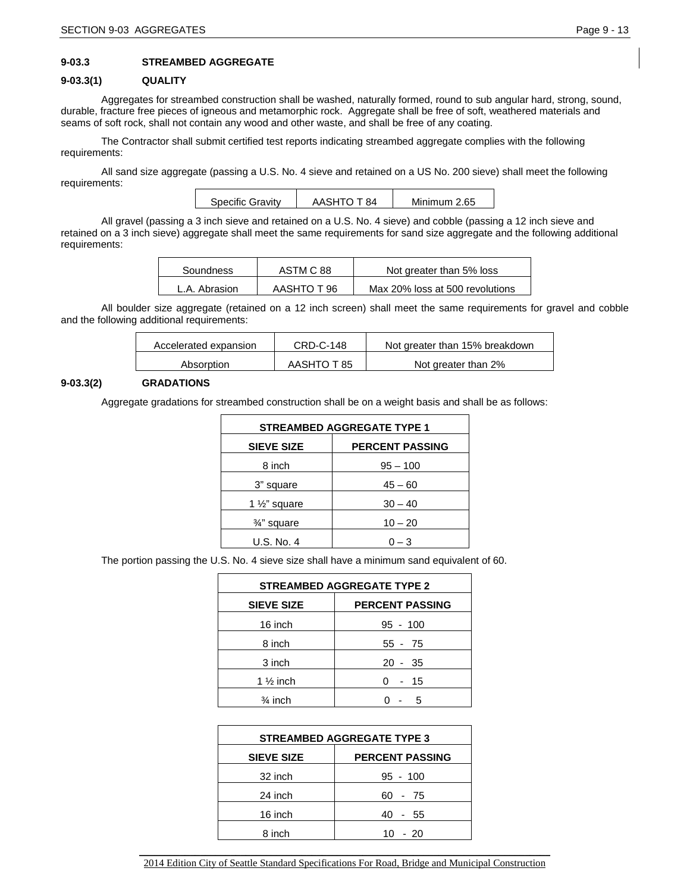## **9-03.3 STREAMBED AGGREGATE**

### **9-03.3(1) QUALITY**

Aggregates for streambed construction shall be washed, naturally formed, round to sub angular hard, strong, sound, durable, fracture free pieces of igneous and metamorphic rock. Aggregate shall be free of soft, weathered materials and seams of soft rock, shall not contain any wood and other waste, and shall be free of any coating.

The Contractor shall submit certified test reports indicating streambed aggregate complies with the following requirements:

All sand size aggregate (passing a U.S. No. 4 sieve and retained on a US No. 200 sieve) shall meet the following requirements:

| Specific Gravity | AASHTO T 84 | Minimum 2.65 |
|------------------|-------------|--------------|
|                  |             |              |

All gravel (passing a 3 inch sieve and retained on a U.S. No. 4 sieve) and cobble (passing a 12 inch sieve and retained on a 3 inch sieve) aggregate shall meet the same requirements for sand size aggregate and the following additional requirements:

| Soundness     | ASTM C 88   | Not greater than 5% loss        |
|---------------|-------------|---------------------------------|
| L.A. Abrasion | AASHTO T 96 | Max 20% loss at 500 revolutions |

All boulder size aggregate (retained on a 12 inch screen) shall meet the same requirements for gravel and cobble and the following additional requirements:

| Accelerated expansion | <b>CRD-C-148</b> | Not greater than 15% breakdown |
|-----------------------|------------------|--------------------------------|
| Absorption            | AASHTO T 85      | Not greater than 2%            |

### **9-03.3(2) GRADATIONS**

Aggregate gradations for streambed construction shall be on a weight basis and shall be as follows:

| <b>STREAMBED AGGREGATE TYPE 1</b>           |            |  |  |  |
|---------------------------------------------|------------|--|--|--|
| <b>PERCENT PASSING</b><br><b>SIEVE SIZE</b> |            |  |  |  |
| 8 inch                                      | $95 - 100$ |  |  |  |
| 3" square                                   | $45 - 60$  |  |  |  |
| 1 $\frac{1}{2}$ " square                    | $30 - 40$  |  |  |  |
| 3/4" square                                 | $10 - 20$  |  |  |  |
| U.S. No. 4                                  | $0 - 3$    |  |  |  |

The portion passing the U.S. No. 4 sieve size shall have a minimum sand equivalent of 60.

| <b>STREAMBED AGGREGATE TYPE 2</b>           |            |  |  |  |
|---------------------------------------------|------------|--|--|--|
| <b>SIEVE SIZE</b><br><b>PERCENT PASSING</b> |            |  |  |  |
| 16 inch                                     | $95 - 100$ |  |  |  |
| 8 inch                                      | $55 - 75$  |  |  |  |
| 3 inch                                      | $20 - 35$  |  |  |  |
| 1 $\frac{1}{2}$ inch                        | - 15       |  |  |  |
| $\frac{3}{4}$ inch                          | 5          |  |  |  |

| <b>STREAMBED AGGREGATE TYPE 3</b> |  |  |  |  |
|-----------------------------------|--|--|--|--|
| <b>PERCENT PASSING</b>            |  |  |  |  |
| $95 - 100$                        |  |  |  |  |
| 60 - 75                           |  |  |  |  |
| 40 - 55                           |  |  |  |  |
| $10 - 20$                         |  |  |  |  |
|                                   |  |  |  |  |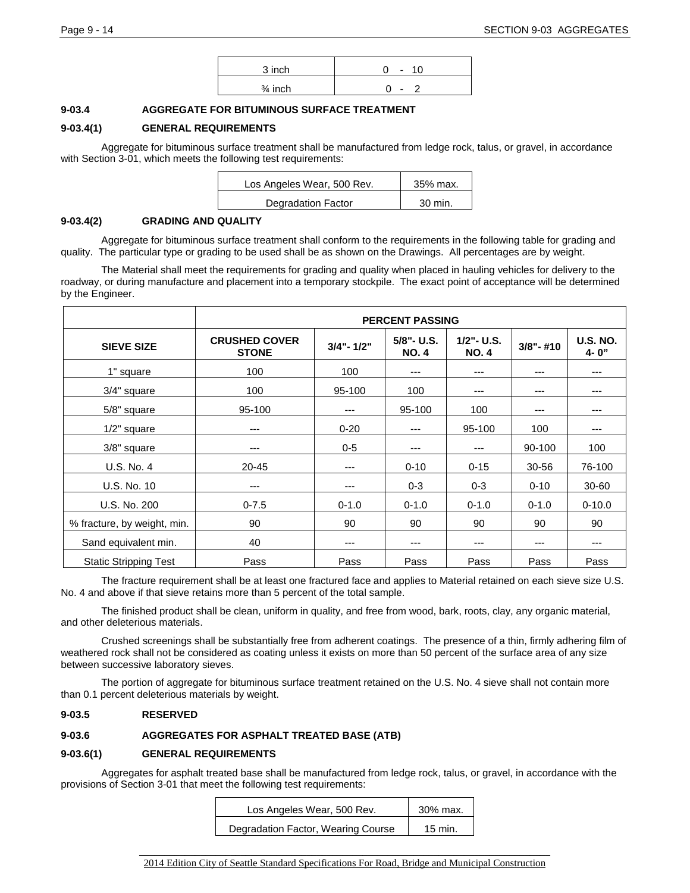| 3 inch             | 10<br>$\overline{\phantom{a}}$ |
|--------------------|--------------------------------|
| $\frac{3}{4}$ inch | $\overline{\phantom{a}}$       |

### **9-03.4 AGGREGATE FOR BITUMINOUS SURFACE TREATMENT**

## **9-03.4(1) GENERAL REQUIREMENTS**

Aggregate for bituminous surface treatment shall be manufactured from ledge rock, talus, or gravel, in accordance with Section 3-01, which meets the following test requirements:

| Los Angeles Wear, 500 Rev. | 35% max. |
|----------------------------|----------|
| Degradation Factor         | 30 min.  |

### **9-03.4(2) GRADING AND QUALITY**

Aggregate for bituminous surface treatment shall conform to the requirements in the following table for grading and quality. The particular type or grading to be used shall be as shown on the Drawings. All percentages are by weight.

The Material shall meet the requirements for grading and quality when placed in hauling vehicles for delivery to the roadway, or during manufacture and placement into a temporary stockpile. The exact point of acceptance will be determined by the Engineer.

|                              | <b>PERCENT PASSING</b>               |               |                           |                               |              |                         |  |
|------------------------------|--------------------------------------|---------------|---------------------------|-------------------------------|--------------|-------------------------|--|
| <b>SIEVE SIZE</b>            | <b>CRUSHED COVER</b><br><b>STONE</b> | $3/4" - 1/2"$ | 5/8"- U.S.<br><b>NO.4</b> | $1/2$ " - U.S.<br><b>NO.4</b> | $3/8" - #10$ | <b>U.S. NO.</b><br>4-0" |  |
| 1" square                    | 100                                  | 100           | ---                       | ---                           | ---          | $--$                    |  |
| 3/4" square                  | 100                                  | 95-100        | 100                       | ---                           | ---          | $---$                   |  |
| 5/8" square                  | 95-100                               | ---           | 95-100                    | 100                           | ---          | $---$                   |  |
| $1/2"$ square                | ---                                  | $0 - 20$      | ---                       | 95-100                        | 100          | ---                     |  |
| 3/8" square                  | $---$                                | $0 - 5$       | $---$                     | ---                           | 90-100       | 100                     |  |
| U.S. No. 4                   | $20 - 45$                            | ---           | $0 - 10$                  | $0 - 15$                      | $30 - 56$    | 76-100                  |  |
| U.S. No. 10                  | ---                                  | ---           | $0 - 3$                   | $0 - 3$                       | $0 - 10$     | 30-60                   |  |
| U.S. No. 200                 | $0 - 7.5$                            | $0 - 1.0$     | $0 - 1.0$                 | $0 - 1.0$                     | $0 - 1.0$    | $0 - 10.0$              |  |
| % fracture, by weight, min.  | 90                                   | 90            | 90                        | 90                            | 90           | 90                      |  |
| Sand equivalent min.         | 40                                   | ---           | ---                       | ---                           | ---          | $---$                   |  |
| <b>Static Stripping Test</b> | Pass                                 | Pass          | Pass                      | Pass                          | Pass         | Pass                    |  |

The fracture requirement shall be at least one fractured face and applies to Material retained on each sieve size U.S. No. 4 and above if that sieve retains more than 5 percent of the total sample.

The finished product shall be clean, uniform in quality, and free from wood, bark, roots, clay, any organic material, and other deleterious materials.

Crushed screenings shall be substantially free from adherent coatings. The presence of a thin, firmly adhering film of weathered rock shall not be considered as coating unless it exists on more than 50 percent of the surface area of any size between successive laboratory sieves.

The portion of aggregate for bituminous surface treatment retained on the U.S. No. 4 sieve shall not contain more than 0.1 percent deleterious materials by weight.

### **9-03.5 RESERVED**

## **9-03.6 AGGREGATES FOR ASPHALT TREATED BASE (ATB)**

## **9-03.6(1) GENERAL REQUIREMENTS**

Aggregates for asphalt treated base shall be manufactured from ledge rock, talus, or gravel, in accordance with the provisions of Section 3-01 that meet the following test requirements:

| Los Angeles Wear, 500 Rev.         | 30% max.  |
|------------------------------------|-----------|
| Degradation Factor, Wearing Course | $15$ min. |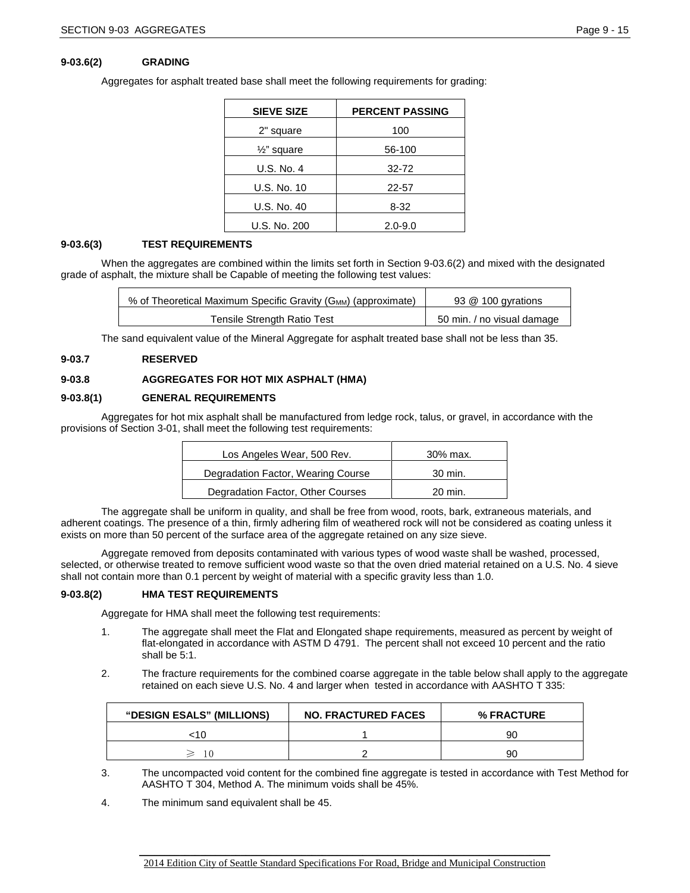### **9-03.6(2) GRADING**

Aggregates for asphalt treated base shall meet the following requirements for grading:

| <b>SIEVE SIZE</b>      | <b>PERCENT PASSING</b> |
|------------------------|------------------------|
| 2" square              | 100                    |
| $\frac{1}{2}$ " square | 56-100                 |
| U.S. No. 4             | $32 - 72$              |
| U.S. No. 10            | 22-57                  |
| U.S. No. 40            | $8 - 32$               |
| U.S. No. 200           | $2.0 - 9.0$            |

### **9-03.6(3) TEST REQUIREMENTS**

When the aggregates are combined within the limits set forth in Section 9-03.6(2) and mixed with the designated grade of asphalt, the mixture shall be Capable of meeting the following test values:

| % of Theoretical Maximum Specific Gravity (G <sub>MM</sub> ) (approximate) | 93 @ 100 gyrations         |
|----------------------------------------------------------------------------|----------------------------|
| Tensile Strength Ratio Test                                                | 50 min. / no visual damage |

The sand equivalent value of the Mineral Aggregate for asphalt treated base shall not be less than 35.

#### **9-03.7 RESERVED**

### **9-03.8 AGGREGATES FOR HOT MIX ASPHALT (HMA)**

### **9-03.8(1) GENERAL REQUIREMENTS**

Aggregates for hot mix asphalt shall be manufactured from ledge rock, talus, or gravel, in accordance with the provisions of Section 3-01, shall meet the following test requirements:

| Los Angeles Wear, 500 Rev.         | 30% max. |
|------------------------------------|----------|
| Degradation Factor, Wearing Course | 30 min.  |
| Degradation Factor, Other Courses  | 20 min.  |

The aggregate shall be uniform in quality, and shall be free from wood, roots, bark, extraneous materials, and adherent coatings. The presence of a thin, firmly adhering film of weathered rock will not be considered as coating unless it exists on more than 50 percent of the surface area of the aggregate retained on any size sieve.

Aggregate removed from deposits contaminated with various types of wood waste shall be washed, processed, selected, or otherwise treated to remove sufficient wood waste so that the oven dried material retained on a U.S. No. 4 sieve shall not contain more than 0.1 percent by weight of material with a specific gravity less than 1.0.

### **9-03.8(2) HMA TEST REQUIREMENTS**

Aggregate for HMA shall meet the following test requirements:

- 1. The aggregate shall meet the Flat and Elongated shape requirements, measured as percent by weight of flat-elongated in accordance with ASTM D 4791. The percent shall not exceed 10 percent and the ratio shall be 5:1.
- 2. The fracture requirements for the combined coarse aggregate in the table below shall apply to the aggregate retained on each sieve U.S. No. 4 and larger when tested in accordance with AASHTO T 335:

| <b>"DESIGN ESALS" (MILLIONS)</b> | <b>NO. FRACTURED FACES</b> | <b>% FRACTURE</b> |
|----------------------------------|----------------------------|-------------------|
|                                  |                            | ar                |
| $\geqslant$ 10                   |                            | ar                |

3. The uncompacted void content for the combined fine aggregate is tested in accordance with Test Method for AASHTO T 304, Method A. The minimum voids shall be 45%.

4. The minimum sand equivalent shall be 45.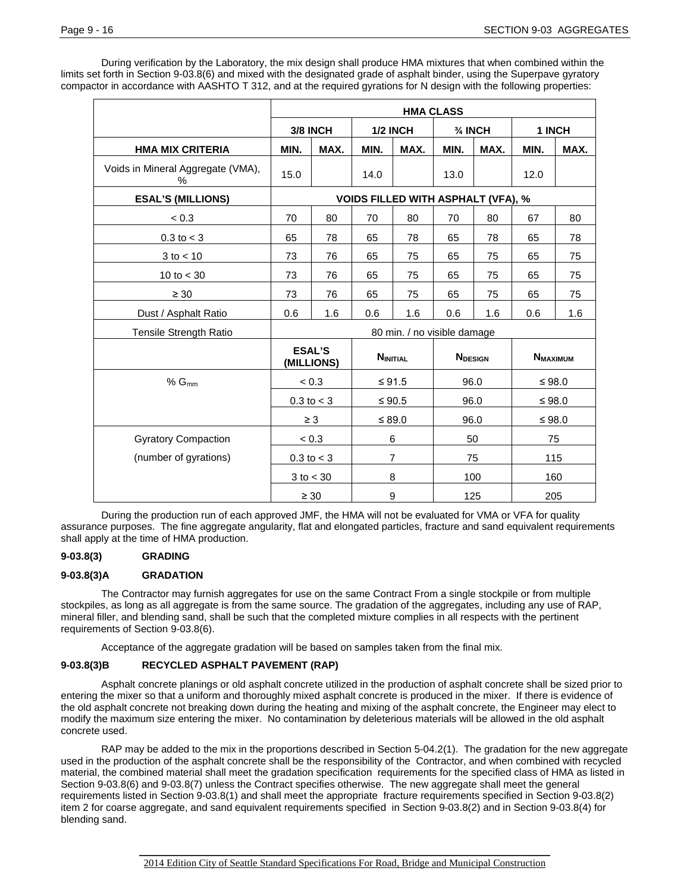During verification by the Laboratory, the mix design shall produce HMA mixtures that when combined within the limits set forth in Section 9-03.8(6) and mixed with the designated grade of asphalt binder, using the Superpave gyratory compactor in accordance with AASHTO T 312, and at the required gyrations for N design with the following properties:

|                                        | <b>HMA CLASS</b>                                                 |                |                    |                                           |        |      |          |      |
|----------------------------------------|------------------------------------------------------------------|----------------|--------------------|-------------------------------------------|--------|------|----------|------|
|                                        | 3/8 INCH<br><b>1/2 INCH</b>                                      |                | $\frac{3}{4}$ INCH |                                           | 1 INCH |      |          |      |
| <b>HMA MIX CRITERIA</b>                | MIN.                                                             | MAX.           | MIN.               | MAX.                                      | MIN.   | MAX. | MIN.     | MAX. |
| Voids in Mineral Aggregate (VMA),<br>% | 15.0                                                             |                | 14.0               |                                           | 13.0   |      | 12.0     |      |
| <b>ESAL'S (MILLIONS)</b>               |                                                                  |                |                    | <b>VOIDS FILLED WITH ASPHALT (VFA), %</b> |        |      |          |      |
| < 0.3                                  | 70                                                               | 80             | 70                 | 80                                        | 70     | 80   | 67       | 80   |
| $0.3$ to $<$ 3                         | 65                                                               | 78             | 65                 | 78                                        | 65     | 78   | 65       | 78   |
| $3$ to $< 10$                          | 73                                                               | 76             | 65                 | 75                                        | 65     | 75   | 65       | 75   |
| 10 to $<$ 30                           | 73                                                               | 76             | 65                 | 75                                        | 65     | 75   | 65       | 75   |
| $\geq 30$                              | 73                                                               | 76             | 65                 | 75                                        | 65     | 75   | 65       | 75   |
| Dust / Asphalt Ratio                   | 0.6                                                              | 1.6            | 0.6                | 1.6                                       | 0.6    | 1.6  | 0.6      | 1.6  |
| Tensile Strength Ratio                 |                                                                  |                |                    | 80 min. / no visible damage               |        |      |          |      |
|                                        | <b>ESAL'S</b><br><b>NINITIAL</b><br><b>NDESIGN</b><br>(MILLIONS) |                |                    | <b>NMAXIMUM</b>                           |        |      |          |      |
| $% G_{mm}$                             |                                                                  | < 0.3          | $≤ 91.5$           |                                           | 96.0   |      | $≤ 98.0$ |      |
|                                        |                                                                  | $0.3$ to $<$ 3 |                    | $≤ 90.5$                                  | 96.0   |      | $≤ 98.0$ |      |
|                                        |                                                                  | $\geq 3$       |                    | $≤ 89.0$                                  | 96.0   |      | $≤ 98.0$ |      |
| <b>Gyratory Compaction</b>             | < 0.3                                                            |                |                    | 6                                         | 50     |      | 75       |      |
| (number of gyrations)                  | $0.3$ to $< 3$                                                   |                |                    | $\overline{7}$                            | 75     |      | 115      |      |
|                                        | $3$ to $<$ 30                                                    |                | 8                  |                                           | 100    |      | 160      |      |
|                                        | $\geq 30$                                                        |                |                    | $\boldsymbol{9}$                          |        | 125  | 205      |      |

During the production run of each approved JMF, the HMA will not be evaluated for VMA or VFA for quality assurance purposes. The fine aggregate angularity, flat and elongated particles, fracture and sand equivalent requirements shall apply at the time of HMA production.

### **9-03.8(3) GRADING**

### **9-03.8(3)A GRADATION**

The Contractor may furnish aggregates for use on the same Contract From a single stockpile or from multiple stockpiles, as long as all aggregate is from the same source. The gradation of the aggregates, including any use of RAP, mineral filler, and blending sand, shall be such that the completed mixture complies in all respects with the pertinent requirements of Section 9-03.8(6).

Acceptance of the aggregate gradation will be based on samples taken from the final mix.

### **9-03.8(3)B RECYCLED ASPHALT PAVEMENT (RAP)**

Asphalt concrete planings or old asphalt concrete utilized in the production of asphalt concrete shall be sized prior to entering the mixer so that a uniform and thoroughly mixed asphalt concrete is produced in the mixer. If there is evidence of the old asphalt concrete not breaking down during the heating and mixing of the asphalt concrete, the Engineer may elect to modify the maximum size entering the mixer. No contamination by deleterious materials will be allowed in the old asphalt concrete used.

RAP may be added to the mix in the proportions described in Section 5-04.2(1). The gradation for the new aggregate used in the production of the asphalt concrete shall be the responsibility of the Contractor, and when combined with recycled material, the combined material shall meet the gradation specification requirements for the specified class of HMA as listed in Section 9-03.8(6) and 9-03.8(7) unless the Contract specifies otherwise. The new aggregate shall meet the general requirements listed in Section 9-03.8(1) and shall meet the appropriate fracture requirements specified in Section 9-03.8(2) item 2 for coarse aggregate, and sand equivalent requirements specified in Section 9-03.8(2) and in Section 9-03.8(4) for blending sand.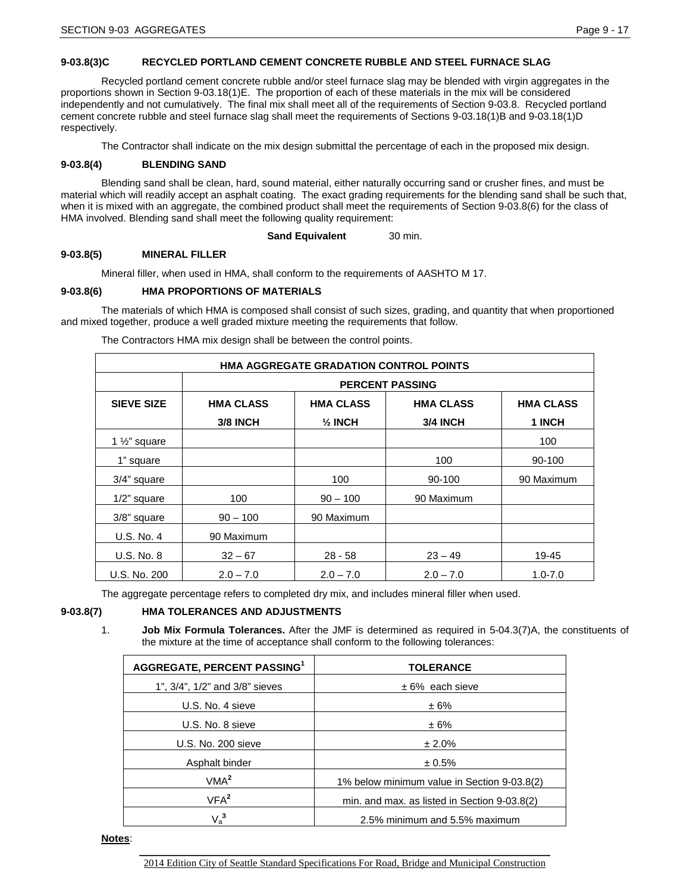## **9-03.8(3)C RECYCLED PORTLAND CEMENT CONCRETE RUBBLE AND STEEL FURNACE SLAG**

Recycled portland cement concrete rubble and/or steel furnace slag may be blended with virgin aggregates in the proportions shown in Section 9-03.18(1)E. The proportion of each of these materials in the mix will be considered independently and not cumulatively. The final mix shall meet all of the requirements of Section 9-03.8. Recycled portland cement concrete rubble and steel furnace slag shall meet the requirements of Sections 9-03.18(1)B and 9-03.18(1)D respectively.

The Contractor shall indicate on the mix design submittal the percentage of each in the proposed mix design.

## **9-03.8(4) BLENDING SAND**

Blending sand shall be clean, hard, sound material, either naturally occurring sand or crusher fines, and must be material which will readily accept an asphalt coating. The exact grading requirements for the blending sand shall be such that, when it is mixed with an aggregate, the combined product shall meet the requirements of Section 9-03.8(6) for the class of HMA involved. Blending sand shall meet the following quality requirement:

### **Sand Equivalent** 30 min.

## **9-03.8(5) MINERAL FILLER**

Mineral filler, when used in HMA, shall conform to the requirements of AASHTO M 17.

## **9-03.8(6) HMA PROPORTIONS OF MATERIALS**

The materials of which HMA is composed shall consist of such sizes, grading, and quantity that when proportioned and mixed together, produce a well graded mixture meeting the requirements that follow.

The Contractors HMA mix design shall be between the control points.

| <b>HMA AGGREGATE GRADATION CONTROL POINTS</b> |                                                                              |                    |                 |             |  |  |  |
|-----------------------------------------------|------------------------------------------------------------------------------|--------------------|-----------------|-------------|--|--|--|
|                                               | <b>PERCENT PASSING</b>                                                       |                    |                 |             |  |  |  |
| <b>SIEVE SIZE</b>                             | <b>HMA CLASS</b><br><b>HMA CLASS</b><br><b>HMA CLASS</b><br><b>HMA CLASS</b> |                    |                 |             |  |  |  |
|                                               | <b>3/8 INCH</b>                                                              | $\frac{1}{2}$ INCH | <b>3/4 INCH</b> | 1 INCH      |  |  |  |
| 1 $\frac{1}{2}$ " square                      |                                                                              |                    |                 | 100         |  |  |  |
| 1" square                                     |                                                                              |                    | 100             | 90-100      |  |  |  |
| 3/4" square                                   |                                                                              | 100                | 90-100          | 90 Maximum  |  |  |  |
| $1/2$ " square                                | 100                                                                          | $90 - 100$         | 90 Maximum      |             |  |  |  |
| 3/8" square                                   | $90 - 100$                                                                   | 90 Maximum         |                 |             |  |  |  |
| U.S. No. 4                                    | 90 Maximum                                                                   |                    |                 |             |  |  |  |
| <b>U.S. No. 8</b>                             | $32 - 67$                                                                    | $28 - 58$          | $23 - 49$       | 19-45       |  |  |  |
| U.S. No. 200                                  | $2.0 - 7.0$                                                                  | $2.0 - 7.0$        | $2.0 - 7.0$     | $1.0 - 7.0$ |  |  |  |

The aggregate percentage refers to completed dry mix, and includes mineral filler when used.

## **9-03.8(7) HMA TOLERANCES AND ADJUSTMENTS**

1. **Job Mix Formula Tolerances.** After the JMF is determined as required in 5-04.3(7)A, the constituents of the mixture at the time of acceptance shall conform to the following tolerances:

| AGGREGATE, PERCENT PASSING <sup>1</sup> | <b>TOLERANCE</b>                             |
|-----------------------------------------|----------------------------------------------|
| 1", 3/4", 1/2" and 3/8" sieves          | $± 6\%$ each sieve                           |
| U.S. No. 4 sieve                        | ± 6%                                         |
| U.S. No. 8 sieve                        | ±6%                                          |
| U.S. No. 200 sieve                      | ± 2.0%                                       |
| Asphalt binder                          | ± 0.5%                                       |
| VMA <sup>2</sup>                        | 1% below minimum value in Section 9-03.8(2)  |
| VFA <sup>2</sup>                        | min. and max. as listed in Section 9-03.8(2) |
| $V_a^3$                                 | 2.5% minimum and 5.5% maximum                |

**Notes**: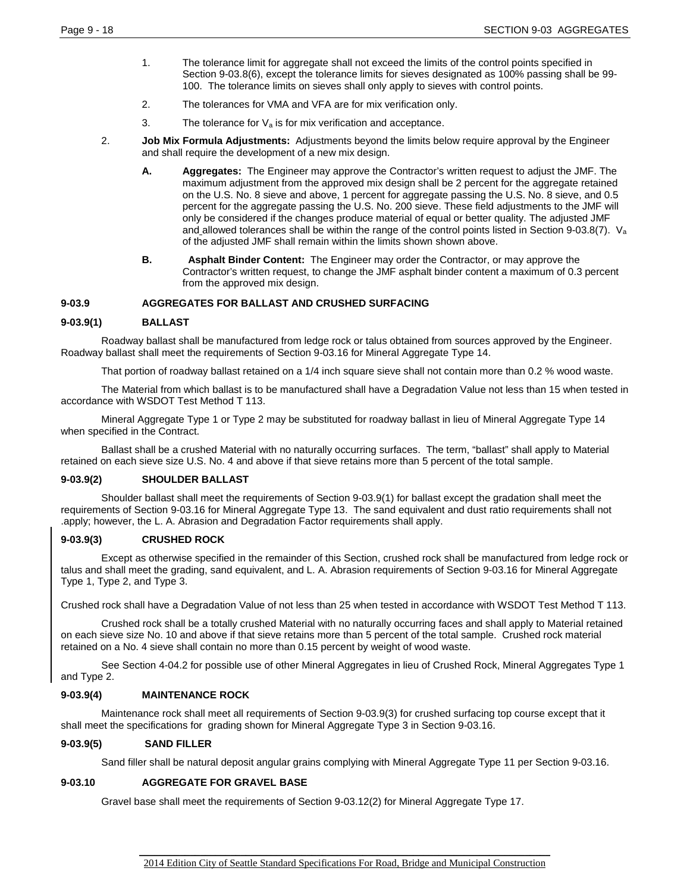- 1. The tolerance limit for aggregate shall not exceed the limits of the control points specified in Section 9-03.8(6), except the tolerance limits for sieves designated as 100% passing shall be 99- 100. The tolerance limits on sieves shall only apply to sieves with control points.
- 2. The tolerances for VMA and VFA are for mix verification only.
- 3. The tolerance for  $V_a$  is for mix verification and acceptance.
- 2. **Job Mix Formula Adjustments:** Adjustments beyond the limits below require approval by the Engineer and shall require the development of a new mix design.
	- **A. Aggregates:** The Engineer may approve the Contractor's written request to adjust the JMF. The maximum adjustment from the approved mix design shall be 2 percent for the aggregate retained on the U.S. No. 8 sieve and above, 1 percent for aggregate passing the U.S. No. 8 sieve, and 0.5 percent for the aggregate passing the U.S. No. 200 sieve. These field adjustments to the JMF will only be considered if the changes produce material of equal or better quality. The adjusted JMF and allowed tolerances shall be within the range of the control points listed in Section 9-03.8(7).  $V_a$ of the adjusted JMF shall remain within the limits shown shown above.
	- **B. Asphalt Binder Content:** The Engineer may order the Contractor, or may approve the Contractor's written request, to change the JMF asphalt binder content a maximum of 0.3 percent from the approved mix design.

### **9-03.9 AGGREGATES FOR BALLAST AND CRUSHED SURFACING**

### **9-03.9(1) BALLAST**

Roadway ballast shall be manufactured from ledge rock or talus obtained from sources approved by the Engineer. Roadway ballast shall meet the requirements of Section 9-03.16 for Mineral Aggregate Type 14.

That portion of roadway ballast retained on a 1/4 inch square sieve shall not contain more than 0.2 % wood waste.

The Material from which ballast is to be manufactured shall have a Degradation Value not less than 15 when tested in accordance with WSDOT Test Method T 113.

Mineral Aggregate Type 1 or Type 2 may be substituted for roadway ballast in lieu of Mineral Aggregate Type 14 when specified in the Contract.

Ballast shall be a crushed Material with no naturally occurring surfaces. The term, "ballast" shall apply to Material retained on each sieve size U.S. No. 4 and above if that sieve retains more than 5 percent of the total sample.

#### **9-03.9(2) SHOULDER BALLAST**

Shoulder ballast shall meet the requirements of Section 9-03.9(1) for ballast except the gradation shall meet the requirements of Section 9-03.16 for Mineral Aggregate Type 13. The sand equivalent and dust ratio requirements shall not .apply; however, the L. A. Abrasion and Degradation Factor requirements shall apply.

### **9-03.9(3) CRUSHED ROCK**

Except as otherwise specified in the remainder of this Section, crushed rock shall be manufactured from ledge rock or talus and shall meet the grading, sand equivalent, and L. A. Abrasion requirements of Section 9-03.16 for Mineral Aggregate Type 1, Type 2, and Type 3.

Crushed rock shall have a Degradation Value of not less than 25 when tested in accordance with WSDOT Test Method T 113.

Crushed rock shall be a totally crushed Material with no naturally occurring faces and shall apply to Material retained on each sieve size No. 10 and above if that sieve retains more than 5 percent of the total sample. Crushed rock material retained on a No. 4 sieve shall contain no more than 0.15 percent by weight of wood waste.

See Section 4-04.2 for possible use of other Mineral Aggregates in lieu of Crushed Rock, Mineral Aggregates Type 1 and Type 2.

### **9-03.9(4) MAINTENANCE ROCK**

Maintenance rock shall meet all requirements of Section 9-03.9(3) for crushed surfacing top course except that it shall meet the specifications for grading shown for Mineral Aggregate Type 3 in Section 9-03.16.

### **9-03.9(5) SAND FILLER**

Sand filler shall be natural deposit angular grains complying with Mineral Aggregate Type 11 per Section 9-03.16.

### **9-03.10 AGGREGATE FOR GRAVEL BASE**

Gravel base shall meet the requirements of Section 9-03.12(2) for Mineral Aggregate Type 17.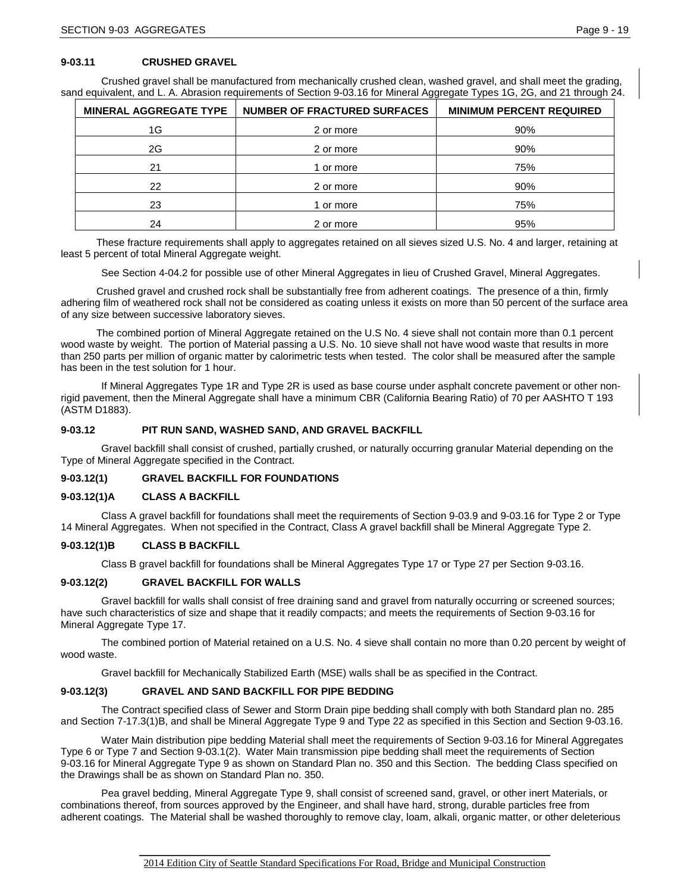## **9-03.11 CRUSHED GRAVEL**

Crushed gravel shall be manufactured from mechanically crushed clean, washed gravel, and shall meet the grading, sand equivalent, and L. A. Abrasion requirements of Section 9-03.16 for Mineral Aggregate Types 1G, 2G, and 21 through 24.

| <b>MINERAL AGGREGATE TYPE</b> | <b>NUMBER OF FRACTURED SURFACES</b> | <b>MINIMUM PERCENT REQUIRED</b> |
|-------------------------------|-------------------------------------|---------------------------------|
| 1G                            | 2 or more                           | 90%                             |
| 2G                            | 2 or more                           | 90%                             |
| 21                            | or more                             | 75%                             |
| 22                            | 2 or more                           | 90%                             |
| 23                            | or more                             | 75%                             |
| 24                            | 2 or more                           | 95%                             |

These fracture requirements shall apply to aggregates retained on all sieves sized U.S. No. 4 and larger, retaining at least 5 percent of total Mineral Aggregate weight.

See Section 4-04.2 for possible use of other Mineral Aggregates in lieu of Crushed Gravel, Mineral Aggregates.

Crushed gravel and crushed rock shall be substantially free from adherent coatings. The presence of a thin, firmly adhering film of weathered rock shall not be considered as coating unless it exists on more than 50 percent of the surface area of any size between successive laboratory sieves.

The combined portion of Mineral Aggregate retained on the U.S No. 4 sieve shall not contain more than 0.1 percent wood waste by weight. The portion of Material passing a U.S. No. 10 sieve shall not have wood waste that results in more than 250 parts per million of organic matter by calorimetric tests when tested. The color shall be measured after the sample has been in the test solution for 1 hour.

If Mineral Aggregates Type 1R and Type 2R is used as base course under asphalt concrete pavement or other nonrigid pavement, then the Mineral Aggregate shall have a minimum CBR (California Bearing Ratio) of 70 per AASHTO T 193 (ASTM D1883).

### **9-03.12 PIT RUN SAND, WASHED SAND, AND GRAVEL BACKFILL**

Gravel backfill shall consist of crushed, partially crushed, or naturally occurring granular Material depending on the Type of Mineral Aggregate specified in the Contract.

### **9-03.12(1) GRAVEL BACKFILL FOR FOUNDATIONS**

### **9-03.12(1)A CLASS A BACKFILL**

Class A gravel backfill for foundations shall meet the requirements of Section 9-03.9 and 9-03.16 for Type 2 or Type 14 Mineral Aggregates. When not specified in the Contract, Class A gravel backfill shall be Mineral Aggregate Type 2.

### **9-03.12(1)B CLASS B BACKFILL**

Class B gravel backfill for foundations shall be Mineral Aggregates Type 17 or Type 27 per Section 9-03.16.

### **9-03.12(2) GRAVEL BACKFILL FOR WALLS**

Gravel backfill for walls shall consist of free draining sand and gravel from naturally occurring or screened sources; have such characteristics of size and shape that it readily compacts; and meets the requirements of Section 9-03.16 for Mineral Aggregate Type 17.

The combined portion of Material retained on a U.S. No. 4 sieve shall contain no more than 0.20 percent by weight of wood waste.

Gravel backfill for Mechanically Stabilized Earth (MSE) walls shall be as specified in the Contract.

### **9-03.12(3) GRAVEL AND SAND BACKFILL FOR PIPE BEDDING**

The Contract specified class of Sewer and Storm Drain pipe bedding shall comply with both Standard plan no. 285 and Section 7-17.3(1)B, and shall be Mineral Aggregate Type 9 and Type 22 as specified in this Section and Section 9-03.16.

Water Main distribution pipe bedding Material shall meet the requirements of Section 9-03.16 for Mineral Aggregates Type 6 or Type 7 and Section 9-03.1(2). Water Main transmission pipe bedding shall meet the requirements of Section 9-03.16 for Mineral Aggregate Type 9 as shown on Standard Plan no. 350 and this Section. The bedding Class specified on the Drawings shall be as shown on Standard Plan no. 350.

Pea gravel bedding, Mineral Aggregate Type 9, shall consist of screened sand, gravel, or other inert Materials, or combinations thereof, from sources approved by the Engineer, and shall have hard, strong, durable particles free from adherent coatings. The Material shall be washed thoroughly to remove clay, loam, alkali, organic matter, or other deleterious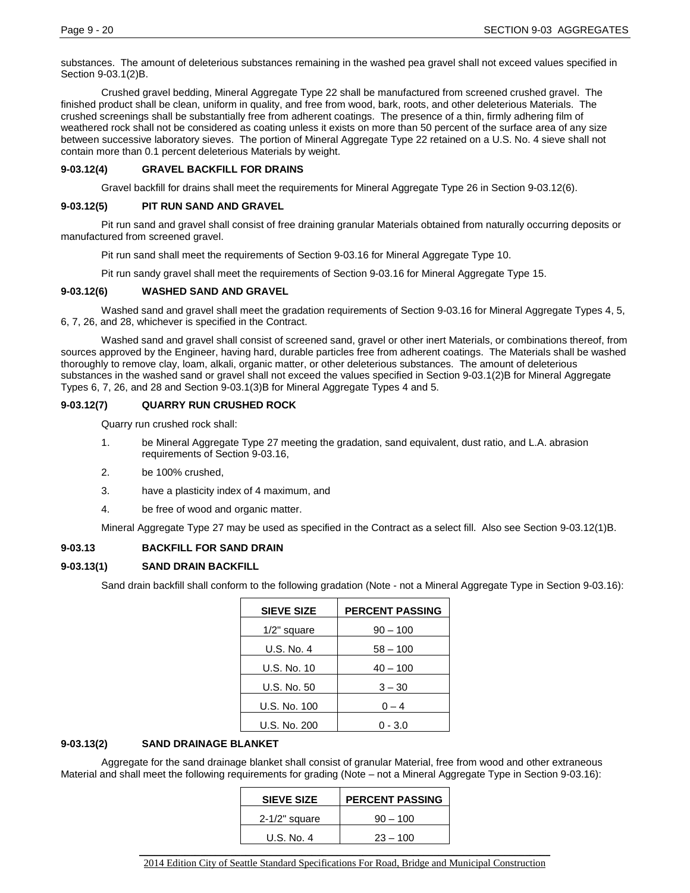substances. The amount of deleterious substances remaining in the washed pea gravel shall not exceed values specified in Section 9-03.1(2)B.

Crushed gravel bedding, Mineral Aggregate Type 22 shall be manufactured from screened crushed gravel. The finished product shall be clean, uniform in quality, and free from wood, bark, roots, and other deleterious Materials. The crushed screenings shall be substantially free from adherent coatings. The presence of a thin, firmly adhering film of weathered rock shall not be considered as coating unless it exists on more than 50 percent of the surface area of any size between successive laboratory sieves. The portion of Mineral Aggregate Type 22 retained on a U.S. No. 4 sieve shall not contain more than 0.1 percent deleterious Materials by weight.

## **9-03.12(4) GRAVEL BACKFILL FOR DRAINS**

Gravel backfill for drains shall meet the requirements for Mineral Aggregate Type 26 in Section 9-03.12(6).

## **9-03.12(5) PIT RUN SAND AND GRAVEL**

Pit run sand and gravel shall consist of free draining granular Materials obtained from naturally occurring deposits or manufactured from screened gravel.

Pit run sand shall meet the requirements of Section 9-03.16 for Mineral Aggregate Type 10.

Pit run sandy gravel shall meet the requirements of Section 9-03.16 for Mineral Aggregate Type 15.

### **9-03.12(6) WASHED SAND AND GRAVEL**

Washed sand and gravel shall meet the gradation requirements of Section 9-03.16 for Mineral Aggregate Types 4, 5, 6, 7, 26, and 28, whichever is specified in the Contract.

Washed sand and gravel shall consist of screened sand, gravel or other inert Materials, or combinations thereof, from sources approved by the Engineer, having hard, durable particles free from adherent coatings. The Materials shall be washed thoroughly to remove clay, loam, alkali, organic matter, or other deleterious substances. The amount of deleterious substances in the washed sand or gravel shall not exceed the values specified in Section 9-03.1(2)B for Mineral Aggregate Types 6, 7, 26, and 28 and Section 9-03.1(3)B for Mineral Aggregate Types 4 and 5.

### **9-03.12(7) QUARRY RUN CRUSHED ROCK**

Quarry run crushed rock shall:

- 1. be Mineral Aggregate Type 27 meeting the gradation, sand equivalent, dust ratio, and L.A. abrasion requirements of Section 9-03.16,
- 2. be 100% crushed,
- 3. have a plasticity index of 4 maximum, and
- 4. be free of wood and organic matter.

Mineral Aggregate Type 27 may be used as specified in the Contract as a select fill. Also see Section 9-03.12(1)B.

### **9-03.13 BACKFILL FOR SAND DRAIN**

## **9-03.13(1) SAND DRAIN BACKFILL**

Sand drain backfill shall conform to the following gradation (Note - not a Mineral Aggregate Type in Section 9-03.16):

| <b>SIEVE SIZE</b> | <b>PERCENT PASSING</b> |
|-------------------|------------------------|
| $1/2$ " square    | $90 - 100$             |
| U.S. No. 4        | $58 - 100$             |
| U.S. No. 10       | $40 - 100$             |
| U.S. No. 50       | $3 - 30$               |
| U.S. No. 100      | $0 - 4$                |
| U.S. No. 200      | 0 - 3.0                |

### **9-03.13(2) SAND DRAINAGE BLANKET**

Aggregate for the sand drainage blanket shall consist of granular Material, free from wood and other extraneous Material and shall meet the following requirements for grading (Note – not a Mineral Aggregate Type in Section 9-03.16):

| <b>SIEVE SIZE</b> | <b>PERCENT PASSING</b> |
|-------------------|------------------------|
| $2-1/2$ " square  | $90 - 100$             |
| U.S. No. 4        | $23 - 100$             |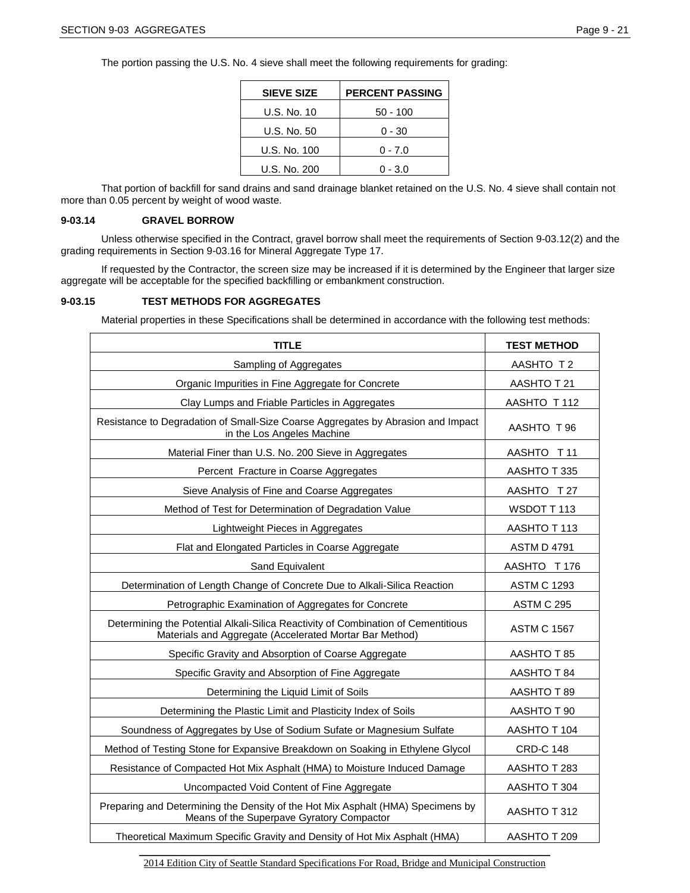The portion passing the U.S. No. 4 sieve shall meet the following requirements for grading:

| <b>SIEVE SIZE</b> | <b>PERCENT PASSING</b> |
|-------------------|------------------------|
| U.S. No. 10       | 50 - 100               |
| U.S. No. 50       | 0 - 30                 |
| U.S. No. 100      | $0 - 7.0$              |
| U.S. No. 200      | $0 - 3.0$              |

That portion of backfill for sand drains and sand drainage blanket retained on the U.S. No. 4 sieve shall contain not more than 0.05 percent by weight of wood waste.

#### **9-03.14 GRAVEL BORROW**

Unless otherwise specified in the Contract, gravel borrow shall meet the requirements of Section 9-03.12(2) and the grading requirements in Section 9-03.16 for Mineral Aggregate Type 17.

If requested by the Contractor, the screen size may be increased if it is determined by the Engineer that larger size aggregate will be acceptable for the specified backfilling or embankment construction.

### **9-03.15 TEST METHODS FOR AGGREGATES**

Material properties in these Specifications shall be determined in accordance with the following test methods:

| <b>TITLE</b>                                                                                                                                 | <b>TEST METHOD</b> |
|----------------------------------------------------------------------------------------------------------------------------------------------|--------------------|
| Sampling of Aggregates                                                                                                                       | AASHTO T 2         |
| Organic Impurities in Fine Aggregate for Concrete                                                                                            | AASHTO T 21        |
| Clay Lumps and Friable Particles in Aggregates                                                                                               | AASHTO T112        |
| Resistance to Degradation of Small-Size Coarse Aggregates by Abrasion and Impact<br>in the Los Angeles Machine                               | AASHTO T 96        |
| Material Finer than U.S. No. 200 Sieve in Aggregates                                                                                         | AASHTO T11         |
| Percent Fracture in Coarse Aggregates                                                                                                        | AASHTO T 335       |
| Sieve Analysis of Fine and Coarse Aggregates                                                                                                 | AASHTO T27         |
| Method of Test for Determination of Degradation Value                                                                                        | WSDOT T113         |
| Lightweight Pieces in Aggregates                                                                                                             | AASHTO T 113       |
| Flat and Elongated Particles in Coarse Aggregate                                                                                             | <b>ASTM D 4791</b> |
| Sand Equivalent                                                                                                                              | AASHTO T 176       |
| Determination of Length Change of Concrete Due to Alkali-Silica Reaction                                                                     | <b>ASTM C 1293</b> |
| Petrographic Examination of Aggregates for Concrete                                                                                          | ASTM C 295         |
| Determining the Potential Alkali-Silica Reactivity of Combination of Cementitious<br>Materials and Aggregate (Accelerated Mortar Bar Method) | <b>ASTM C 1567</b> |
| Specific Gravity and Absorption of Coarse Aggregate                                                                                          | AASHTO T 85        |
| Specific Gravity and Absorption of Fine Aggregate                                                                                            | AASHTO T 84        |
| Determining the Liquid Limit of Soils                                                                                                        | AASHTO T 89        |
| Determining the Plastic Limit and Plasticity Index of Soils                                                                                  | AASHTO T 90        |
| Soundness of Aggregates by Use of Sodium Sufate or Magnesium Sulfate                                                                         | AASHTO T 104       |
| Method of Testing Stone for Expansive Breakdown on Soaking in Ethylene Glycol                                                                | <b>CRD-C 148</b>   |
| Resistance of Compacted Hot Mix Asphalt (HMA) to Moisture Induced Damage                                                                     | AASHTO T 283       |
| Uncompacted Void Content of Fine Aggregate                                                                                                   | AASHTO T 304       |
| Preparing and Determining the Density of the Hot Mix Asphalt (HMA) Specimens by<br>Means of the Superpave Gyratory Compactor                 | AASHTO T 312       |
| Theoretical Maximum Specific Gravity and Density of Hot Mix Asphalt (HMA)                                                                    | AASHTO T 209       |

\_\_\_\_\_\_\_\_\_\_\_\_\_\_\_\_\_\_\_\_\_\_\_\_\_\_\_\_\_\_\_\_\_\_\_\_\_\_\_\_\_\_\_\_\_\_\_\_\_\_\_\_\_\_\_\_\_\_\_\_\_\_\_\_\_\_\_\_\_\_\_\_\_\_\_\_\_\_\_\_\_ 2014 Edition City of Seattle Standard Specifications For Road, Bridge and Municipal Construction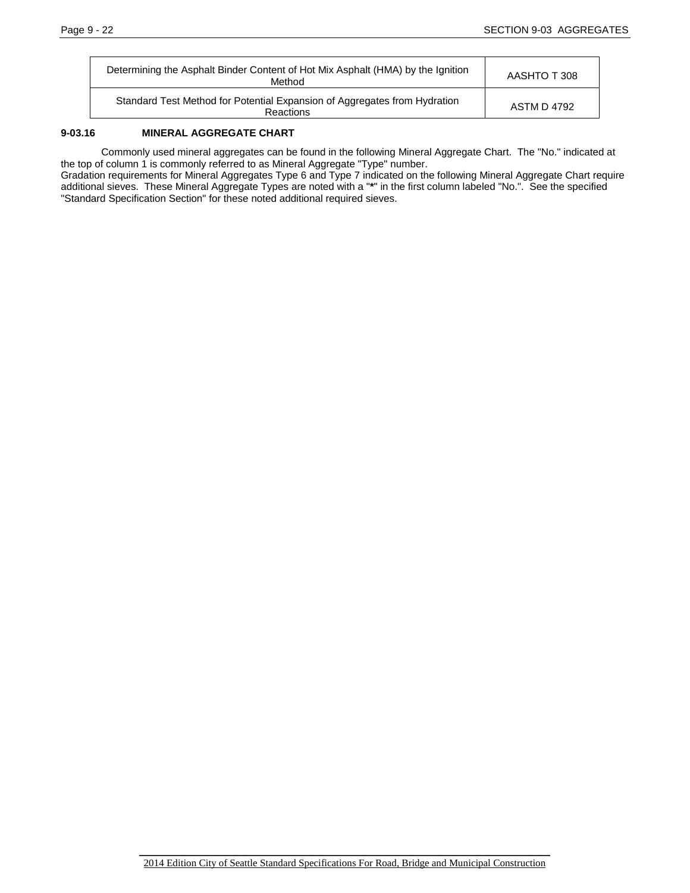| Determining the Asphalt Binder Content of Hot Mix Asphalt (HMA) by the Ignition<br>Method | AASHTO T 308 |
|-------------------------------------------------------------------------------------------|--------------|
| Standard Test Method for Potential Expansion of Aggregates from Hydration<br>Reactions    | ASTM D 4792  |

## **9-03.16 MINERAL AGGREGATE CHART**

Commonly used mineral aggregates can be found in the following Mineral Aggregate Chart. The "No." indicated at the top of column 1 is commonly referred to as Mineral Aggregate "Type" number.

Gradation requirements for Mineral Aggregates Type 6 and Type 7 indicated on the following Mineral Aggregate Chart require additional sieves. These Mineral Aggregate Types are noted with a "**\***" in the first column labeled "No.". See the specified "Standard Specification Section" for these noted additional required sieves.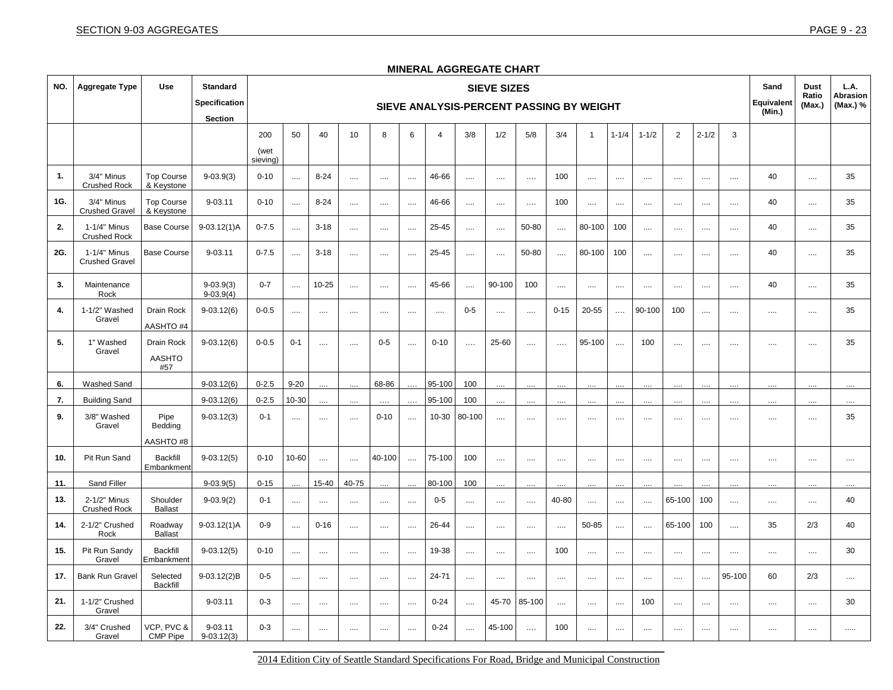CMP Pipe

9-03.12(3)

| NO. | <b>Aggregate Type</b>                 | Use                                | <b>Standard</b><br><b>Specification</b><br><b>Section</b> |                      | <b>SIEVE SIZES</b><br>SIEVE ANALYSIS-PERCENT PASSING BY WEIGHT |           |          |          |          |                |          |          |          |          |                |           |           |                | Sand<br><b>Equivalent</b><br>(Min.) | <b>Dust</b><br>Ratio<br>(Max.) | L.A.<br><b>Abrasion</b><br>(Max.) % |            |          |
|-----|---------------------------------------|------------------------------------|-----------------------------------------------------------|----------------------|----------------------------------------------------------------|-----------|----------|----------|----------|----------------|----------|----------|----------|----------|----------------|-----------|-----------|----------------|-------------------------------------|--------------------------------|-------------------------------------|------------|----------|
|     |                                       |                                    |                                                           | 200<br>(wet          | 50                                                             | 40        | 10       | 8        | 6        | $\overline{4}$ | 3/8      | 1/2      | 5/8      | 3/4      | $\overline{1}$ | $1 - 1/4$ | $1 - 1/2$ | $\overline{2}$ | $2 - 1/2$                           | 3                              |                                     |            |          |
| 1.  | 3/4" Minus<br><b>Crushed Rock</b>     | <b>Top Course</b><br>& Keystone    | $9 - 03.9(3)$                                             | sieving)<br>$0 - 10$ | $\cdots$                                                       | $8 - 24$  | $\dots$  | $\cdots$ | $\cdots$ | 46-66          | $\cdots$ | $\cdots$ | $\cdots$ | 100      | $\cdots$       |           | $\cdots$  | $\cdots$       | $\cdots$                            | $\cdots$                       | 40                                  | $\cdots$   | 35       |
| 1G. | 3/4" Minus<br><b>Crushed Gravel</b>   | <b>Top Course</b><br>& Keystone    | 9-03.11                                                   | $0 - 10$             | $\cdots$                                                       | $8 - 24$  | $\dots$  | $\cdots$ | $\cdots$ | 46-66          | $\cdots$ | $\cdots$ | $\cdots$ | 100      | $\cdots$       |           | $\cdots$  | $\cdots$       | $\cdots$                            | $\cdots$                       | 40                                  | $\cdots$   | 35       |
| 2.  | 1-1/4" Minus<br><b>Crushed Rock</b>   | <b>Base Course</b>                 | $9-03.12(1)$ A                                            | $0 - 7.5$            | $\ldots$                                                       | $3 - 18$  | $\cdots$ | $\cdots$ | $\ldots$ | 25-45          | $\cdots$ | $\cdots$ | 50-80    | $\ldots$ | 80-100         | 100       | $\cdots$  | $\cdots$       | $\cdots$                            | $\cdots$                       | 40                                  | $\ldots$   | 35       |
| 2G. | 1-1/4" Minus<br><b>Crushed Gravel</b> | <b>Base Course</b>                 | 9-03.11                                                   | $0 - 7.5$            | $\cdots$                                                       | $3 - 18$  | $\cdots$ | $\cdots$ | $\cdots$ | 25-45          | $\cdots$ | $\cdots$ | 50-80    | $\cdots$ | 80-100         | 100       | $\cdots$  | $\cdots$       | $\cdots$                            | $\cdots$                       | 40                                  | $\cdots$   | 35       |
| 3.  | Maintenance<br>Rock                   |                                    | $9 - 03.9(3)$<br>$9 - 03.9(4)$                            | $0 - 7$              | $\ldots$                                                       | $10 - 25$ | $\cdots$ | $\cdots$ | $\cdots$ | 45-66          | $\ldots$ | 90-100   | 100      | $\cdots$ | $\cdots$       |           | $\cdots$  | $\cdots$       | $\cdots$                            | $\cdots$                       | 40                                  | $\cdots$   | 35       |
| 4.  | 1-1/2" Washed<br>Gravel               | Drain Rock<br>AASHTO #4            | $9 - 03.12(6)$                                            | $0 - 0.5$            | $\cdots$                                                       | $\cdots$  | $\cdots$ | $\cdots$ | $\cdots$ | $\cdots$       | $0-5$    | $\cdots$ | $\cdots$ | $0 - 15$ | 20-55          | $\cdots$  | 90-100    | 100            | $\cdots$                            | $\cdots$                       | $\cdots$                            | $\ldots$   | 35       |
| 5.  | 1" Washed<br>Gravel                   | Drain Rock<br><b>AASHTO</b><br>#57 | $9-03.12(6)$                                              | $0 - 0.5$            | $0 - 1$                                                        | $\cdots$  | $\cdots$ | $0 - 5$  | $\cdots$ | $0 - 10$       | $\ldots$ | 25-60    | $\cdots$ | $\cdots$ | 95-100         | $\cdots$  | 100       | $\cdots$       | $\cdots$                            | $\cdots$                       | $\cdots$                            | $\cdots$   | 35       |
| 6.  | Washed Sand                           |                                    | $9 - 03.12(6)$                                            | $0 - 2.5$            | $9 - 20$                                                       |           |          | 68-86    |          | 95-100         | 100      |          |          |          |                |           |           |                |                                     |                                |                                     |            | $\cdots$ |
| 7.  | <b>Building Sand</b>                  |                                    | $9 - 03.12(6)$                                            | $0 - 2.5$            | 10-30                                                          |           |          |          |          | 95-100         | 100      |          |          |          |                |           |           |                |                                     |                                |                                     |            | $\cdots$ |
| 9.  | 3/8" Washed<br>Gravel                 | Pipe<br>Bedding                    | $9-03.12(3)$                                              | $0 - 1$              | $\cdots$                                                       | $\cdots$  | $\cdots$ | $0 - 10$ | $\cdots$ | 10-30          | 80-100   |          | $\cdots$ | $\cdots$ | $\cdots$       | $\cdots$  | $\cdots$  | $\cdots$       | $\cdots$                            | $\cdots$                       | $\cdots$                            | $\cdots$   | 35       |
|     |                                       | <b>AASHTO#8</b>                    |                                                           |                      |                                                                |           |          |          |          |                |          |          |          |          |                |           |           |                |                                     |                                |                                     |            |          |
| 10. | Pit Run Sand                          | <b>Backfill</b><br>Embankment      | $9-03.12(5)$                                              | $0 - 10$             | 10-60                                                          | $\cdots$  | $\dots$  | 40-100   | $\cdots$ | 75-100         | 100      | $\cdots$ | $\cdots$ | $\cdots$ | $\cdots$       | $\cdots$  | $\cdots$  | $\cdots$       | $\cdots$                            | $\cdots$                       | $\cdots$                            | $\cdots$   | $\cdots$ |
| 11. | Sand Filler                           |                                    | $9 - 03.9(5)$                                             | $0 - 15$             |                                                                | 15-40     | 40-75    | $\cdots$ |          | 80-100         | 100      |          |          |          | $\cdots$       |           | $\ddotsc$ |                | $\cdots$                            |                                |                                     | $\cdots$   | $\cdots$ |
| 13. | 2-1/2" Minus<br><b>Crushed Rock</b>   | Shoulder<br><b>Ballast</b>         | $9 - 03.9(2)$                                             | $0 - 1$              | $\ldots$                                                       | $\cdots$  | $\cdots$ | $\cdots$ | $\cdots$ | $0 - 5$        |          | $\cdots$ | $\cdots$ | 40-80    | $\ldots$       | $\cdots$  | $\cdots$  | 65-100         | 100                                 | $\ldots$                       | $\cdots$                            | $\cdots$   | 40       |
| 14. | 2-1/2" Crushed<br>Rock                | Roadway<br><b>Ballast</b>          | $9-03.12(1)$ A                                            | $0-9$                | $\cdots$                                                       | $0 - 16$  | $\ldots$ | $\cdots$ | $\cdots$ | 26-44          |          |          |          |          | 50-85          |           | $\cdots$  | 65-100         | 100                                 | $\cdots$                       | 35                                  | 2/3        | 40       |
| 15. | Pit Run Sandy<br>Gravel               | <b>Backfill</b><br>Embankment      | $9 - 03.12(5)$                                            | $0 - 10$             | $\cdots$                                                       | $\cdots$  | $\cdots$ | $\cdots$ | $\cdots$ | 19-38          | $\cdots$ | $\cdots$ | $\cdots$ | 100      | $\cdots$       | $\cdots$  | $\cdots$  | $\cdots$       | $\cdots$                            | $\ldots$ .                     | $\cdots$                            | $\ldots$ . | 30       |
| 17. | <b>Bank Run Gravel</b>                | Selected<br><b>Backfill</b>        | 9-03.12(2)B                                               | $0-5$                | $\cdots$                                                       | $\cdots$  | $\cdots$ | $\cdots$ | $\cdots$ | 24-71          | $\cdots$ | $\cdots$ | $\cdots$ | $\cdots$ | $\cdots$       | $\cdots$  | $\cdots$  | $\cdots$       | $\cdots$                            | 95-100                         | 60                                  | 2/3        | $\ldots$ |
| 21. | 1-1/2" Crushed<br>Gravel              |                                    | 9-03.11                                                   | $0 - 3$              | $\cdots$                                                       | $\cdots$  | $\cdots$ | $\cdots$ | $\cdots$ | $0 - 24$       | $\cdots$ | 45-70    | 85-100   | $\cdots$ | $\cdots$       | $\cdots$  | 100       | $\cdots$       | $\cdots$                            | $\cdots$                       | $\cdots$                            | $\cdots$   | 30       |
| 22. | 3/4" Crushed<br>Gravel                | VCP, PVC &<br><b>CMP Pipe</b>      | 9-03.11<br>$9 - 03.12(3)$                                 | $0 - 3$              | $\cdots$                                                       | $\cdots$  | $\cdots$ | $\cdots$ | $\ldots$ | $0 - 24$       | $\cdots$ | 45-100   | $\ldots$ | 100      | $\cdots$       | $\cdots$  | $\cdots$  | $\cdots$       | $\cdots$                            | $\cdots$                       | $\cdots$                            |            | $\cdots$ |

## **MINERAL AGGREGATE CHART**

\_\_\_\_\_\_\_\_\_\_\_\_\_\_\_\_\_\_\_\_\_\_\_\_\_\_\_\_\_\_\_\_\_\_\_\_\_\_\_\_\_\_\_\_\_\_\_\_\_\_\_\_\_\_\_\_\_\_\_\_\_\_\_\_\_\_\_\_\_\_\_\_\_\_\_\_\_\_\_\_\_ 2014 Edition City of Seattle Standard Specifications For Road, Bridge and Municipal Construction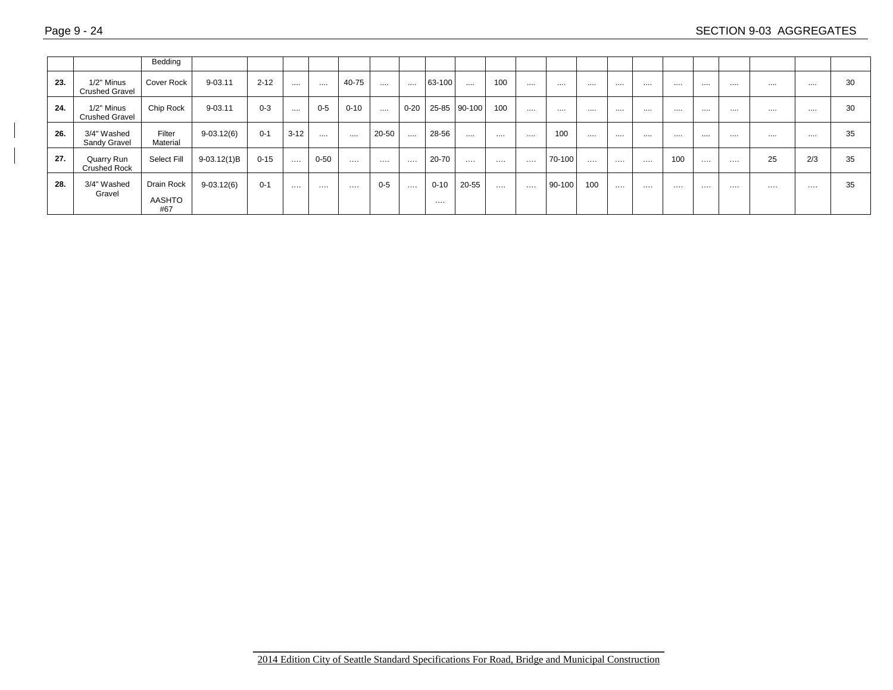|     |                                     | Bedding                            |                |          |          |          |          |          |          |               |              |          |          |        |          |          |          |     |          |   |    |     |    |
|-----|-------------------------------------|------------------------------------|----------------|----------|----------|----------|----------|----------|----------|---------------|--------------|----------|----------|--------|----------|----------|----------|-----|----------|---|----|-----|----|
| 23. | 1/2" Minus<br><b>Crushed Gravel</b> | <b>Cover Rock</b>                  | 9-03.11        | $2 - 12$ | $\cdots$ | .        | 40-75    | $\cdots$ | $\cdots$ | 63-100        | $\cdots$     | 100      | $\cdots$ |        |          | .        | .        |     | .        |   |    |     | 30 |
| 24. | 1/2" Minus<br><b>Crushed Gravel</b> | Chip Rock                          | 9-03.11        | $0 - 3$  | $-$      | $0 - 5$  | $0 - 10$ | $\cdots$ | $0 - 20$ |               | 25-85 90-100 | 100      |          |        |          | .        |          | .   | .        |   |    |     | 30 |
| 26. | 3/4" Washed<br>Sandy Gravel         | Filter<br>Material                 | $9 - 03.12(6)$ | $0 - 1$  | $3 - 12$ | $\cdots$ | .        | 20-50    | $\cdots$ | 28-56         | $\cdots$     |          |          | 100    |          | .        |          | .   | .        |   |    |     | 35 |
| 27. | Quarry Run<br><b>Crushed Rock</b>   | Select Fill                        | $9-03.12(1)B$  | $0 - 15$ | $\cdots$ | $0 - 50$ | .        | .        | $\cdots$ | 20-70         |              | .        | .        | 70-100 | $\cdots$ | $\cdots$ | $\cdots$ | 100 | $\cdots$ | . | 25 | 2/3 | 35 |
| 28. | 3/4" Washed<br>Gravel               | Drain Rock<br><b>AASHTO</b><br>#67 | $9 - 03.12(6)$ | $0 - 1$  | .        |          | .        | $0 - 5$  | $\cdots$ | $0 - 10$<br>. | 20-55        | $\cdots$ | .        | 90-100 | 100      |          | .        | .   | .        | . | .  | .   | 35 |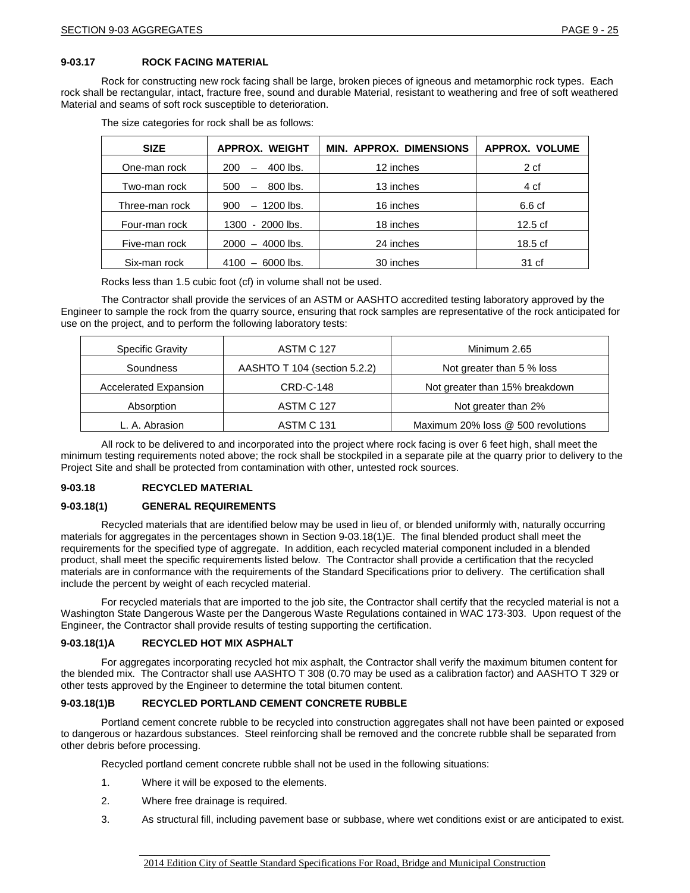Rock for constructing new rock facing shall be large, broken pieces of igneous and metamorphic rock types. Each rock shall be rectangular, intact, fracture free, sound and durable Material, resistant to weathering and free of soft weathered Material and seams of soft rock susceptible to deterioration.

| <b>SIZE</b>    | <b>APPROX. WEIGHT</b>                  | <b>MIN. APPROX. DIMENSIONS</b> | <b>APPROX. VOLUME</b> |
|----------------|----------------------------------------|--------------------------------|-----------------------|
| One-man rock   | $400$ lbs.<br>200                      | 12 inches                      | 2 cf                  |
| Two-man rock   | 800 lbs.<br>500<br>$\qquad \qquad -$   | 13 inches                      | 4 cf                  |
| Three-man rock | $-1200$ lbs.<br>900                    | 16 inches                      | 6.6 cf                |
| Four-man rock  | $-2000$ lbs.<br>1300                   | 18 inches                      | $12.5 \text{ cf}$     |
| Five-man rock  | 4000 lbs.<br>2000<br>$-$               | 24 inches                      | 18.5 <sub>cf</sub>    |
| Six-man rock   | 6000 lbs.<br>4100<br>$\qquad \qquad -$ | 30 inches                      | 31 cf                 |

The size categories for rock shall be as follows:

Rocks less than 1.5 cubic foot (cf) in volume shall not be used.

The Contractor shall provide the services of an ASTM or AASHTO accredited testing laboratory approved by the Engineer to sample the rock from the quarry source, ensuring that rock samples are representative of the rock anticipated for use on the project, and to perform the following laboratory tests:

| <b>Specific Gravity</b> | <b>ASTM C 127</b>            | Minimum 2.65                       |
|-------------------------|------------------------------|------------------------------------|
| Soundness               | AASHTO T 104 (section 5.2.2) | Not greater than 5 % loss          |
| Accelerated Expansion   | CRD-C-148                    | Not greater than 15% breakdown     |
| Absorption              | <b>ASTM C 127</b>            | Not greater than 2%                |
| L. A. Abrasion          | <b>ASTM C 131</b>            | Maximum 20% loss @ 500 revolutions |

All rock to be delivered to and incorporated into the project where rock facing is over 6 feet high, shall meet the minimum testing requirements noted above; the rock shall be stockpiled in a separate pile at the quarry prior to delivery to the Project Site and shall be protected from contamination with other, untested rock sources.

## **9-03.18 RECYCLED MATERIAL**

### **9-03.18(1) GENERAL REQUIREMENTS**

Recycled materials that are identified below may be used in lieu of, or blended uniformly with, naturally occurring materials for aggregates in the percentages shown in Section 9-03.18(1)E. The final blended product shall meet the requirements for the specified type of aggregate. In addition, each recycled material component included in a blended product, shall meet the specific requirements listed below. The Contractor shall provide a certification that the recycled materials are in conformance with the requirements of the Standard Specifications prior to delivery. The certification shall include the percent by weight of each recycled material.

For recycled materials that are imported to the job site, the Contractor shall certify that the recycled material is not a Washington State Dangerous Waste per the Dangerous Waste Regulations contained in WAC 173-303. Upon request of the Engineer, the Contractor shall provide results of testing supporting the certification.

### **9-03.18(1)A RECYCLED HOT MIX ASPHALT**

For aggregates incorporating recycled hot mix asphalt, the Contractor shall verify the maximum bitumen content for the blended mix. The Contractor shall use AASHTO T 308 (0.70 may be used as a calibration factor) and AASHTO T 329 or other tests approved by the Engineer to determine the total bitumen content.

## **9-03.18(1)B RECYCLED PORTLAND CEMENT CONCRETE RUBBLE**

Portland cement concrete rubble to be recycled into construction aggregates shall not have been painted or exposed to dangerous or hazardous substances. Steel reinforcing shall be removed and the concrete rubble shall be separated from other debris before processing.

Recycled portland cement concrete rubble shall not be used in the following situations:

- 1. Where it will be exposed to the elements.
- 2. Where free drainage is required.
- 3. As structural fill, including pavement base or subbase, where wet conditions exist or are anticipated to exist.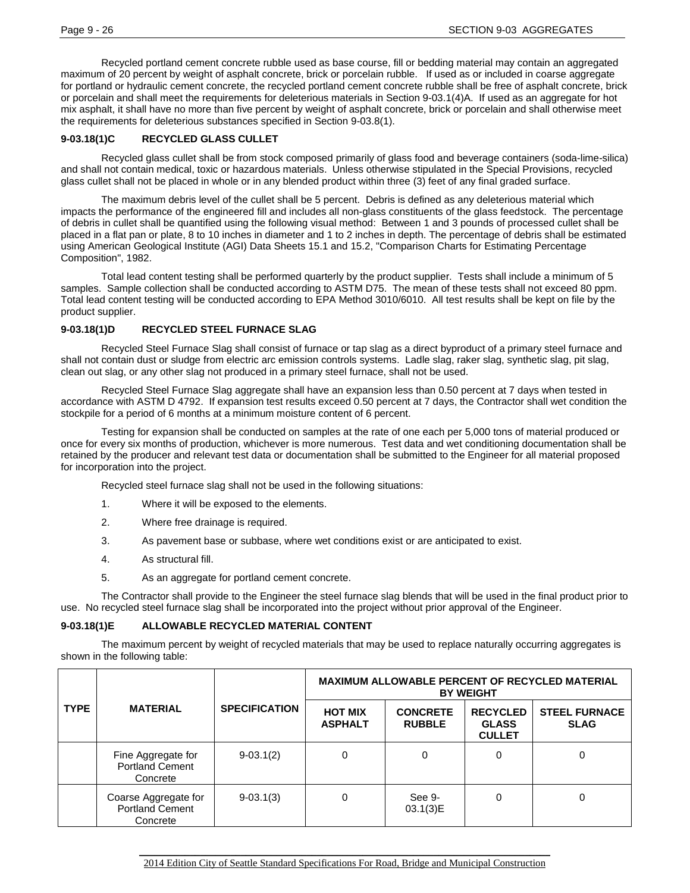Recycled portland cement concrete rubble used as base course, fill or bedding material may contain an aggregated maximum of 20 percent by weight of asphalt concrete, brick or porcelain rubble. If used as or included in coarse aggregate for portland or hydraulic cement concrete, the recycled portland cement concrete rubble shall be free of asphalt concrete, brick or porcelain and shall meet the requirements for deleterious materials in Section 9-03.1(4)A. If used as an aggregate for hot mix asphalt, it shall have no more than five percent by weight of asphalt concrete, brick or porcelain and shall otherwise meet the requirements for deleterious substances specified in Section 9-03.8(1).

## **9-03.18(1)C RECYCLED GLASS CULLET**

Recycled glass cullet shall be from stock composed primarily of glass food and beverage containers (soda-lime-silica) and shall not contain medical, toxic or hazardous materials. Unless otherwise stipulated in the Special Provisions, recycled glass cullet shall not be placed in whole or in any blended product within three (3) feet of any final graded surface.

The maximum debris level of the cullet shall be 5 percent. Debris is defined as any deleterious material which impacts the performance of the engineered fill and includes all non-glass constituents of the glass feedstock. The percentage of debris in cullet shall be quantified using the following visual method: Between 1 and 3 pounds of processed cullet shall be placed in a flat pan or plate, 8 to 10 inches in diameter and 1 to 2 inches in depth. The percentage of debris shall be estimated using American Geological Institute (AGI) Data Sheets 15.1 and 15.2, "Comparison Charts for Estimating Percentage Composition", 1982.

Total lead content testing shall be performed quarterly by the product supplier. Tests shall include a minimum of 5 samples. Sample collection shall be conducted according to ASTM D75. The mean of these tests shall not exceed 80 ppm. Total lead content testing will be conducted according to EPA Method 3010/6010. All test results shall be kept on file by the product supplier.

## **9-03.18(1)D RECYCLED STEEL FURNACE SLAG**

Recycled Steel Furnace Slag shall consist of furnace or tap slag as a direct byproduct of a primary steel furnace and shall not contain dust or sludge from electric arc emission controls systems. Ladle slag, raker slag, synthetic slag, pit slag, clean out slag, or any other slag not produced in a primary steel furnace, shall not be used.

Recycled Steel Furnace Slag aggregate shall have an expansion less than 0.50 percent at 7 days when tested in accordance with ASTM D 4792. If expansion test results exceed 0.50 percent at 7 days, the Contractor shall wet condition the stockpile for a period of 6 months at a minimum moisture content of 6 percent.

Testing for expansion shall be conducted on samples at the rate of one each per 5,000 tons of material produced or once for every six months of production, whichever is more numerous. Test data and wet conditioning documentation shall be retained by the producer and relevant test data or documentation shall be submitted to the Engineer for all material proposed for incorporation into the project.

Recycled steel furnace slag shall not be used in the following situations:

- 1. Where it will be exposed to the elements.
- 2. Where free drainage is required.
- 3. As pavement base or subbase, where wet conditions exist or are anticipated to exist.
- 4. As structural fill.
- 5. As an aggregate for portland cement concrete.

The Contractor shall provide to the Engineer the steel furnace slag blends that will be used in the final product prior to use. No recycled steel furnace slag shall be incorporated into the project without prior approval of the Engineer.

## **9-03.18(1)E ALLOWABLE RECYCLED MATERIAL CONTENT**

The maximum percent by weight of recycled materials that may be used to replace naturally occurring aggregates is shown in the following table:

|             |                                                            |                      | <b>MAXIMUM ALLOWABLE PERCENT OF RECYCLED MATERIAL</b><br><b>BY WEIGHT</b> |                                  |                                                  |                                     |  |  |  |  |  |  |
|-------------|------------------------------------------------------------|----------------------|---------------------------------------------------------------------------|----------------------------------|--------------------------------------------------|-------------------------------------|--|--|--|--|--|--|
| <b>TYPE</b> | <b>MATERIAL</b>                                            | <b>SPECIFICATION</b> | <b>HOT MIX</b><br><b>ASPHALT</b>                                          | <b>CONCRETE</b><br><b>RUBBLE</b> | <b>RECYCLED</b><br><b>GLASS</b><br><b>CULLET</b> | <b>STEEL FURNACE</b><br><b>SLAG</b> |  |  |  |  |  |  |
|             | Fine Aggregate for<br><b>Portland Cement</b><br>Concrete   | $9-03.1(2)$          |                                                                           | 0                                | 0                                                | 0                                   |  |  |  |  |  |  |
|             | Coarse Aggregate for<br><b>Portland Cement</b><br>Concrete | $9 - 03.1(3)$        |                                                                           | See 9-<br>03.1(3)E               | 0                                                | 0                                   |  |  |  |  |  |  |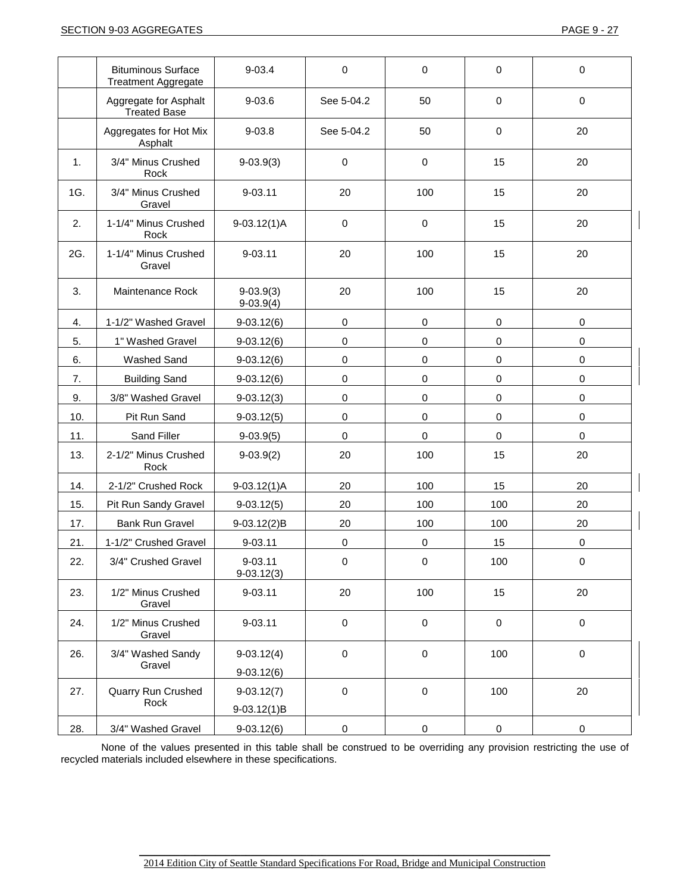|     | <b>Bituminous Surface</b><br><b>Treatment Aggregate</b> | $9 - 03.4$                    | 0           | 0           | $\mathbf 0$         | $\mathbf 0$ |
|-----|---------------------------------------------------------|-------------------------------|-------------|-------------|---------------------|-------------|
|     | Aggregate for Asphalt<br><b>Treated Base</b>            | $9 - 03.6$                    | See 5-04.2  | 50          | $\mathbf 0$         | $\mathbf 0$ |
|     | Aggregates for Hot Mix<br>Asphalt                       | $9 - 03.8$                    | See 5-04.2  | 50          | $\mathbf 0$         | 20          |
| 1.  | 3/4" Minus Crushed<br>Rock                              | $9-03.9(3)$                   | $\mathbf 0$ | 0           | 15                  | 20          |
| 1G. | 3/4" Minus Crushed<br>Gravel                            | 9-03.11                       | 20          | 100         | 15                  | 20          |
| 2.  | 1-1/4" Minus Crushed<br>Rock                            | $9-03.12(1)$ A                | $\pmb{0}$   | 0           | 15                  | 20          |
| 2G. | 1-1/4" Minus Crushed<br>Gravel                          | 9-03.11                       | 20          | 100         | 15                  | 20          |
| 3.  | Maintenance Rock                                        | $9-03.9(3)$<br>$9-03.9(4)$    | 20          | 100         | 15                  | 20          |
| 4.  | 1-1/2" Washed Gravel                                    | $9-03.12(6)$                  | 0           | 0           | $\mathbf 0$         | $\mathbf 0$ |
| 5.  | 1" Washed Gravel                                        | $9-03.12(6)$                  | 0           | 0           | $\pmb{0}$           | $\pmb{0}$   |
| 6.  | Washed Sand                                             | $9-03.12(6)$                  | 0           | 0           | $\pmb{0}$           | $\pmb{0}$   |
| 7.  | <b>Building Sand</b>                                    | $9-03.12(6)$                  | 0           | 0           | 0                   | $\mathbf 0$ |
| 9.  | 3/8" Washed Gravel                                      | $9-03.12(3)$                  | 0           | $\pmb{0}$   | $\mathbf 0$         | $\pmb{0}$   |
| 10. | Pit Run Sand                                            | $9-03.12(5)$                  | $\pmb{0}$   | $\pmb{0}$   | $\pmb{0}$           | $\pmb{0}$   |
| 11. | Sand Filler                                             | $9-03.9(5)$                   | 0           | 0           | $\pmb{0}$           | 0           |
| 13. | 2-1/2" Minus Crushed<br>Rock                            | $9-03.9(2)$                   | 20          | 100         | 15                  | 20          |
| 14. | 2-1/2" Crushed Rock                                     | $9-03.12(1)$ A                | 20          | 100         | 15                  | 20          |
| 15. | Pit Run Sandy Gravel                                    | $9-03.12(5)$                  | 20          | 100         | 100                 | 20          |
| 17. | <b>Bank Run Gravel</b>                                  | 9-03.12(2)B                   | 20          | 100         | 100                 | 20          |
| 21. | 1-1/2" Crushed Gravel                                   | 9-03.11                       | 0           | 0           | 15                  | 0           |
| 22. | 3/4" Crushed Gravel                                     | $9 - 03.11$<br>$9-03.12(3)$   | $\mathbf 0$ | $\mathbf 0$ | 100                 | $\mathbf 0$ |
| 23. | 1/2" Minus Crushed<br>Gravel                            | 9-03.11                       | 20          | 100         | 15                  | 20          |
| 24. | 1/2" Minus Crushed<br>Gravel                            | 9-03.11                       | $\pmb{0}$   | $\mathbf 0$ | $\mathsf{O}\xspace$ | $\mathbf 0$ |
| 26. | 3/4" Washed Sandy<br>Gravel                             | $9-03.12(4)$<br>$9-03.12(6)$  | $\mathsf 0$ | $\pmb{0}$   | 100                 | $\pmb{0}$   |
| 27. | Quarry Run Crushed<br>Rock                              | $9-03.12(7)$<br>$9-03.12(1)B$ | $\mathsf 0$ | $\pmb{0}$   | 100                 | 20          |
| 28. | 3/4" Washed Gravel                                      | $9-03.12(6)$                  | $\pmb{0}$   | $\pmb{0}$   | $\mathsf 0$         | $\pmb{0}$   |

None of the values presented in this table shall be construed to be overriding any provision restricting the use of recycled materials included elsewhere in these specifications.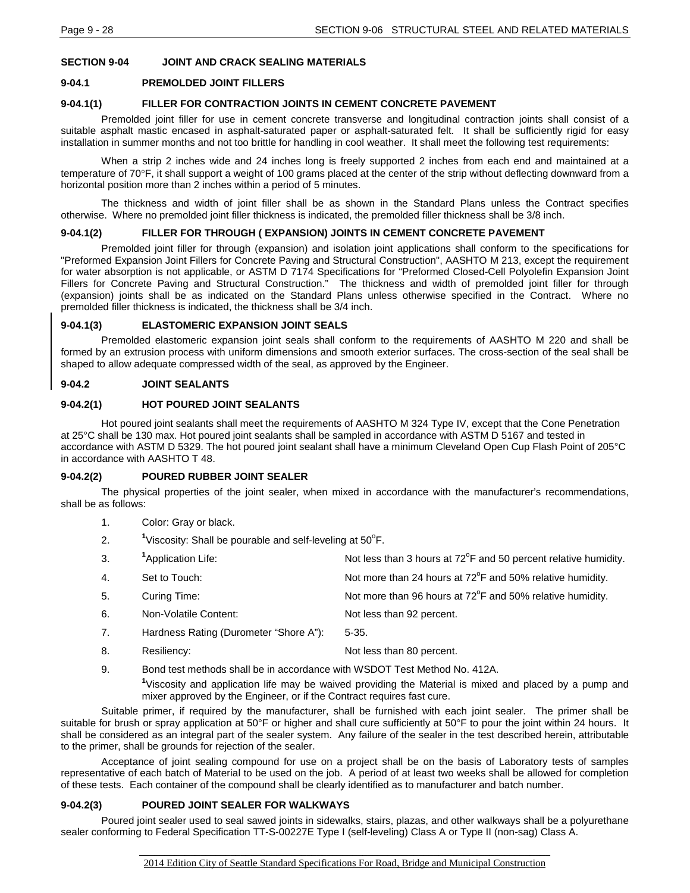## **SECTION 9-04 JOINT AND CRACK SEALING MATERIALS**

### **9-04.1 PREMOLDED JOINT FILLERS**

### **9-04.1(1) FILLER FOR CONTRACTION JOINTS IN CEMENT CONCRETE PAVEMENT**

Premolded joint filler for use in cement concrete transverse and longitudinal contraction joints shall consist of a suitable asphalt mastic encased in asphalt-saturated paper or asphalt-saturated felt. It shall be sufficiently rigid for easy installation in summer months and not too brittle for handling in cool weather. It shall meet the following test requirements:

When a strip 2 inches wide and 24 inches long is freely supported 2 inches from each end and maintained at a temperature of 70°F, it shall support a weight of 100 grams placed at the center of the strip without deflecting downward from a horizontal position more than 2 inches within a period of 5 minutes.

The thickness and width of joint filler shall be as shown in the Standard Plans unless the Contract specifies otherwise. Where no premolded joint filler thickness is indicated, the premolded filler thickness shall be 3/8 inch.

### **9-04.1(2) FILLER FOR THROUGH ( EXPANSION) JOINTS IN CEMENT CONCRETE PAVEMENT**

Premolded joint filler for through (expansion) and isolation joint applications shall conform to the specifications for "Preformed Expansion Joint Fillers for Concrete Paving and Structural Construction", AASHTO M 213, except the requirement for water absorption is not applicable, or ASTM D 7174 Specifications for "Preformed Closed-Cell Polyolefin Expansion Joint Fillers for Concrete Paving and Structural Construction." The thickness and width of premolded joint filler for through (expansion) joints shall be as indicated on the Standard Plans unless otherwise specified in the Contract. Where no premolded filler thickness is indicated, the thickness shall be 3/4 inch.

### **9-04.1(3) ELASTOMERIC EXPANSION JOINT SEALS**

Premolded elastomeric expansion joint seals shall conform to the requirements of AASHTO M 220 and shall be formed by an extrusion process with uniform dimensions and smooth exterior surfaces. The cross-section of the seal shall be shaped to allow adequate compressed width of the seal, as approved by the Engineer.

### **9-04.2 JOINT SEALANTS**

### **9-04.2(1) HOT POURED JOINT SEALANTS**

Hot poured joint sealants shall meet the requirements of AASHTO M 324 Type IV, except that the Cone Penetration at 25°C shall be 130 max. Hot poured joint sealants shall be sampled in accordance with ASTM D 5167 and tested in accordance with ASTM D 5329. The hot poured joint sealant shall have a minimum Cleveland Open Cup Flash Point of 205°C in accordance with AASHTO T 48.

#### **9-04.2(2) POURED RUBBER JOINT SEALER**

The physical properties of the joint sealer, when mixed in accordance with the manufacturer's recommendations, shall be as follows:

| -1. | Color: Gray or black. |  |
|-----|-----------------------|--|
|-----|-----------------------|--|

- 2. **<sup>1</sup>** Viscosity: Shall be pourable and self-leveling at 50°F.
- 3. <sup>1</sup>Application Life: Application Life:  $\blacksquare$  Not less than 3 hours at 72 $\mathrm{P}$  and 50 percent relative humidity.
- 4. Set to Touch:  $\blacksquare$  Not more than 24 hours at  $72^{\circ}$ F and 50% relative humidity.
- 5. Curing Time: Curing Time: Curing Time: Not more than 96 hours at 72<sup>o</sup>F and 50% relative humidity.
- 6. Non-Volatile Content: Not less than 92 percent.
- 7. Hardness Rating (Durometer "Shore A"): 5-35.
- 8. Resiliency: Not less than 80 percent.
- 9. Bond test methods shall be in accordance with WSDOT Test Method No. 412A.

**1** Viscosity and application life may be waived providing the Material is mixed and placed by a pump and mixer approved by the Engineer, or if the Contract requires fast cure.

Suitable primer, if required by the manufacturer, shall be furnished with each joint sealer. The primer shall be suitable for brush or spray application at 50°F or higher and shall cure sufficiently at 50°F to pour the joint within 24 hours. It shall be considered as an integral part of the sealer system. Any failure of the sealer in the test described herein, attributable to the primer, shall be grounds for rejection of the sealer.

Acceptance of joint sealing compound for use on a project shall be on the basis of Laboratory tests of samples representative of each batch of Material to be used on the job. A period of at least two weeks shall be allowed for completion of these tests. Each container of the compound shall be clearly identified as to manufacturer and batch number.

#### **9-04.2(3) POURED JOINT SEALER FOR WALKWAYS**

Poured joint sealer used to seal sawed joints in sidewalks, stairs, plazas, and other walkways shall be a polyurethane sealer conforming to Federal Specification TT-S-00227E Type I (self-leveling) Class A or Type II (non-sag) Class A.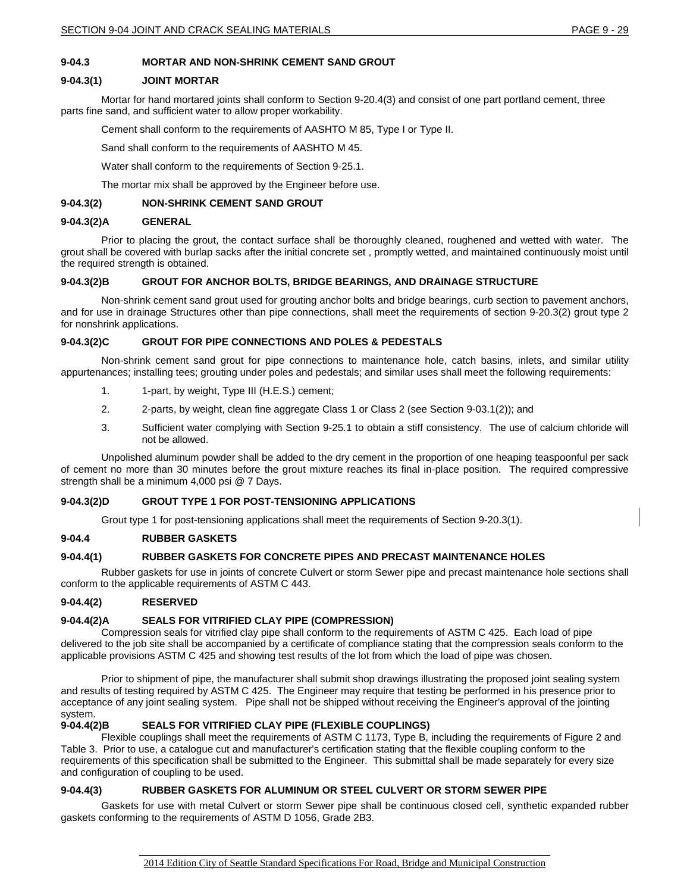## **9-04.3 MORTAR AND NON-SHRINK CEMENT SAND GROUT**

### **9-04.3(1) JOINT MORTAR**

Mortar for hand mortared joints shall conform to Section 9-20.4(3) and consist of one part portland cement, three parts fine sand, and sufficient water to allow proper workability.

Cement shall conform to the requirements of AASHTO M 85, Type I or Type II.

Sand shall conform to the requirements of AASHTO M 45.

Water shall conform to the requirements of Section 9-25.1.

The mortar mix shall be approved by the Engineer before use.

### **9-04.3(2) NON-SHRINK CEMENT SAND GROUT**

### **9-04.3(2)A GENERAL**

Prior to placing the grout, the contact surface shall be thoroughly cleaned, roughened and wetted with water. The grout shall be covered with burlap sacks after the initial concrete set , promptly wetted, and maintained continuously moist until the required strength is obtained.

### **9-04.3(2)B GROUT FOR ANCHOR BOLTS, BRIDGE BEARINGS, AND DRAINAGE STRUCTURE**

Non-shrink cement sand grout used for grouting anchor bolts and bridge bearings, curb section to pavement anchors, and for use in drainage Structures other than pipe connections, shall meet the requirements of section 9-20.3(2) grout type 2 for nonshrink applications.

### **9-04.3(2)C GROUT FOR PIPE CONNECTIONS AND POLES & PEDESTALS**

Non-shrink cement sand grout for pipe connections to maintenance hole, catch basins, inlets, and similar utility appurtenances; installing tees; grouting under poles and pedestals; and similar uses shall meet the following requirements:

- 1. 1-part, by weight, Type III (H.E.S.) cement;
- 2. 2-parts, by weight, clean fine aggregate Class 1 or Class 2 (see Section 9-03.1(2)); and
- 3. Sufficient water complying with Section 9-25.1 to obtain a stiff consistency. The use of calcium chloride will not be allowed.

Unpolished aluminum powder shall be added to the dry cement in the proportion of one heaping teaspoonful per sack of cement no more than 30 minutes before the grout mixture reaches its final in-place position. The required compressive strength shall be a minimum 4,000 psi @ 7 Days.

### **9-04.3(2)D GROUT TYPE 1 FOR POST-TENSIONING APPLICATIONS**

Grout type 1 for post-tensioning applications shall meet the requirements of Section 9-20.3(1).

### **9-04.4 RUBBER GASKETS**

### **9-04.4(1) RUBBER GASKETS FOR CONCRETE PIPES AND PRECAST MAINTENANCE HOLES**

Rubber gaskets for use in joints of concrete Culvert or storm Sewer pipe and precast maintenance hole sections shall conform to the applicable requirements of ASTM C 443.

### **9-04.4(2) RESERVED**

### **9-04.4(2)A SEALS FOR VITRIFIED CLAY PIPE (COMPRESSION)**

Compression seals for vitrified clay pipe shall conform to the requirements of ASTM C 425. Each load of pipe delivered to the job site shall be accompanied by a certificate of compliance stating that the compression seals conform to the applicable provisions ASTM C 425 and showing test results of the lot from which the load of pipe was chosen.

Prior to shipment of pipe, the manufacturer shall submit shop drawings illustrating the proposed joint sealing system and results of testing required by ASTM C 425. The Engineer may require that testing be performed in his presence prior to acceptance of any joint sealing system. Pipe shall not be shipped without receiving the Engineer's approval of the jointing system.<br>**9-04.4(2)B** 

## **SEALS FOR VITRIFIED CLAY PIPE (FLEXIBLE COUPLINGS)**

Flexible couplings shall meet the requirements of ASTM C 1173, Type B, including the requirements of Figure 2 and Table 3. Prior to use, a catalogue cut and manufacturer's certification stating that the flexible coupling conform to the requirements of this specification shall be submitted to the Engineer. This submittal shall be made separately for every size and configuration of coupling to be used.

### **9-04.4(3) RUBBER GASKETS FOR ALUMINUM OR STEEL CULVERT OR STORM SEWER PIPE**

Gaskets for use with metal Culvert or storm Sewer pipe shall be continuous closed cell, synthetic expanded rubber gaskets conforming to the requirements of ASTM D 1056, Grade 2B3.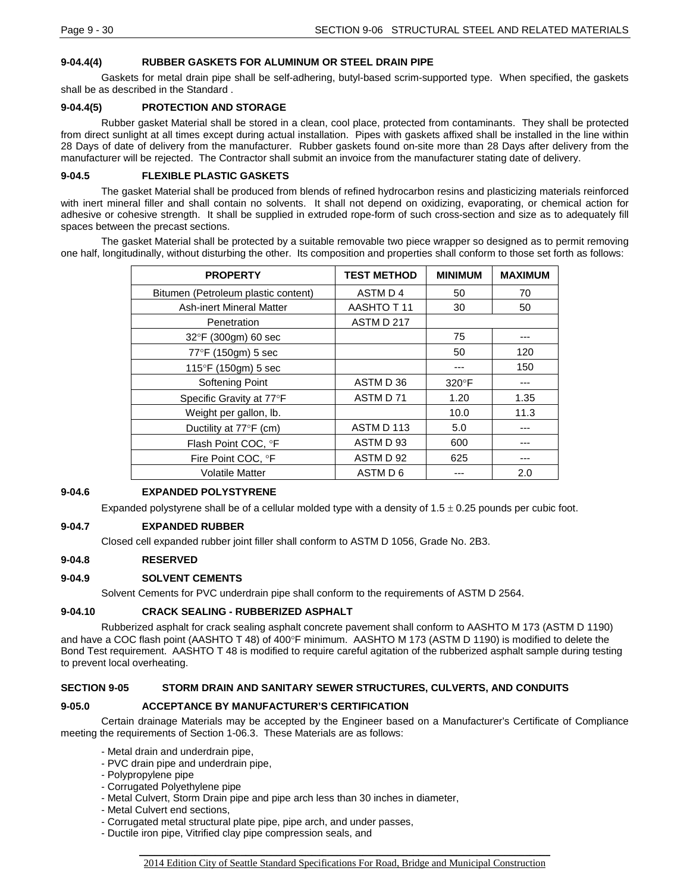### **9-04.4(4) RUBBER GASKETS FOR ALUMINUM OR STEEL DRAIN PIPE**

Gaskets for metal drain pipe shall be self-adhering, butyl-based scrim-supported type. When specified, the gaskets shall be as described in the Standard .

### **9-04.4(5) PROTECTION AND STORAGE**

Rubber gasket Material shall be stored in a clean, cool place, protected from contaminants. They shall be protected from direct sunlight at all times except during actual installation. Pipes with gaskets affixed shall be installed in the line within 28 Days of date of delivery from the manufacturer. Rubber gaskets found on-site more than 28 Days after delivery from the manufacturer will be rejected. The Contractor shall submit an invoice from the manufacturer stating date of delivery.

### **9-04.5 FLEXIBLE PLASTIC GASKETS**

The gasket Material shall be produced from blends of refined hydrocarbon resins and plasticizing materials reinforced with inert mineral filler and shall contain no solvents. It shall not depend on oxidizing, evaporating, or chemical action for adhesive or cohesive strength. It shall be supplied in extruded rope-form of such cross-section and size as to adequately fill spaces between the precast sections.

The gasket Material shall be protected by a suitable removable two piece wrapper so designed as to permit removing one half, longitudinally, without disturbing the other. Its composition and properties shall conform to those set forth as follows:

| <b>PROPERTY</b>                     | <b>TEST METHOD</b> | <b>MINIMUM</b> | <b>MAXIMUM</b> |
|-------------------------------------|--------------------|----------------|----------------|
| Bitumen (Petroleum plastic content) | ASTM D4            | 50             | 70             |
| <b>Ash-inert Mineral Matter</b>     | AASHTO T11         | 30             | 50             |
| Penetration                         | ASTM D 217         |                |                |
| 32°F (300gm) 60 sec                 |                    | 75             |                |
| 77°F (150gm) 5 sec                  |                    | 50             | 120            |
| 115°F (150gm) 5 sec                 |                    |                | 150            |
| Softening Point                     | ASTM D 36          | $320^\circ F$  |                |
| Specific Gravity at 77°F            | ASTM D 71          | 1.20           | 1.35           |
| Weight per gallon, lb.              |                    | 10.0           | 11.3           |
| Ductility at 77°F (cm)              | ASTM D 113         | 5.0            |                |
| Flash Point COC, °F                 | ASTM D 93          | 600            | ---            |
| Fire Point COC, °F                  | ASTM D 92          | 625            |                |
| <b>Volatile Matter</b>              | ASTM D 6           |                | 2.0            |

### **9-04.6 EXPANDED POLYSTYRENE**

Expanded polystyrene shall be of a cellular molded type with a density of  $1.5 \pm 0.25$  pounds per cubic foot.

#### **9-04.7 EXPANDED RUBBER**

Closed cell expanded rubber joint filler shall conform to ASTM D 1056, Grade No. 2B3.

#### **9-04.8 RESERVED**

#### **9-04.9 SOLVENT CEMENTS**

Solvent Cements for PVC underdrain pipe shall conform to the requirements of ASTM D 2564.

#### **9-04.10 CRACK SEALING - RUBBERIZED ASPHALT**

Rubberized asphalt for crack sealing asphalt concrete pavement shall conform to AASHTO M 173 (ASTM D 1190) and have a COC flash point (AASHTO T 48) of 400°F minimum. AASHTO M 173 (ASTM D 1190) is modified to delete the Bond Test requirement. AASHTO T 48 is modified to require careful agitation of the rubberized asphalt sample during testing to prevent local overheating.

### **SECTION 9-05 STORM DRAIN AND SANITARY SEWER STRUCTURES, CULVERTS, AND CONDUITS**

#### **9-05.0 ACCEPTANCE BY MANUFACTURER'S CERTIFICATION**

Certain drainage Materials may be accepted by the Engineer based on a Manufacturer's Certificate of Compliance meeting the requirements of Section 1-06.3. These Materials are as follows:

- Metal drain and underdrain pipe,
- PVC drain pipe and underdrain pipe,
- Polypropylene pipe
- Corrugated Polyethylene pipe
- Metal Culvert, Storm Drain pipe and pipe arch less than 30 inches in diameter,
- Metal Culvert end sections,
- Corrugated metal structural plate pipe, pipe arch, and under passes,
- Ductile iron pipe, Vitrified clay pipe compression seals, and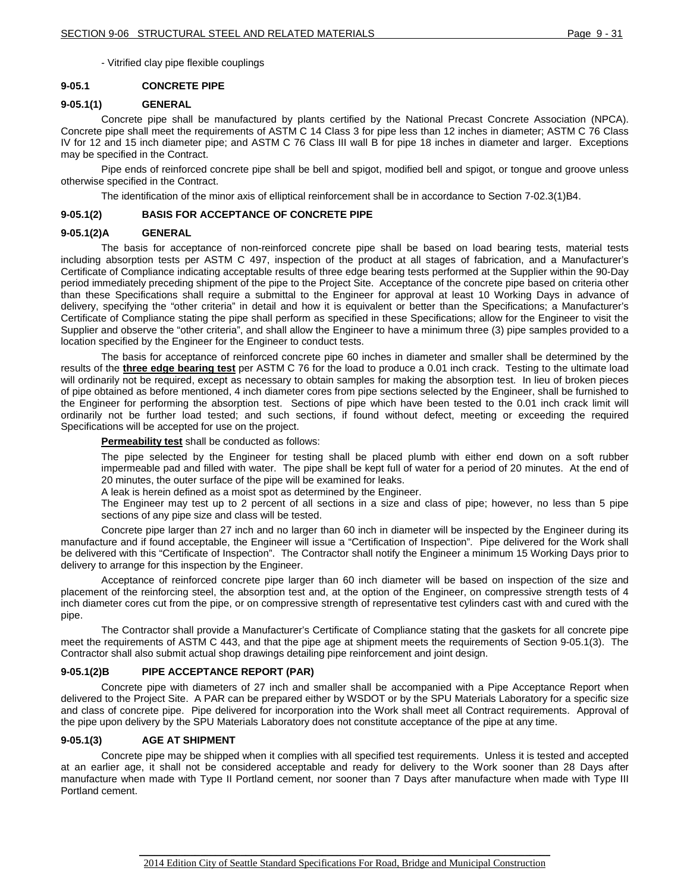- Vitrified clay pipe flexible couplings

### **9-05.1 CONCRETE PIPE**

### **9-05.1(1) GENERAL**

Concrete pipe shall be manufactured by plants certified by the National Precast Concrete Association (NPCA). Concrete pipe shall meet the requirements of ASTM C 14 Class 3 for pipe less than 12 inches in diameter; ASTM C 76 Class IV for 12 and 15 inch diameter pipe; and ASTM C 76 Class III wall B for pipe 18 inches in diameter and larger. Exceptions may be specified in the Contract.

Pipe ends of reinforced concrete pipe shall be bell and spigot, modified bell and spigot, or tongue and groove unless otherwise specified in the Contract.

The identification of the minor axis of elliptical reinforcement shall be in accordance to Section 7-02.3(1)B4.

### **9-05.1(2) BASIS FOR ACCEPTANCE OF CONCRETE PIPE**

### **9-05.1(2)A GENERAL**

The basis for acceptance of non-reinforced concrete pipe shall be based on load bearing tests, material tests including absorption tests per ASTM C 497, inspection of the product at all stages of fabrication, and a Manufacturer's Certificate of Compliance indicating acceptable results of three edge bearing tests performed at the Supplier within the 90-Day period immediately preceding shipment of the pipe to the Project Site. Acceptance of the concrete pipe based on criteria other than these Specifications shall require a submittal to the Engineer for approval at least 10 Working Days in advance of delivery, specifying the "other criteria" in detail and how it is equivalent or better than the Specifications; a Manufacturer's Certificate of Compliance stating the pipe shall perform as specified in these Specifications; allow for the Engineer to visit the Supplier and observe the "other criteria", and shall allow the Engineer to have a minimum three (3) pipe samples provided to a location specified by the Engineer for the Engineer to conduct tests.

The basis for acceptance of reinforced concrete pipe 60 inches in diameter and smaller shall be determined by the results of the **three edge bearing test** per ASTM C 76 for the load to produce a 0.01 inch crack. Testing to the ultimate load will ordinarily not be required, except as necessary to obtain samples for making the absorption test. In lieu of broken pieces of pipe obtained as before mentioned, 4 inch diameter cores from pipe sections selected by the Engineer, shall be furnished to the Engineer for performing the absorption test. Sections of pipe which have been tested to the 0.01 inch crack limit will ordinarily not be further load tested; and such sections, if found without defect, meeting or exceeding the required Specifications will be accepted for use on the project.

### **Permeability test** shall be conducted as follows:

The pipe selected by the Engineer for testing shall be placed plumb with either end down on a soft rubber impermeable pad and filled with water. The pipe shall be kept full of water for a period of 20 minutes. At the end of 20 minutes, the outer surface of the pipe will be examined for leaks.

A leak is herein defined as a moist spot as determined by the Engineer.

The Engineer may test up to 2 percent of all sections in a size and class of pipe; however, no less than 5 pipe sections of any pipe size and class will be tested.

Concrete pipe larger than 27 inch and no larger than 60 inch in diameter will be inspected by the Engineer during its manufacture and if found acceptable, the Engineer will issue a "Certification of Inspection". Pipe delivered for the Work shall be delivered with this "Certificate of Inspection". The Contractor shall notify the Engineer a minimum 15 Working Days prior to delivery to arrange for this inspection by the Engineer.

Acceptance of reinforced concrete pipe larger than 60 inch diameter will be based on inspection of the size and placement of the reinforcing steel, the absorption test and, at the option of the Engineer, on compressive strength tests of 4 inch diameter cores cut from the pipe, or on compressive strength of representative test cylinders cast with and cured with the pipe.

The Contractor shall provide a Manufacturer's Certificate of Compliance stating that the gaskets for all concrete pipe meet the requirements of ASTM C 443, and that the pipe age at shipment meets the requirements of Section 9-05.1(3). The Contractor shall also submit actual shop drawings detailing pipe reinforcement and joint design.

### **9-05.1(2)B PIPE ACCEPTANCE REPORT (PAR)**

Concrete pipe with diameters of 27 inch and smaller shall be accompanied with a Pipe Acceptance Report when delivered to the Project Site. A PAR can be prepared either by WSDOT or by the SPU Materials Laboratory for a specific size and class of concrete pipe. Pipe delivered for incorporation into the Work shall meet all Contract requirements. Approval of the pipe upon delivery by the SPU Materials Laboratory does not constitute acceptance of the pipe at any time.

### **9-05.1(3) AGE AT SHIPMENT**

Concrete pipe may be shipped when it complies with all specified test requirements. Unless it is tested and accepted at an earlier age, it shall not be considered acceptable and ready for delivery to the Work sooner than 28 Days after manufacture when made with Type II Portland cement, nor sooner than 7 Days after manufacture when made with Type III Portland cement.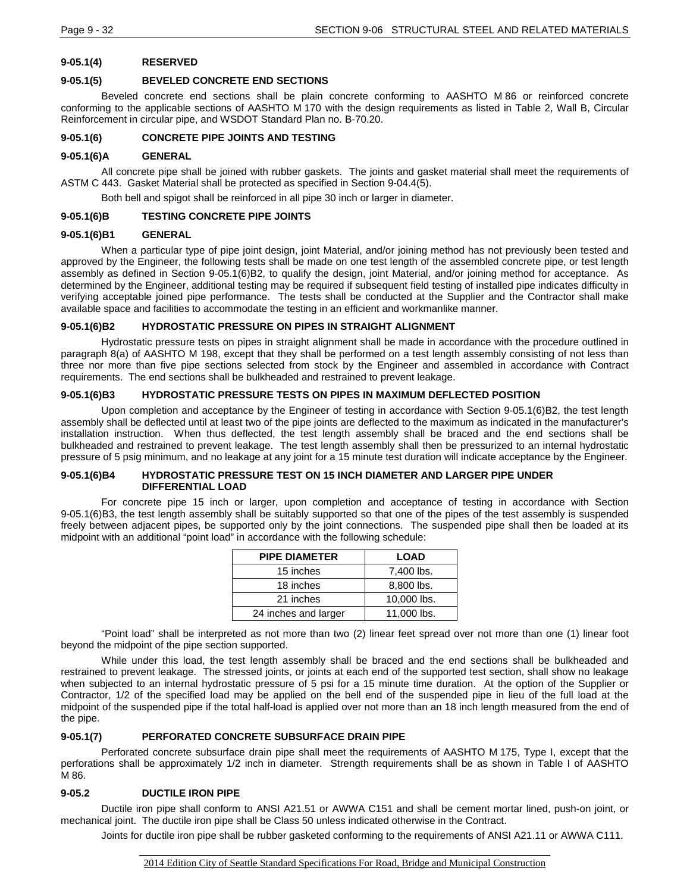## **9-05.1(4) RESERVED**

### **9-05.1(5) BEVELED CONCRETE END SECTIONS**

Beveled concrete end sections shall be plain concrete conforming to AASHTO M 86 or reinforced concrete conforming to the applicable sections of AASHTO M 170 with the design requirements as listed in Table 2, Wall B, Circular Reinforcement in circular pipe, and WSDOT Standard Plan no. B-70.20.

## **9-05.1(6) CONCRETE PIPE JOINTS AND TESTING**

#### **9-05.1(6)A GENERAL**

All concrete pipe shall be joined with rubber gaskets. The joints and gasket material shall meet the requirements of ASTM C 443. Gasket Material shall be protected as specified in Section 9-04.4(5).

Both bell and spigot shall be reinforced in all pipe 30 inch or larger in diameter.

### **9-05.1(6)B TESTING CONCRETE PIPE JOINTS**

### **9-05.1(6)B1 GENERAL**

When a particular type of pipe joint design, joint Material, and/or joining method has not previously been tested and approved by the Engineer, the following tests shall be made on one test length of the assembled concrete pipe, or test length assembly as defined in Section 9-05.1(6)B2, to qualify the design, joint Material, and/or joining method for acceptance. As determined by the Engineer, additional testing may be required if subsequent field testing of installed pipe indicates difficulty in verifying acceptable joined pipe performance. The tests shall be conducted at the Supplier and the Contractor shall make available space and facilities to accommodate the testing in an efficient and workmanlike manner.

## **9-05.1(6)B2 HYDROSTATIC PRESSURE ON PIPES IN STRAIGHT ALIGNMENT**

Hydrostatic pressure tests on pipes in straight alignment shall be made in accordance with the procedure outlined in paragraph 8(a) of AASHTO M 198, except that they shall be performed on a test length assembly consisting of not less than three nor more than five pipe sections selected from stock by the Engineer and assembled in accordance with Contract requirements. The end sections shall be bulkheaded and restrained to prevent leakage.

### **9-05.1(6)B3 HYDROSTATIC PRESSURE TESTS ON PIPES IN MAXIMUM DEFLECTED POSITION**

Upon completion and acceptance by the Engineer of testing in accordance with Section 9-05.1(6)B2, the test length assembly shall be deflected until at least two of the pipe joints are deflected to the maximum as indicated in the manufacturer's installation instruction. When thus deflected, the test length assembly shall be braced and the end sections shall be bulkheaded and restrained to prevent leakage. The test length assembly shall then be pressurized to an internal hydrostatic pressure of 5 psig minimum, and no leakage at any joint for a 15 minute test duration will indicate acceptance by the Engineer.

### **9-05.1(6)B4 HYDROSTATIC PRESSURE TEST ON 15 INCH DIAMETER AND LARGER PIPE UNDER DIFFERENTIAL LOAD**

For concrete pipe 15 inch or larger, upon completion and acceptance of testing in accordance with Section 9-05.1(6)B3, the test length assembly shall be suitably supported so that one of the pipes of the test assembly is suspended freely between adjacent pipes, be supported only by the joint connections. The suspended pipe shall then be loaded at its midpoint with an additional "point load" in accordance with the following schedule:

| <b>PIPE DIAMETER</b> | <b>LOAD</b> |
|----------------------|-------------|
| 15 inches            | 7,400 lbs.  |
| 18 inches            | 8,800 lbs.  |
| 21 inches            | 10,000 lbs. |
| 24 inches and larger | 11,000 lbs. |

"Point load" shall be interpreted as not more than two (2) linear feet spread over not more than one (1) linear foot beyond the midpoint of the pipe section supported.

While under this load, the test length assembly shall be braced and the end sections shall be bulkheaded and restrained to prevent leakage. The stressed joints, or joints at each end of the supported test section, shall show no leakage when subjected to an internal hydrostatic pressure of 5 psi for a 15 minute time duration. At the option of the Supplier or Contractor, 1/2 of the specified load may be applied on the bell end of the suspended pipe in lieu of the full load at the midpoint of the suspended pipe if the total half-load is applied over not more than an 18 inch length measured from the end of the pipe.

### **9-05.1(7) PERFORATED CONCRETE SUBSURFACE DRAIN PIPE**

Perforated concrete subsurface drain pipe shall meet the requirements of AASHTO M 175, Type I, except that the perforations shall be approximately 1/2 inch in diameter. Strength requirements shall be as shown in Table I of AASHTO M 86.

### **9-05.2 DUCTILE IRON PIPE**

Ductile iron pipe shall conform to ANSI A21.51 or AWWA C151 and shall be cement mortar lined, push-on joint, or mechanical joint. The ductile iron pipe shall be Class 50 unless indicated otherwise in the Contract.

Joints for ductile iron pipe shall be rubber gasketed conforming to the requirements of ANSI A21.11 or AWWA C111.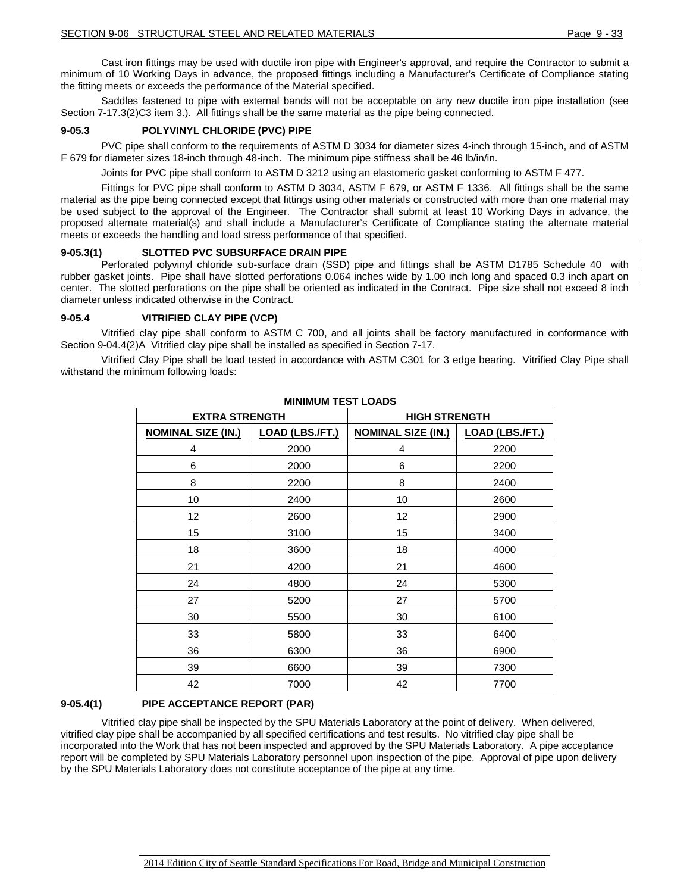Cast iron fittings may be used with ductile iron pipe with Engineer's approval, and require the Contractor to submit a minimum of 10 Working Days in advance, the proposed fittings including a Manufacturer's Certificate of Compliance stating the fitting meets or exceeds the performance of the Material specified.

Saddles fastened to pipe with external bands will not be acceptable on any new ductile iron pipe installation (see Section 7-17.3(2)C3 item 3.). All fittings shall be the same material as the pipe being connected.

### **9-05.3 POLYVINYL CHLORIDE (PVC) PIPE**

PVC pipe shall conform to the requirements of ASTM D 3034 for diameter sizes 4-inch through 15-inch, and of ASTM F 679 for diameter sizes 18-inch through 48-inch. The minimum pipe stiffness shall be 46 lb/in/in.

Joints for PVC pipe shall conform to ASTM D 3212 using an elastomeric gasket conforming to ASTM F 477.

Fittings for PVC pipe shall conform to ASTM D 3034, ASTM F 679, or ASTM F 1336. All fittings shall be the same material as the pipe being connected except that fittings using other materials or constructed with more than one material may be used subject to the approval of the Engineer. The Contractor shall submit at least 10 Working Days in advance, the proposed alternate material(s) and shall include a Manufacturer's Certificate of Compliance stating the alternate material meets or exceeds the handling and load stress performance of that specified.

#### **9-05.3(1) SLOTTED PVC SUBSURFACE DRAIN PIPE**

Perforated polyvinyl chloride sub-surface drain (SSD) pipe and fittings shall be ASTM D1785 Schedule 40 with rubber gasket joints. Pipe shall have slotted perforations 0.064 inches wide by 1.00 inch long and spaced 0.3 inch apart on center. The slotted perforations on the pipe shall be oriented as indicated in the Contract. Pipe size shall not exceed 8 inch diameter unless indicated otherwise in the Contract.

### **9-05.4 VITRIFIED CLAY PIPE (VCP)**

Vitrified clay pipe shall conform to ASTM C 700, and all joints shall be factory manufactured in conformance with Section 9-04.4(2)A Vitrified clay pipe shall be installed as specified in Section 7-17.

Vitrified Clay Pipe shall be load tested in accordance with ASTM C301 for 3 edge bearing. Vitrified Clay Pipe shall withstand the minimum following loads:

| MINIMUM IESI LUADS        |                 |                           |                        |  |
|---------------------------|-----------------|---------------------------|------------------------|--|
| <b>EXTRA STRENGTH</b>     |                 | <b>HIGH STRENGTH</b>      |                        |  |
| <b>NOMINAL SIZE (IN.)</b> | LOAD (LBS./FT.) | <b>NOMINAL SIZE (IN.)</b> | <b>LOAD (LBS./FT.)</b> |  |
| 4                         | 2000            | 4                         | 2200                   |  |
| 6                         | 2000            | 6                         | 2200                   |  |
| 8                         | 2200            | 8                         | 2400                   |  |
| 10                        | 2400            | 10                        | 2600                   |  |
| 12                        | 2600            | 12                        | 2900                   |  |
| 15                        | 3100            | 15                        | 3400                   |  |
| 18                        | 3600            | 18                        | 4000                   |  |
| 21                        | 4200            | 21                        | 4600                   |  |
| 24                        | 4800            | 24                        | 5300                   |  |
| 27                        | 5200            | 27                        | 5700                   |  |
| 30                        | 5500            | 30                        | 6100                   |  |
| 33                        | 5800            | 33                        | 6400                   |  |
| 36                        | 6300            | 36                        | 6900                   |  |
| 39                        | 6600            | 39                        | 7300                   |  |
| 42                        | 7000            | 42                        | 7700                   |  |

### **MINIMUM TEST LOADS**

## **9-05.4(1) PIPE ACCEPTANCE REPORT (PAR)**

Vitrified clay pipe shall be inspected by the SPU Materials Laboratory at the point of delivery. When delivered, vitrified clay pipe shall be accompanied by all specified certifications and test results. No vitrified clay pipe shall be incorporated into the Work that has not been inspected and approved by the SPU Materials Laboratory. A pipe acceptance report will be completed by SPU Materials Laboratory personnel upon inspection of the pipe. Approval of pipe upon delivery by the SPU Materials Laboratory does not constitute acceptance of the pipe at any time.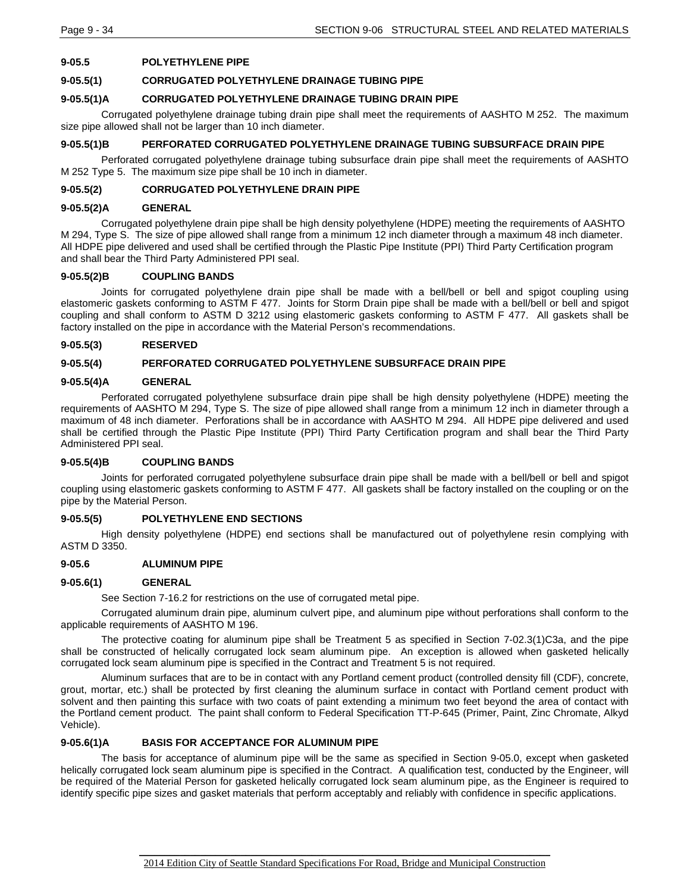## **9-05.5 POLYETHYLENE PIPE**

### **9-05.5(1) CORRUGATED POLYETHYLENE DRAINAGE TUBING PIPE**

## **9-05.5(1)A CORRUGATED POLYETHYLENE DRAINAGE TUBING DRAIN PIPE**

Corrugated polyethylene drainage tubing drain pipe shall meet the requirements of AASHTO M 252. The maximum size pipe allowed shall not be larger than 10 inch diameter.

### **9-05.5(1)B PERFORATED CORRUGATED POLYETHYLENE DRAINAGE TUBING SUBSURFACE DRAIN PIPE**

Perforated corrugated polyethylene drainage tubing subsurface drain pipe shall meet the requirements of AASHTO M 252 Type 5. The maximum size pipe shall be 10 inch in diameter.

### **9-05.5(2) CORRUGATED POLYETHYLENE DRAIN PIPE**

### **9-05.5(2)A GENERAL**

Corrugated polyethylene drain pipe shall be high density polyethylene (HDPE) meeting the requirements of AASHTO M 294, Type S. The size of pipe allowed shall range from a minimum 12 inch diameter through a maximum 48 inch diameter. All HDPE pipe delivered and used shall be certified through the Plastic Pipe Institute (PPI) Third Party Certification program and shall bear the Third Party Administered PPI seal.

### **9-05.5(2)B COUPLING BANDS**

Joints for corrugated polyethylene drain pipe shall be made with a bell/bell or bell and spigot coupling using elastomeric gaskets conforming to ASTM F 477. Joints for Storm Drain pipe shall be made with a bell/bell or bell and spigot coupling and shall conform to ASTM D 3212 using elastomeric gaskets conforming to ASTM F 477. All gaskets shall be factory installed on the pipe in accordance with the Material Person's recommendations.

### **9-05.5(3) RESERVED**

### **9-05.5(4) PERFORATED CORRUGATED POLYETHYLENE SUBSURFACE DRAIN PIPE**

### **9-05.5(4)A GENERAL**

Perforated corrugated polyethylene subsurface drain pipe shall be high density polyethylene (HDPE) meeting the requirements of AASHTO M 294, Type S. The size of pipe allowed shall range from a minimum 12 inch in diameter through a maximum of 48 inch diameter. Perforations shall be in accordance with AASHTO M 294. All HDPE pipe delivered and used shall be certified through the Plastic Pipe Institute (PPI) Third Party Certification program and shall bear the Third Party Administered PPI seal.

## **9-05.5(4)B COUPLING BANDS**

Joints for perforated corrugated polyethylene subsurface drain pipe shall be made with a bell/bell or bell and spigot coupling using elastomeric gaskets conforming to ASTM F 477. All gaskets shall be factory installed on the coupling or on the pipe by the Material Person.

### **9-05.5(5) POLYETHYLENE END SECTIONS**

High density polyethylene (HDPE) end sections shall be manufactured out of polyethylene resin complying with ASTM D 3350.

#### **9-05.6 ALUMINUM PIPE**

#### **9-05.6(1) GENERAL**

See Section 7-16.2 for restrictions on the use of corrugated metal pipe.

Corrugated aluminum drain pipe, aluminum culvert pipe, and aluminum pipe without perforations shall conform to the applicable requirements of AASHTO M 196.

The protective coating for aluminum pipe shall be Treatment 5 as specified in Section 7-02.3(1)C3a, and the pipe shall be constructed of helically corrugated lock seam aluminum pipe. An exception is allowed when gasketed helically corrugated lock seam aluminum pipe is specified in the Contract and Treatment 5 is not required.

Aluminum surfaces that are to be in contact with any Portland cement product (controlled density fill (CDF), concrete, grout, mortar, etc.) shall be protected by first cleaning the aluminum surface in contact with Portland cement product with solvent and then painting this surface with two coats of paint extending a minimum two feet beyond the area of contact with the Portland cement product. The paint shall conform to Federal Specification TT-P-645 (Primer, Paint, Zinc Chromate, Alkyd Vehicle).

## **9-05.6(1)A BASIS FOR ACCEPTANCE FOR ALUMINUM PIPE**

The basis for acceptance of aluminum pipe will be the same as specified in Section 9-05.0, except when gasketed helically corrugated lock seam aluminum pipe is specified in the Contract. A qualification test, conducted by the Engineer, will be required of the Material Person for gasketed helically corrugated lock seam aluminum pipe, as the Engineer is required to identify specific pipe sizes and gasket materials that perform acceptably and reliably with confidence in specific applications.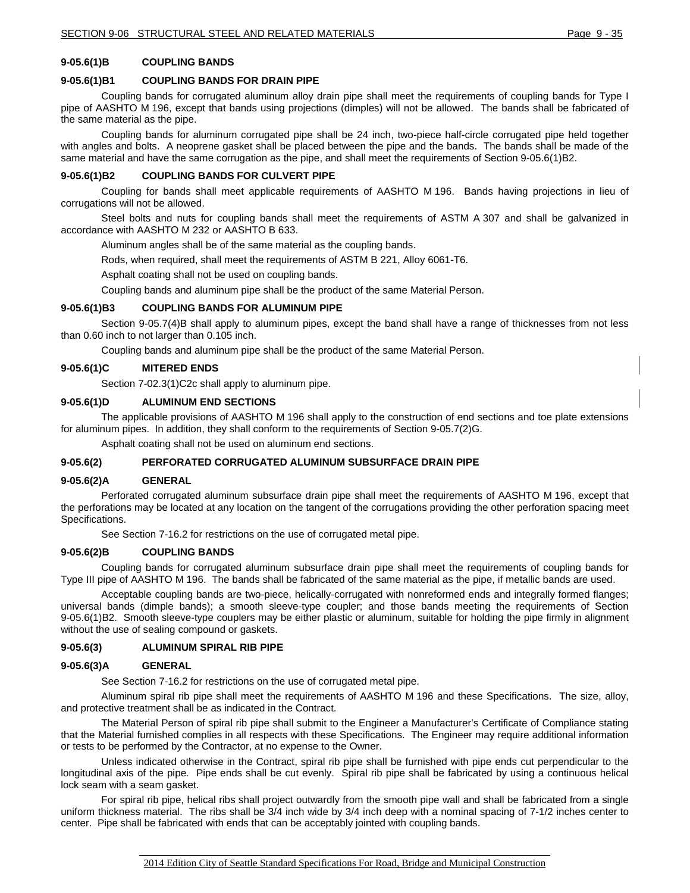## **9-05.6(1)B COUPLING BANDS**

### **9-05.6(1)B1 COUPLING BANDS FOR DRAIN PIPE**

Coupling bands for corrugated aluminum alloy drain pipe shall meet the requirements of coupling bands for Type I pipe of AASHTO M 196, except that bands using projections (dimples) will not be allowed. The bands shall be fabricated of the same material as the pipe.

Coupling bands for aluminum corrugated pipe shall be 24 inch, two-piece half-circle corrugated pipe held together with angles and bolts. A neoprene gasket shall be placed between the pipe and the bands. The bands shall be made of the same material and have the same corrugation as the pipe, and shall meet the requirements of Section 9-05.6(1)B2.

#### **9-05.6(1)B2 COUPLING BANDS FOR CULVERT PIPE**

Coupling for bands shall meet applicable requirements of AASHTO M 196. Bands having projections in lieu of corrugations will not be allowed.

Steel bolts and nuts for coupling bands shall meet the requirements of ASTM A 307 and shall be galvanized in accordance with AASHTO M 232 or AASHTO B 633.

Aluminum angles shall be of the same material as the coupling bands.

Rods, when required, shall meet the requirements of ASTM B 221, Alloy 6061-T6.

Asphalt coating shall not be used on coupling bands.

Coupling bands and aluminum pipe shall be the product of the same Material Person.

### **9-05.6(1)B3 COUPLING BANDS FOR ALUMINUM PIPE**

Section 9-05.7(4)B shall apply to aluminum pipes, except the band shall have a range of thicknesses from not less than 0.60 inch to not larger than 0.105 inch.

Coupling bands and aluminum pipe shall be the product of the same Material Person.

### **9-05.6(1)C MITERED ENDS**

Section 7-02.3(1)C2c shall apply to aluminum pipe.

### **9-05.6(1)D ALUMINUM END SECTIONS**

The applicable provisions of AASHTO M 196 shall apply to the construction of end sections and toe plate extensions for aluminum pipes. In addition, they shall conform to the requirements of Section 9-05.7(2)G.

Asphalt coating shall not be used on aluminum end sections.

### **9-05.6(2) PERFORATED CORRUGATED ALUMINUM SUBSURFACE DRAIN PIPE**

#### **9-05.6(2)A GENERAL**

Perforated corrugated aluminum subsurface drain pipe shall meet the requirements of AASHTO M 196, except that the perforations may be located at any location on the tangent of the corrugations providing the other perforation spacing meet Specifications.

See Section 7-16.2 for restrictions on the use of corrugated metal pipe.

#### **9-05.6(2)B COUPLING BANDS**

Coupling bands for corrugated aluminum subsurface drain pipe shall meet the requirements of coupling bands for Type III pipe of AASHTO M 196. The bands shall be fabricated of the same material as the pipe, if metallic bands are used.

Acceptable coupling bands are two-piece, helically-corrugated with nonreformed ends and integrally formed flanges; universal bands (dimple bands); a smooth sleeve-type coupler; and those bands meeting the requirements of Section 9-05.6(1)B2. Smooth sleeve-type couplers may be either plastic or aluminum, suitable for holding the pipe firmly in alignment without the use of sealing compound or gaskets.

#### **9-05.6(3) ALUMINUM SPIRAL RIB PIPE**

#### **9-05.6(3)A GENERAL**

See Section 7-16.2 for restrictions on the use of corrugated metal pipe.

Aluminum spiral rib pipe shall meet the requirements of AASHTO M 196 and these Specifications. The size, alloy, and protective treatment shall be as indicated in the Contract.

The Material Person of spiral rib pipe shall submit to the Engineer a Manufacturer's Certificate of Compliance stating that the Material furnished complies in all respects with these Specifications. The Engineer may require additional information or tests to be performed by the Contractor, at no expense to the Owner.

Unless indicated otherwise in the Contract, spiral rib pipe shall be furnished with pipe ends cut perpendicular to the longitudinal axis of the pipe. Pipe ends shall be cut evenly. Spiral rib pipe shall be fabricated by using a continuous helical lock seam with a seam gasket.

For spiral rib pipe, helical ribs shall project outwardly from the smooth pipe wall and shall be fabricated from a single uniform thickness material. The ribs shall be 3/4 inch wide by 3/4 inch deep with a nominal spacing of 7-1/2 inches center to center. Pipe shall be fabricated with ends that can be acceptably jointed with coupling bands.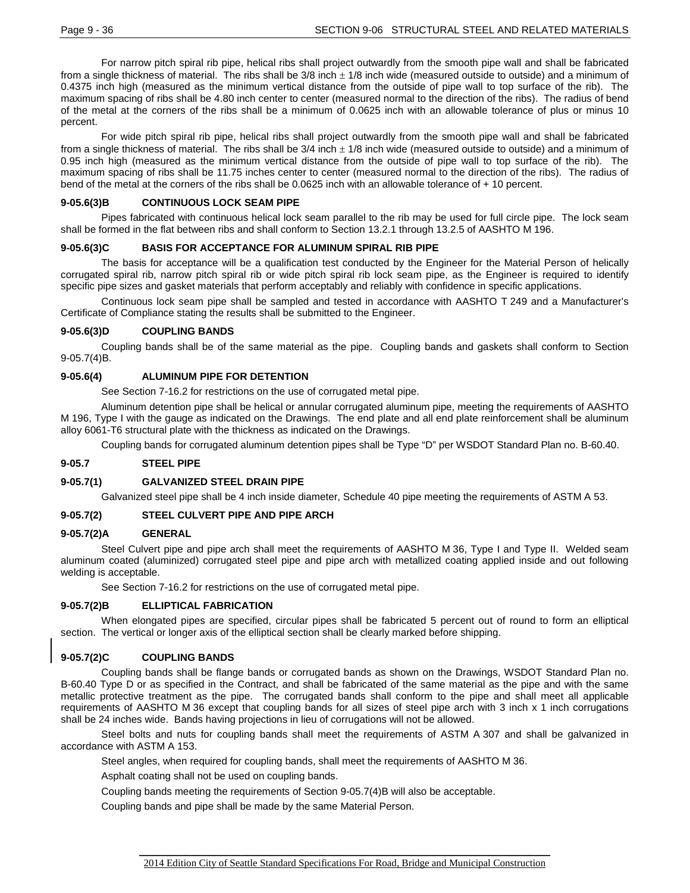For narrow pitch spiral rib pipe, helical ribs shall project outwardly from the smooth pipe wall and shall be fabricated from a single thickness of material. The ribs shall be  $3/8$  inch  $\pm$  1/8 inch wide (measured outside to outside) and a minimum of 0.4375 inch high (measured as the minimum vertical distance from the outside of pipe wall to top surface of the rib). The maximum spacing of ribs shall be 4.80 inch center to center (measured normal to the direction of the ribs). The radius of bend of the metal at the corners of the ribs shall be a minimum of 0.0625 inch with an allowable tolerance of plus or minus 10 percent.

For wide pitch spiral rib pipe, helical ribs shall project outwardly from the smooth pipe wall and shall be fabricated from a single thickness of material. The ribs shall be  $3/4$  inch  $\pm$  1/8 inch wide (measured outside to outside) and a minimum of 0.95 inch high (measured as the minimum vertical distance from the outside of pipe wall to top surface of the rib). The maximum spacing of ribs shall be 11.75 inches center to center (measured normal to the direction of the ribs). The radius of bend of the metal at the corners of the ribs shall be 0.0625 inch with an allowable tolerance of + 10 percent.

### **9-05.6(3)B CONTINUOUS LOCK SEAM PIPE**

Pipes fabricated with continuous helical lock seam parallel to the rib may be used for full circle pipe. The lock seam shall be formed in the flat between ribs and shall conform to Section 13.2.1 through 13.2.5 of AASHTO M 196.

### **9-05.6(3)C BASIS FOR ACCEPTANCE FOR ALUMINUM SPIRAL RIB PIPE**

The basis for acceptance will be a qualification test conducted by the Engineer for the Material Person of helically corrugated spiral rib, narrow pitch spiral rib or wide pitch spiral rib lock seam pipe, as the Engineer is required to identify specific pipe sizes and gasket materials that perform acceptably and reliably with confidence in specific applications.

Continuous lock seam pipe shall be sampled and tested in accordance with AASHTO T 249 and a Manufacturer's Certificate of Compliance stating the results shall be submitted to the Engineer.

### **9-05.6(3)D COUPLING BANDS**

Coupling bands shall be of the same material as the pipe. Coupling bands and gaskets shall conform to Section 9-05.7(4)B.

### **9-05.6(4) ALUMINUM PIPE FOR DETENTION**

See Section 7-16.2 for restrictions on the use of corrugated metal pipe.

Aluminum detention pipe shall be helical or annular corrugated aluminum pipe, meeting the requirements of AASHTO M 196, Type I with the gauge as indicated on the Drawings. The end plate and all end plate reinforcement shall be aluminum alloy 6061-T6 structural plate with the thickness as indicated on the Drawings.

Coupling bands for corrugated aluminum detention pipes shall be Type "D" per WSDOT Standard Plan no. B-60.40.

### **9-05.7 STEEL PIPE**

### **9-05.7(1) GALVANIZED STEEL DRAIN PIPE**

Galvanized steel pipe shall be 4 inch inside diameter, Schedule 40 pipe meeting the requirements of ASTM A 53.

### **9-05.7(2) STEEL CULVERT PIPE AND PIPE ARCH**

#### **9-05.7(2)A GENERAL**

Steel Culvert pipe and pipe arch shall meet the requirements of AASHTO M 36, Type I and Type II. Welded seam aluminum coated (aluminized) corrugated steel pipe and pipe arch with metallized coating applied inside and out following welding is acceptable.

See Section 7-16.2 for restrictions on the use of corrugated metal pipe.

#### **9-05.7(2)B ELLIPTICAL FABRICATION**

When elongated pipes are specified, circular pipes shall be fabricated 5 percent out of round to form an elliptical section. The vertical or longer axis of the elliptical section shall be clearly marked before shipping.

### **9-05.7(2)C COUPLING BANDS**

Coupling bands shall be flange bands or corrugated bands as shown on the Drawings, WSDOT Standard Plan no. B-60.40 Type D or as specified in the Contract, and shall be fabricated of the same material as the pipe and with the same metallic protective treatment as the pipe. The corrugated bands shall conform to the pipe and shall meet all applicable requirements of AASHTO M 36 except that coupling bands for all sizes of steel pipe arch with 3 inch x 1 inch corrugations shall be 24 inches wide. Bands having projections in lieu of corrugations will not be allowed.

Steel bolts and nuts for coupling bands shall meet the requirements of ASTM A 307 and shall be galvanized in accordance with ASTM A 153.

Steel angles, when required for coupling bands, shall meet the requirements of AASHTO M 36.

Asphalt coating shall not be used on coupling bands.

Coupling bands meeting the requirements of Section 9-05.7(4)B will also be acceptable.

Coupling bands and pipe shall be made by the same Material Person.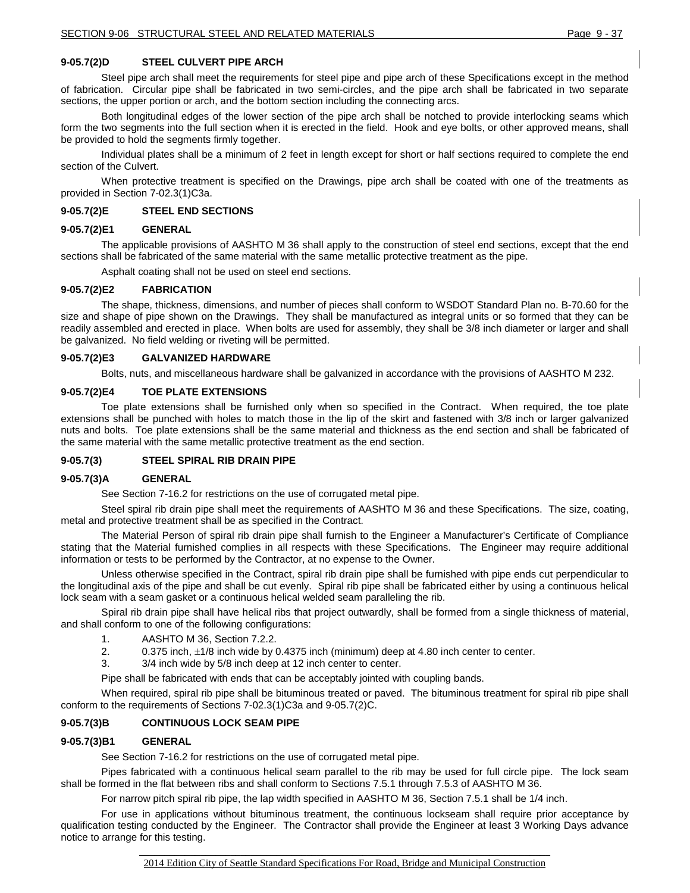### **9-05.7(2)D STEEL CULVERT PIPE ARCH**

Steel pipe arch shall meet the requirements for steel pipe and pipe arch of these Specifications except in the method of fabrication. Circular pipe shall be fabricated in two semi-circles, and the pipe arch shall be fabricated in two separate sections, the upper portion or arch, and the bottom section including the connecting arcs.

Both longitudinal edges of the lower section of the pipe arch shall be notched to provide interlocking seams which form the two segments into the full section when it is erected in the field. Hook and eye bolts, or other approved means, shall be provided to hold the segments firmly together.

Individual plates shall be a minimum of 2 feet in length except for short or half sections required to complete the end section of the Culvert.

When protective treatment is specified on the Drawings, pipe arch shall be coated with one of the treatments as provided in Section 7-02.3(1)C3a.

#### **9-05.7(2)E STEEL END SECTIONS**

#### **9-05.7(2)E1 GENERAL**

The applicable provisions of AASHTO M 36 shall apply to the construction of steel end sections, except that the end sections shall be fabricated of the same material with the same metallic protective treatment as the pipe.

Asphalt coating shall not be used on steel end sections.

#### **9-05.7(2)E2 FABRICATION**

The shape, thickness, dimensions, and number of pieces shall conform to WSDOT Standard Plan no. B-70.60 for the size and shape of pipe shown on the Drawings. They shall be manufactured as integral units or so formed that they can be readily assembled and erected in place. When bolts are used for assembly, they shall be 3/8 inch diameter or larger and shall be galvanized. No field welding or riveting will be permitted.

#### **9-05.7(2)E3 GALVANIZED HARDWARE**

Bolts, nuts, and miscellaneous hardware shall be galvanized in accordance with the provisions of AASHTO M 232.

#### **9-05.7(2)E4 TOE PLATE EXTENSIONS**

Toe plate extensions shall be furnished only when so specified in the Contract. When required, the toe plate extensions shall be punched with holes to match those in the lip of the skirt and fastened with 3/8 inch or larger galvanized nuts and bolts. Toe plate extensions shall be the same material and thickness as the end section and shall be fabricated of the same material with the same metallic protective treatment as the end section.

#### **9-05.7(3) STEEL SPIRAL RIB DRAIN PIPE**

#### **9-05.7(3)A GENERAL**

See Section 7-16.2 for restrictions on the use of corrugated metal pipe.

Steel spiral rib drain pipe shall meet the requirements of AASHTO M 36 and these Specifications. The size, coating, metal and protective treatment shall be as specified in the Contract.

The Material Person of spiral rib drain pipe shall furnish to the Engineer a Manufacturer's Certificate of Compliance stating that the Material furnished complies in all respects with these Specifications. The Engineer may require additional information or tests to be performed by the Contractor, at no expense to the Owner.

Unless otherwise specified in the Contract, spiral rib drain pipe shall be furnished with pipe ends cut perpendicular to the longitudinal axis of the pipe and shall be cut evenly. Spiral rib pipe shall be fabricated either by using a continuous helical lock seam with a seam gasket or a continuous helical welded seam paralleling the rib.

Spiral rib drain pipe shall have helical ribs that project outwardly, shall be formed from a single thickness of material, and shall conform to one of the following configurations:

- 1. AASHTO M 36, Section 7.2.2.
- 2. 0.375 inch, ±1/8 inch wide by 0.4375 inch (minimum) deep at 4.80 inch center to center.
- 3. 3/4 inch wide by 5/8 inch deep at 12 inch center to center.

Pipe shall be fabricated with ends that can be acceptably jointed with coupling bands.

When required, spiral rib pipe shall be bituminous treated or paved. The bituminous treatment for spiral rib pipe shall conform to the requirements of Sections 7-02.3(1)C3a and 9-05.7(2)C.

#### **9-05.7(3)B CONTINUOUS LOCK SEAM PIPE**

#### **9-05.7(3)B1 GENERAL**

See Section 7-16.2 for restrictions on the use of corrugated metal pipe.

Pipes fabricated with a continuous helical seam parallel to the rib may be used for full circle pipe. The lock seam shall be formed in the flat between ribs and shall conform to Sections 7.5.1 through 7.5.3 of AASHTO M 36.

For narrow pitch spiral rib pipe, the lap width specified in AASHTO M 36, Section 7.5.1 shall be 1/4 inch.

For use in applications without bituminous treatment, the continuous lockseam shall require prior acceptance by qualification testing conducted by the Engineer. The Contractor shall provide the Engineer at least 3 Working Days advance notice to arrange for this testing.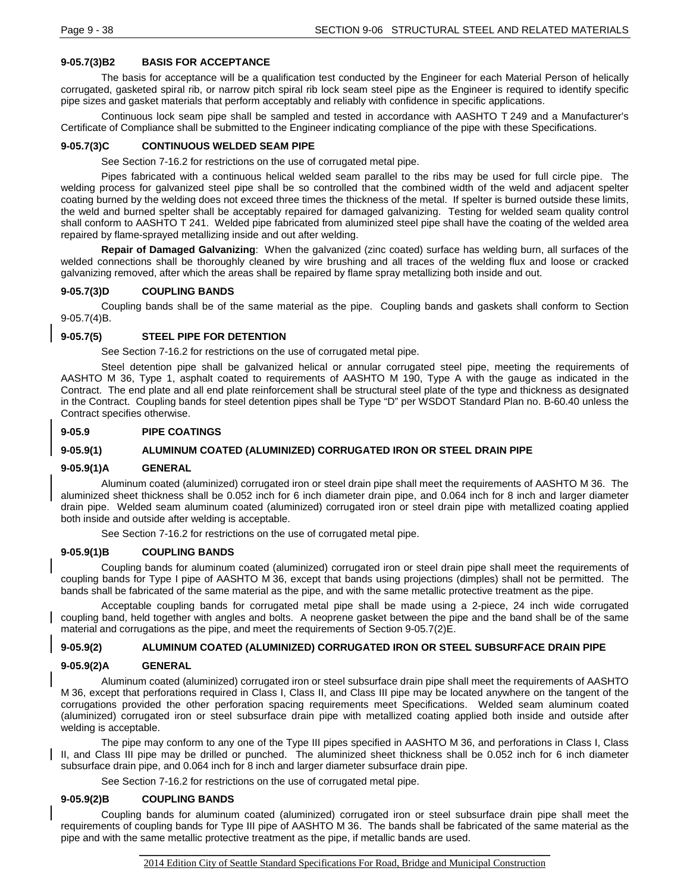## **9-05.7(3)B2 BASIS FOR ACCEPTANCE**

The basis for acceptance will be a qualification test conducted by the Engineer for each Material Person of helically corrugated, gasketed spiral rib, or narrow pitch spiral rib lock seam steel pipe as the Engineer is required to identify specific pipe sizes and gasket materials that perform acceptably and reliably with confidence in specific applications.

Continuous lock seam pipe shall be sampled and tested in accordance with AASHTO T 249 and a Manufacturer's Certificate of Compliance shall be submitted to the Engineer indicating compliance of the pipe with these Specifications.

## **9-05.7(3)C CONTINUOUS WELDED SEAM PIPE**

See Section 7-16.2 for restrictions on the use of corrugated metal pipe.

Pipes fabricated with a continuous helical welded seam parallel to the ribs may be used for full circle pipe. The welding process for galvanized steel pipe shall be so controlled that the combined width of the weld and adjacent spelter coating burned by the welding does not exceed three times the thickness of the metal. If spelter is burned outside these limits, the weld and burned spelter shall be acceptably repaired for damaged galvanizing. Testing for welded seam quality control shall conform to AASHTO T 241. Welded pipe fabricated from aluminized steel pipe shall have the coating of the welded area repaired by flame-sprayed metallizing inside and out after welding.

**Repair of Damaged Galvanizing**: When the galvanized (zinc coated) surface has welding burn, all surfaces of the welded connections shall be thoroughly cleaned by wire brushing and all traces of the welding flux and loose or cracked galvanizing removed, after which the areas shall be repaired by flame spray metallizing both inside and out.

## **9-05.7(3)D COUPLING BANDS**

Coupling bands shall be of the same material as the pipe. Coupling bands and gaskets shall conform to Section 9-05.7(4)B.

### **9-05.7(5) STEEL PIPE FOR DETENTION**

See Section 7-16.2 for restrictions on the use of corrugated metal pipe.

Steel detention pipe shall be galvanized helical or annular corrugated steel pipe, meeting the requirements of AASHTO M 36, Type 1, asphalt coated to requirements of AASHTO M 190, Type A with the gauge as indicated in the Contract. The end plate and all end plate reinforcement shall be structural steel plate of the type and thickness as designated in the Contract. Coupling bands for steel detention pipes shall be Type "D" per WSDOT Standard Plan no. B-60.40 unless the Contract specifies otherwise.

### **9-05.9 PIPE COATINGS**

## **9-05.9(1) ALUMINUM COATED (ALUMINIZED) CORRUGATED IRON OR STEEL DRAIN PIPE**

### **9-05.9(1)A GENERAL**

Aluminum coated (aluminized) corrugated iron or steel drain pipe shall meet the requirements of AASHTO M 36. The aluminized sheet thickness shall be 0.052 inch for 6 inch diameter drain pipe, and 0.064 inch for 8 inch and larger diameter drain pipe. Welded seam aluminum coated (aluminized) corrugated iron or steel drain pipe with metallized coating applied both inside and outside after welding is acceptable.

See Section 7-16.2 for restrictions on the use of corrugated metal pipe.

### **9-05.9(1)B COUPLING BANDS**

Coupling bands for aluminum coated (aluminized) corrugated iron or steel drain pipe shall meet the requirements of coupling bands for Type I pipe of AASHTO M 36, except that bands using projections (dimples) shall not be permitted. The bands shall be fabricated of the same material as the pipe, and with the same metallic protective treatment as the pipe.

Acceptable coupling bands for corrugated metal pipe shall be made using a 2-piece, 24 inch wide corrugated coupling band, held together with angles and bolts. A neoprene gasket between the pipe and the band shall be of the same material and corrugations as the pipe, and meet the requirements of Section 9-05.7(2)E.

### **9-05.9(2) ALUMINUM COATED (ALUMINIZED) CORRUGATED IRON OR STEEL SUBSURFACE DRAIN PIPE**

### **9-05.9(2)A GENERAL**

Aluminum coated (aluminized) corrugated iron or steel subsurface drain pipe shall meet the requirements of AASHTO M 36, except that perforations required in Class I, Class II, and Class III pipe may be located anywhere on the tangent of the corrugations provided the other perforation spacing requirements meet Specifications. Welded seam aluminum coated (aluminized) corrugated iron or steel subsurface drain pipe with metallized coating applied both inside and outside after welding is acceptable.

The pipe may conform to any one of the Type III pipes specified in AASHTO M 36, and perforations in Class I, Class II, and Class III pipe may be drilled or punched. The aluminized sheet thickness shall be 0.052 inch for 6 inch diameter subsurface drain pipe, and 0.064 inch for 8 inch and larger diameter subsurface drain pipe.

See Section 7-16.2 for restrictions on the use of corrugated metal pipe.

### **9-05.9(2)B COUPLING BANDS**

Coupling bands for aluminum coated (aluminized) corrugated iron or steel subsurface drain pipe shall meet the requirements of coupling bands for Type III pipe of AASHTO M 36. The bands shall be fabricated of the same material as the pipe and with the same metallic protective treatment as the pipe, if metallic bands are used.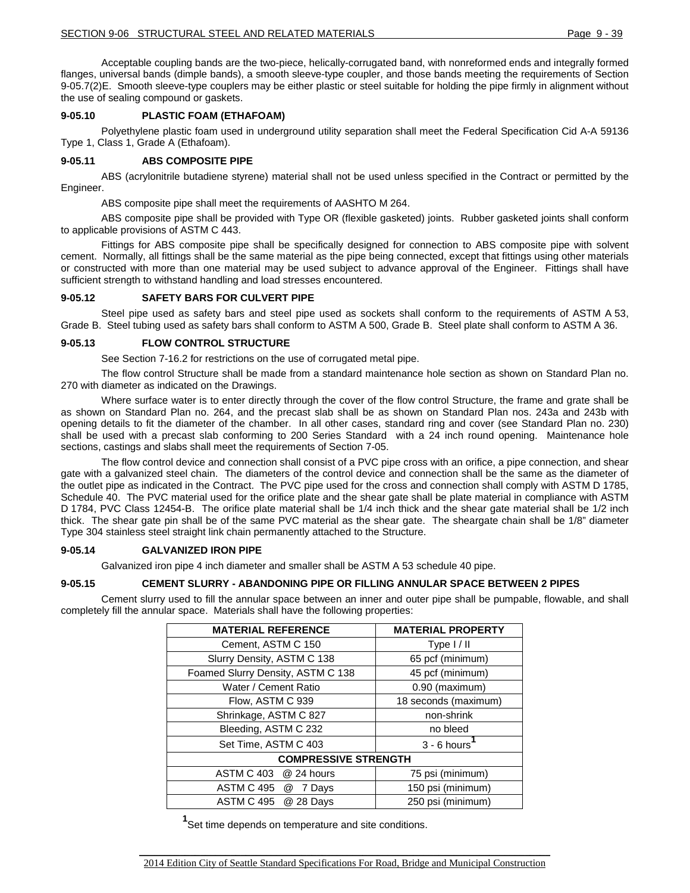Acceptable coupling bands are the two-piece, helically-corrugated band, with nonreformed ends and integrally formed flanges, universal bands (dimple bands), a smooth sleeve-type coupler, and those bands meeting the requirements of Section 9-05.7(2)E. Smooth sleeve-type couplers may be either plastic or steel suitable for holding the pipe firmly in alignment without the use of sealing compound or gaskets.

### **9-05.10 PLASTIC FOAM (ETHAFOAM)**

Polyethylene plastic foam used in underground utility separation shall meet the Federal Specification Cid A-A 59136 Type 1, Class 1, Grade A (Ethafoam).

### **9-05.11 ABS COMPOSITE PIPE**

ABS (acrylonitrile butadiene styrene) material shall not be used unless specified in the Contract or permitted by the Engineer.

ABS composite pipe shall meet the requirements of AASHTO M 264.

ABS composite pipe shall be provided with Type OR (flexible gasketed) joints. Rubber gasketed joints shall conform to applicable provisions of ASTM C 443.

Fittings for ABS composite pipe shall be specifically designed for connection to ABS composite pipe with solvent cement. Normally, all fittings shall be the same material as the pipe being connected, except that fittings using other materials or constructed with more than one material may be used subject to advance approval of the Engineer. Fittings shall have sufficient strength to withstand handling and load stresses encountered.

### **9-05.12 SAFETY BARS FOR CULVERT PIPE**

Steel pipe used as safety bars and steel pipe used as sockets shall conform to the requirements of ASTM A 53, Grade B. Steel tubing used as safety bars shall conform to ASTM A 500, Grade B. Steel plate shall conform to ASTM A 36.

### **9-05.13 FLOW CONTROL STRUCTURE**

See Section 7-16.2 for restrictions on the use of corrugated metal pipe.

The flow control Structure shall be made from a standard maintenance hole section as shown on Standard Plan no. 270 with diameter as indicated on the Drawings.

Where surface water is to enter directly through the cover of the flow control Structure, the frame and grate shall be as shown on Standard Plan no. 264, and the precast slab shall be as shown on Standard Plan nos. 243a and 243b with opening details to fit the diameter of the chamber. In all other cases, standard ring and cover (see Standard Plan no. 230) shall be used with a precast slab conforming to 200 Series Standard with a 24 inch round opening. Maintenance hole sections, castings and slabs shall meet the requirements of Section 7-05.

The flow control device and connection shall consist of a PVC pipe cross with an orifice, a pipe connection, and shear gate with a galvanized steel chain. The diameters of the control device and connection shall be the same as the diameter of the outlet pipe as indicated in the Contract. The PVC pipe used for the cross and connection shall comply with ASTM D 1785, Schedule 40. The PVC material used for the orifice plate and the shear gate shall be plate material in compliance with ASTM D 1784, PVC Class 12454-B. The orifice plate material shall be 1/4 inch thick and the shear gate material shall be 1/2 inch thick. The shear gate pin shall be of the same PVC material as the shear gate. The sheargate chain shall be 1/8" diameter Type 304 stainless steel straight link chain permanently attached to the Structure.

#### **9-05.14 GALVANIZED IRON PIPE**

Galvanized iron pipe 4 inch diameter and smaller shall be ASTM A 53 schedule 40 pipe.

#### **9-05.15 CEMENT SLURRY - ABANDONING PIPE OR FILLING ANNULAR SPACE BETWEEN 2 PIPES**

Cement slurry used to fill the annular space between an inner and outer pipe shall be pumpable, flowable, and shall completely fill the annular space. Materials shall have the following properties:

| <b>MATERIAL REFERENCE</b>         | <b>MATERIAL PROPERTY</b> |  |  |
|-----------------------------------|--------------------------|--|--|
| Cement, ASTM C 150                | Type $1/11$              |  |  |
| Slurry Density, ASTM C 138        | 65 pcf (minimum)         |  |  |
| Foamed Slurry Density, ASTM C 138 | 45 pcf (minimum)         |  |  |
| Water / Cement Ratio              | 0.90 (maximum)           |  |  |
| Flow, ASTM C 939                  | 18 seconds (maximum)     |  |  |
| Shrinkage, ASTM C 827             | non-shrink               |  |  |
| Bleeding, ASTM C 232              | no bleed                 |  |  |
| Set Time, ASTM C 403              | $3 - 6$ hours            |  |  |
| <b>COMPRESSIVE STRENGTH</b>       |                          |  |  |
| ASTM C 403 @ 24 hours             | 75 psi (minimum)         |  |  |
| ASTM C 495<br>@<br>7 Days         | 150 psi (minimum)        |  |  |
| <b>ASTM C 495</b><br>@ 28 Days    | 250 psi (minimum)        |  |  |

**1** Set time depends on temperature and site conditions.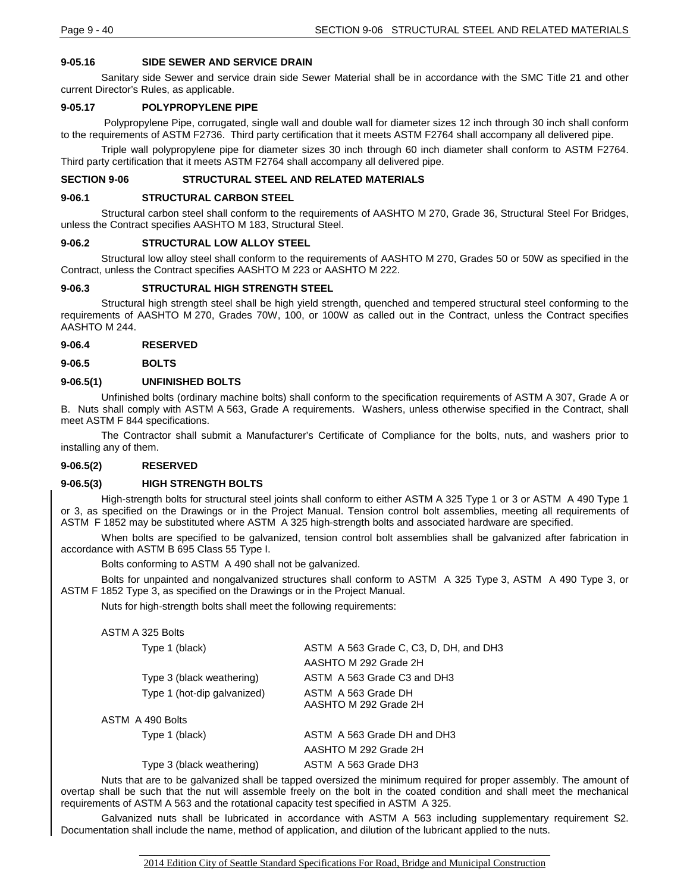### **9-05.16 SIDE SEWER AND SERVICE DRAIN**

Sanitary side Sewer and service drain side Sewer Material shall be in accordance with the SMC Title 21 and other current Director's Rules, as applicable.

#### **9-05.17 POLYPROPYLENE PIPE**

Polypropylene Pipe, corrugated, single wall and double wall for diameter sizes 12 inch through 30 inch shall conform to the requirements of ASTM F2736. Third party certification that it meets ASTM F2764 shall accompany all delivered pipe.

Triple wall polypropylene pipe for diameter sizes 30 inch through 60 inch diameter shall conform to ASTM F2764. Third party certification that it meets ASTM F2764 shall accompany all delivered pipe.

### **SECTION 9-06 STRUCTURAL STEEL AND RELATED MATERIALS**

#### **9-06.1 STRUCTURAL CARBON STEEL**

Structural carbon steel shall conform to the requirements of AASHTO M 270, Grade 36, Structural Steel For Bridges, unless the Contract specifies AASHTO M 183, Structural Steel.

#### **9-06.2 STRUCTURAL LOW ALLOY STEEL**

Structural low alloy steel shall conform to the requirements of AASHTO M 270, Grades 50 or 50W as specified in the Contract, unless the Contract specifies AASHTO M 223 or AASHTO M 222.

#### **9-06.3 STRUCTURAL HIGH STRENGTH STEEL**

Structural high strength steel shall be high yield strength, quenched and tempered structural steel conforming to the requirements of AASHTO M 270, Grades 70W, 100, or 100W as called out in the Contract, unless the Contract specifies AASHTO M 244.

#### **9-06.4 RESERVED**

**9-06.5 BOLTS**

## **9-06.5(1) UNFINISHED BOLTS**

Unfinished bolts (ordinary machine bolts) shall conform to the specification requirements of ASTM A 307, Grade A or B. Nuts shall comply with ASTM A 563, Grade A requirements. Washers, unless otherwise specified in the Contract, shall meet ASTM F 844 specifications.

The Contractor shall submit a Manufacturer's Certificate of Compliance for the bolts, nuts, and washers prior to installing any of them.

### **9-06.5(2) RESERVED**

#### **9-06.5(3) HIGH STRENGTH BOLTS**

High-strength bolts for structural steel joints shall conform to either ASTM A 325 Type 1 or 3 or ASTM A 490 Type 1 or 3, as specified on the Drawings or in the Project Manual. Tension control bolt assemblies, meeting all requirements of ASTM F 1852 may be substituted where ASTM A 325 high-strength bolts and associated hardware are specified.

When bolts are specified to be galvanized, tension control bolt assemblies shall be galvanized after fabrication in accordance with ASTM B 695 Class 55 Type I.

Bolts conforming to ASTM A 490 shall not be galvanized.

Bolts for unpainted and nongalvanized structures shall conform to ASTM A 325 Type 3, ASTM A 490 Type 3, or ASTM F 1852 Type 3, as specified on the Drawings or in the Project Manual.

Nuts for high-strength bolts shall meet the following requirements:

#### ASTM A 325 Bolts

| Type 1 (black)              | ASTM A 563 Grade C, C3, D, DH, and DH3       |
|-----------------------------|----------------------------------------------|
|                             | AASHTO M 292 Grade 2H                        |
| Type 3 (black weathering)   | ASTM A 563 Grade C3 and DH3                  |
| Type 1 (hot-dip galvanized) | ASTM A 563 Grade DH<br>AASHTO M 292 Grade 2H |
| ASTM A 490 Bolts            |                                              |
| Type 1 (black)              | ASTM A 563 Grade DH and DH3                  |
|                             | AASHTO M 292 Grade 2H                        |
| Type 3 (black weathering)   | ASTM A 563 Grade DH3                         |

Nuts that are to be galvanized shall be tapped oversized the minimum required for proper assembly. The amount of overtap shall be such that the nut will assemble freely on the bolt in the coated condition and shall meet the mechanical requirements of ASTM A 563 and the rotational capacity test specified in ASTM A 325.

Galvanized nuts shall be lubricated in accordance with ASTM A 563 including supplementary requirement S2. Documentation shall include the name, method of application, and dilution of the lubricant applied to the nuts.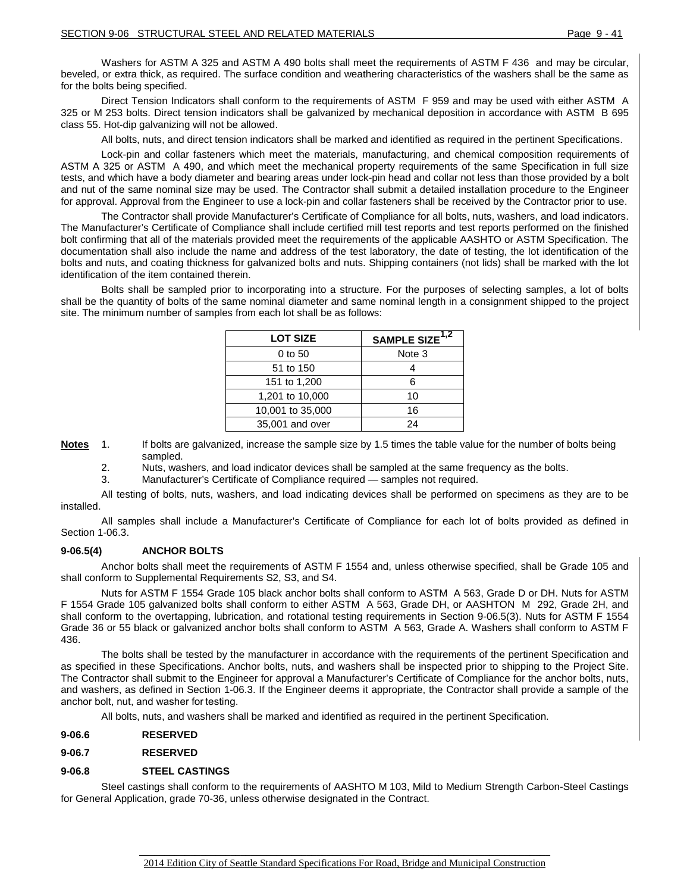Washers for ASTM A 325 and ASTM A 490 bolts shall meet the requirements of ASTM F 436 and may be circular, beveled, or extra thick, as required. The surface condition and weathering characteristics of the washers shall be the same as for the bolts being specified.

Direct Tension Indicators shall conform to the requirements of ASTM F 959 and may be used with either ASTM A 325 or M 253 bolts. Direct tension indicators shall be galvanized by mechanical deposition in accordance with ASTM B 695 class 55. Hot-dip galvanizing will not be allowed.

All bolts, nuts, and direct tension indicators shall be marked and identified as required in the pertinent Specifications.

Lock-pin and collar fasteners which meet the materials, manufacturing, and chemical composition requirements of ASTM A 325 or ASTM A 490, and which meet the mechanical property requirements of the same Specification in full size tests, and which have a body diameter and bearing areas under lock-pin head and collar not less than those provided by a bolt and nut of the same nominal size may be used. The Contractor shall submit a detailed installation procedure to the Engineer for approval. Approval from the Engineer to use a lock-pin and collar fasteners shall be received by the Contractor prior to use.

The Contractor shall provide Manufacturer's Certificate of Compliance for all bolts, nuts, washers, and load indicators. The Manufacturer's Certificate of Compliance shall include certified mill test reports and test reports performed on the finished bolt confirming that all of the materials provided meet the requirements of the applicable AASHTO or ASTM Specification. The documentation shall also include the name and address of the test laboratory, the date of testing, the lot identification of the bolts and nuts, and coating thickness for galvanized bolts and nuts. Shipping containers (not lids) shall be marked with the lot identification of the item contained therein.

Bolts shall be sampled prior to incorporating into a structure. For the purposes of selecting samples, a lot of bolts shall be the quantity of bolts of the same nominal diameter and same nominal length in a consignment shipped to the project site. The minimum number of samples from each lot shall be as follows:

| <b>LOT SIZE</b>  | SAMPLE SIZE <sup>1,2</sup> |
|------------------|----------------------------|
| 0 to 50          | Note 3                     |
| 51 to 150        |                            |
| 151 to 1,200     | 6                          |
| 1,201 to 10,000  | 10                         |
| 10,001 to 35,000 | 16                         |
| 35,001 and over  | 24                         |

**Notes** 1. If bolts are galvanized, increase the sample size by 1.5 times the table value for the number of bolts being sampled.

2. Nuts, washers, and load indicator devices shall be sampled at the same frequency as the bolts.

3. Manufacturer's Certificate of Compliance required — samples not required.

All testing of bolts, nuts, washers, and load indicating devices shall be performed on specimens as they are to be installed.

All samples shall include a Manufacturer's Certificate of Compliance for each lot of bolts provided as defined in Section 1-06.3.

### **9-06.5(4) ANCHOR BOLTS**

Anchor bolts shall meet the requirements of ASTM F 1554 and, unless otherwise specified, shall be Grade 105 and shall conform to Supplemental Requirements S2, S3, and S4.

Nuts for ASTM F 1554 Grade 105 black anchor bolts shall conform to ASTM A 563, Grade D or DH. Nuts for ASTM F 1554 Grade 105 galvanized bolts shall conform to either ASTM A 563, Grade DH, or AASHTON M 292, Grade 2H, and shall conform to the overtapping, lubrication, and rotational testing requirements in Section 9-06.5(3). Nuts for ASTM F 1554 Grade 36 or 55 black or galvanized anchor bolts shall conform to ASTM A 563, Grade A. Washers shall conform to ASTM F 436.

The bolts shall be tested by the manufacturer in accordance with the requirements of the pertinent Specification and as specified in these Specifications. Anchor bolts, nuts, and washers shall be inspected prior to shipping to the Project Site. The Contractor shall submit to the Engineer for approval a Manufacturer's Certificate of Compliance for the anchor bolts, nuts, and washers, as defined in Section 1-06.3. If the Engineer deems it appropriate, the Contractor shall provide a sample of the anchor bolt, nut, and washer for testing.

All bolts, nuts, and washers shall be marked and identified as required in the pertinent Specification.

#### **9-06.6 RESERVED**

### **9-06.7 RESERVED**

### **9-06.8 STEEL CASTINGS**

Steel castings shall conform to the requirements of AASHTO M 103, Mild to Medium Strength Carbon-Steel Castings for General Application, grade 70-36, unless otherwise designated in the Contract.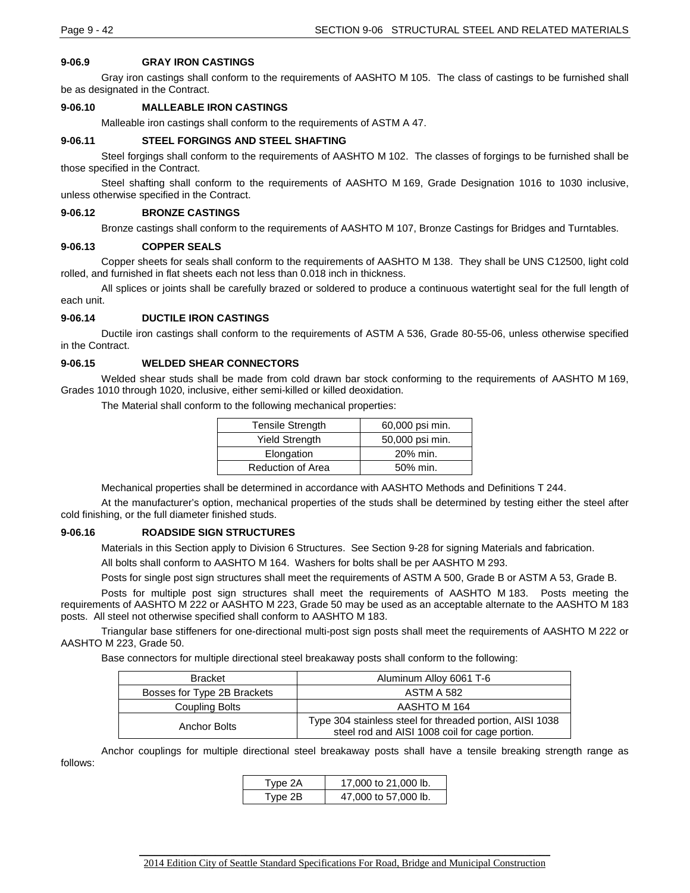### **9-06.9 GRAY IRON CASTINGS**

Gray iron castings shall conform to the requirements of AASHTO M 105. The class of castings to be furnished shall be as designated in the Contract.

### **9-06.10 MALLEABLE IRON CASTINGS**

Malleable iron castings shall conform to the requirements of ASTM A 47.

### **9-06.11 STEEL FORGINGS AND STEEL SHAFTING**

Steel forgings shall conform to the requirements of AASHTO M 102. The classes of forgings to be furnished shall be those specified in the Contract.

Steel shafting shall conform to the requirements of AASHTO M 169, Grade Designation 1016 to 1030 inclusive, unless otherwise specified in the Contract.

#### **9-06.12 BRONZE CASTINGS**

Bronze castings shall conform to the requirements of AASHTO M 107, Bronze Castings for Bridges and Turntables.

#### **9-06.13 COPPER SEALS**

Copper sheets for seals shall conform to the requirements of AASHTO M 138. They shall be UNS C12500, light cold rolled, and furnished in flat sheets each not less than 0.018 inch in thickness.

All splices or joints shall be carefully brazed or soldered to produce a continuous watertight seal for the full length of each unit.

### **9-06.14 DUCTILE IRON CASTINGS**

Ductile iron castings shall conform to the requirements of ASTM A 536, Grade 80-55-06, unless otherwise specified in the Contract.

### **9-06.15 WELDED SHEAR CONNECTORS**

Welded shear studs shall be made from cold drawn bar stock conforming to the requirements of AASHTO M 169, Grades 1010 through 1020, inclusive, either semi-killed or killed deoxidation.

The Material shall conform to the following mechanical properties:

| <b>Tensile Strength</b>  | 60,000 psi min. |
|--------------------------|-----------------|
| <b>Yield Strength</b>    | 50,000 psi min. |
| Elongation               | 20% min.        |
| <b>Reduction of Area</b> | 50% min.        |

Mechanical properties shall be determined in accordance with AASHTO Methods and Definitions T 244.

At the manufacturer's option, mechanical properties of the studs shall be determined by testing either the steel after cold finishing, or the full diameter finished studs.

#### **9-06.16 ROADSIDE SIGN STRUCTURES**

Materials in this Section apply to Division 6 Structures. See Section 9-28 for signing Materials and fabrication.

All bolts shall conform to AASHTO M 164. Washers for bolts shall be per AASHTO M 293.

Posts for single post sign structures shall meet the requirements of ASTM A 500, Grade B or ASTM A 53, Grade B.

Posts for multiple post sign structures shall meet the requirements of AASHTO M 183. Posts meeting the requirements of AASHTO M 222 or AASHTO M 223, Grade 50 may be used as an acceptable alternate to the AASHTO M 183 posts. All steel not otherwise specified shall conform to AASHTO M 183.

Triangular base stiffeners for one-directional multi-post sign posts shall meet the requirements of AASHTO M 222 or AASHTO M 223, Grade 50.

Base connectors for multiple directional steel breakaway posts shall conform to the following:

| <b>Bracket</b>              | Aluminum Alloy 6061 T-6                                                                                    |  |
|-----------------------------|------------------------------------------------------------------------------------------------------------|--|
| Bosses for Type 2B Brackets | <b>ASTM A 582</b>                                                                                          |  |
| Coupling Bolts              | AASHTO M 164                                                                                               |  |
| Anchor Bolts                | Type 304 stainless steel for threaded portion, AISI 1038<br>steel rod and AISI 1008 coil for cage portion. |  |

Anchor couplings for multiple directional steel breakaway posts shall have a tensile breaking strength range as follows:

| Type 2A | 17,000 to 21,000 lb. |
|---------|----------------------|
| Type 2B | 47,000 to 57,000 lb. |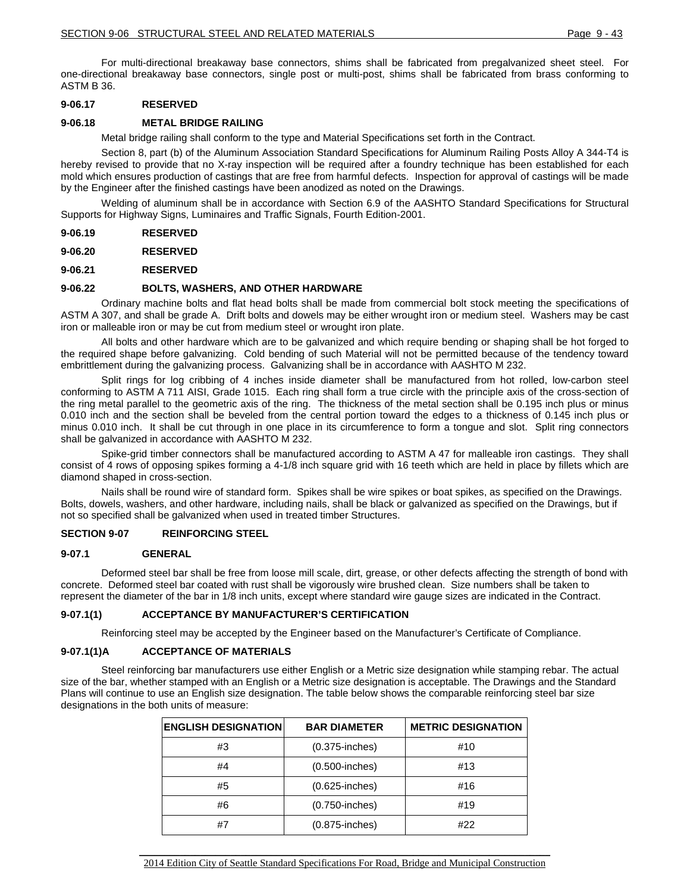For multi-directional breakaway base connectors, shims shall be fabricated from pregalvanized sheet steel. For one-directional breakaway base connectors, single post or multi-post, shims shall be fabricated from brass conforming to ASTM B 36.

### **9-06.17 RESERVED**

### **9-06.18 METAL BRIDGE RAILING**

Metal bridge railing shall conform to the type and Material Specifications set forth in the Contract.

Section 8, part (b) of the Aluminum Association Standard Specifications for Aluminum Railing Posts Alloy A 344-T4 is hereby revised to provide that no X-ray inspection will be required after a foundry technique has been established for each mold which ensures production of castings that are free from harmful defects. Inspection for approval of castings will be made by the Engineer after the finished castings have been anodized as noted on the Drawings.

Welding of aluminum shall be in accordance with Section 6.9 of the AASHTO Standard Specifications for Structural Supports for Highway Signs, Luminaires and Traffic Signals, Fourth Edition-2001.

**9-06.19 RESERVED**

**9-06.20 RESERVED**

**9-06.21 RESERVED**

#### **9-06.22 BOLTS, WASHERS, AND OTHER HARDWARE**

Ordinary machine bolts and flat head bolts shall be made from commercial bolt stock meeting the specifications of ASTM A 307, and shall be grade A. Drift bolts and dowels may be either wrought iron or medium steel. Washers may be cast iron or malleable iron or may be cut from medium steel or wrought iron plate.

All bolts and other hardware which are to be galvanized and which require bending or shaping shall be hot forged to the required shape before galvanizing. Cold bending of such Material will not be permitted because of the tendency toward embrittlement during the galvanizing process. Galvanizing shall be in accordance with AASHTO M 232.

Split rings for log cribbing of 4 inches inside diameter shall be manufactured from hot rolled, low-carbon steel conforming to ASTM A 711 AISI, Grade 1015. Each ring shall form a true circle with the principle axis of the cross-section of the ring metal parallel to the geometric axis of the ring. The thickness of the metal section shall be 0.195 inch plus or minus 0.010 inch and the section shall be beveled from the central portion toward the edges to a thickness of 0.145 inch plus or minus 0.010 inch. It shall be cut through in one place in its circumference to form a tongue and slot. Split ring connectors shall be galvanized in accordance with AASHTO M 232.

Spike-grid timber connectors shall be manufactured according to ASTM A 47 for malleable iron castings. They shall consist of 4 rows of opposing spikes forming a 4-1/8 inch square grid with 16 teeth which are held in place by fillets which are diamond shaped in cross-section.

Nails shall be round wire of standard form. Spikes shall be wire spikes or boat spikes, as specified on the Drawings. Bolts, dowels, washers, and other hardware, including nails, shall be black or galvanized as specified on the Drawings, but if not so specified shall be galvanized when used in treated timber Structures.

### **SECTION 9-07 REINFORCING STEEL**

#### **9-07.1 GENERAL**

Deformed steel bar shall be free from loose mill scale, dirt, grease, or other defects affecting the strength of bond with concrete. Deformed steel bar coated with rust shall be vigorously wire brushed clean. Size numbers shall be taken to represent the diameter of the bar in 1/8 inch units, except where standard wire gauge sizes are indicated in the Contract.

#### **9-07.1(1) ACCEPTANCE BY MANUFACTURER'S CERTIFICATION**

Reinforcing steel may be accepted by the Engineer based on the Manufacturer's Certificate of Compliance.

#### **9-07.1(1)A ACCEPTANCE OF MATERIALS**

Steel reinforcing bar manufacturers use either English or a Metric size designation while stamping rebar. The actual size of the bar, whether stamped with an English or a Metric size designation is acceptable. The Drawings and the Standard Plans will continue to use an English size designation. The table below shows the comparable reinforcing steel bar size designations in the both units of measure:

| <b>ENGLISH DESIGNATION</b> | <b>BAR DIAMETER</b> | <b>METRIC DESIGNATION</b> |
|----------------------------|---------------------|---------------------------|
| #3                         | $(0.375$ -inches)   | #10                       |
| #4                         | $(0.500$ -inches)   | #13                       |
| #5                         | $(0.625$ -inches)   | #16                       |
| #6                         | $(0.750$ -inches)   | #19                       |
| #7                         | $(0.875$ -inches)   | #22                       |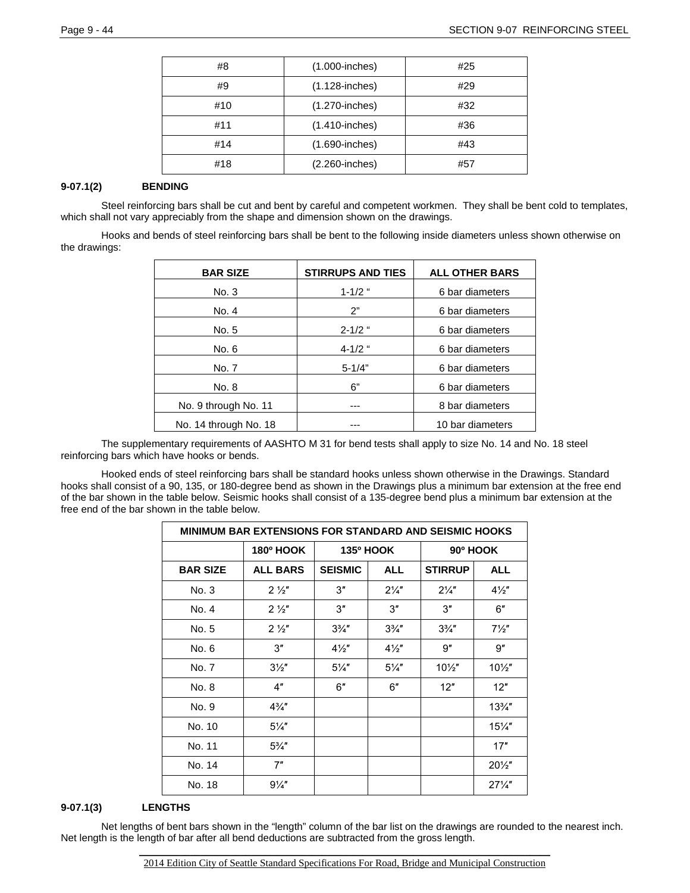| #8  | $(1.000$ -inches) | #25 |
|-----|-------------------|-----|
| #9  | $(1.128$ -inches) | #29 |
| #10 | $(1.270$ -inches) | #32 |
| #11 | $(1.410$ -inches) | #36 |
| #14 | $(1.690$ -inches) | #43 |
| #18 | (2.260-inches)    | #57 |

## **9-07.1(2) BENDING**

Steel reinforcing bars shall be cut and bent by careful and competent workmen. They shall be bent cold to templates, which shall not vary appreciably from the shape and dimension shown on the drawings.

Hooks and bends of steel reinforcing bars shall be bent to the following inside diameters unless shown otherwise on the drawings:

| <b>BAR SIZE</b>       | <b>STIRRUPS AND TIES</b> | <b>ALL OTHER BARS</b> |
|-----------------------|--------------------------|-----------------------|
| No. 3                 | $1 - 1/2$ "              | 6 bar diameters       |
| No. 4                 | 2"                       | 6 bar diameters       |
| No. 5                 | $2 - 1/2$ "              | 6 bar diameters       |
| No. 6                 | $4 - 1/2$ "              | 6 bar diameters       |
| No. 7                 | $5 - 1/4"$               | 6 bar diameters       |
| No. 8                 | 6"                       | 6 bar diameters       |
| No. 9 through No. 11  |                          | 8 bar diameters       |
| No. 14 through No. 18 |                          | 10 bar diameters      |

The supplementary requirements of AASHTO M 31 for bend tests shall apply to size No. 14 and No. 18 steel reinforcing bars which have hooks or bends.

Hooked ends of steel reinforcing bars shall be standard hooks unless shown otherwise in the Drawings. Standard hooks shall consist of a 90, 135, or 180-degree bend as shown in the Drawings plus a minimum bar extension at the free end of the bar shown in the table below. Seismic hooks shall consist of a 135-degree bend plus a minimum bar extension at the free end of the bar shown in the table below.

| <b>MINIMUM BAR EXTENSIONS FOR STANDARD AND SEISMIC HOOKS</b> |                  |                  |                |                  |                 |
|--------------------------------------------------------------|------------------|------------------|----------------|------------------|-----------------|
|                                                              | <b>180º HOOK</b> | <b>135º HOOK</b> |                | 90° HOOK         |                 |
| <b>BAR SIZE</b>                                              | <b>ALL BARS</b>  | <b>SEISMIC</b>   | <b>ALL</b>     | <b>STIRRUP</b>   | <b>ALL</b>      |
| No. 3                                                        | $2\frac{1}{2}$   | 3"               | $2\frac{1}{4}$ | $2\frac{1}{4}$   | $4\frac{1}{2}$  |
| No. 4                                                        | $2\frac{1}{2}$   | 3"               | 3"             | 3"               | 6"              |
| No. 5                                                        | $2\frac{1}{2}$   | $3\frac{3}{4}$   | $3\frac{3}{4}$ | $3\frac{3}{4}$ " | $7\frac{1}{2}$  |
| No. 6                                                        | 3"               | $4\frac{1}{2}$   | $4\frac{1}{2}$ | 9''              | 9''             |
| No. 7                                                        | $3\frac{1}{2}$   | $5\frac{1}{4}$   | $5\frac{1}{4}$ | $10\frac{1}{2}$  | $10\frac{1}{2}$ |
| No. 8                                                        | 4"               | 6"               | 6"             | 12"              | 12"             |
| No. 9                                                        | $4\frac{3}{4}$ " |                  |                |                  | $13\frac{3}{4}$ |
| No. 10                                                       | $5\frac{1}{4}$   |                  |                |                  | $15\frac{1}{4}$ |
| No. 11                                                       | $5\frac{3}{4}$ " |                  |                |                  | 17"             |
| No. 14                                                       | 7"               |                  |                |                  | $20\frac{1}{2}$ |
| No. 18                                                       | $9\frac{1}{4}$   |                  |                |                  | $27\frac{1}{4}$ |

## **9-07.1(3) LENGTHS**

Net lengths of bent bars shown in the "length" column of the bar list on the drawings are rounded to the nearest inch. Net length is the length of bar after all bend deductions are subtracted from the gross length.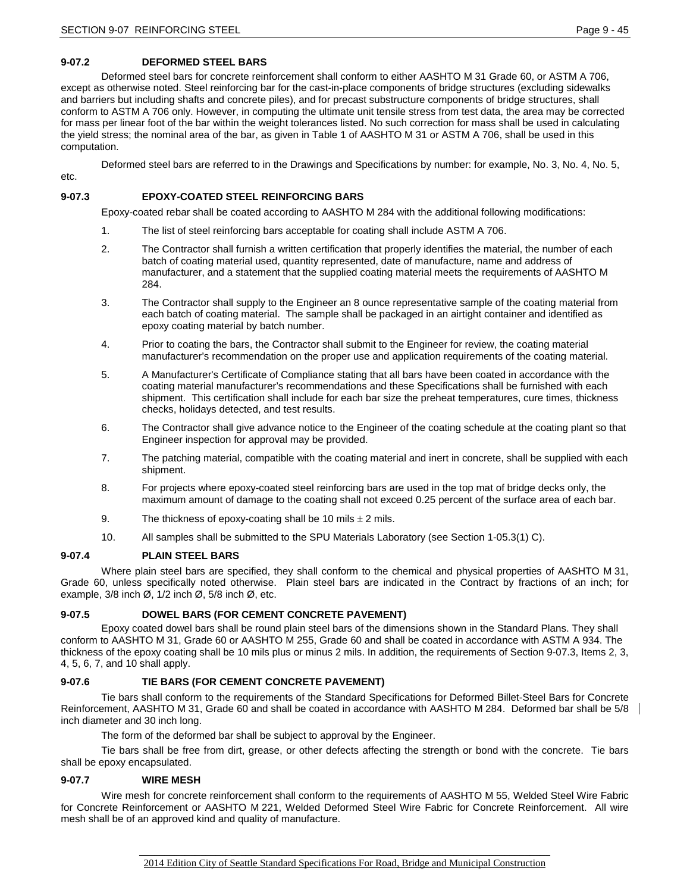etc.

## **9-07.2 DEFORMED STEEL BARS**

Deformed steel bars for concrete reinforcement shall conform to either AASHTO M 31 Grade 60, or ASTM A 706, except as otherwise noted. Steel reinforcing bar for the cast-in-place components of bridge structures (excluding sidewalks and barriers but including shafts and concrete piles), and for precast substructure components of bridge structures, shall conform to ASTM A 706 only. However, in computing the ultimate unit tensile stress from test data, the area may be corrected for mass per linear foot of the bar within the weight tolerances listed. No such correction for mass shall be used in calculating the yield stress; the nominal area of the bar, as given in Table 1 of AASHTO M 31 or ASTM A 706, shall be used in this computation.

Deformed steel bars are referred to in the Drawings and Specifications by number: for example, No. 3, No. 4, No. 5,

# **9-07.3 EPOXY-COATED STEEL REINFORCING BARS**

Epoxy-coated rebar shall be coated according to AASHTO M 284 with the additional following modifications:

- 1. The list of steel reinforcing bars acceptable for coating shall include ASTM A 706.
- 2. The Contractor shall furnish a written certification that properly identifies the material, the number of each batch of coating material used, quantity represented, date of manufacture, name and address of manufacturer, and a statement that the supplied coating material meets the requirements of AASHTO M 284.
- 3. The Contractor shall supply to the Engineer an 8 ounce representative sample of the coating material from each batch of coating material. The sample shall be packaged in an airtight container and identified as epoxy coating material by batch number.
- 4. Prior to coating the bars, the Contractor shall submit to the Engineer for review, the coating material manufacturer's recommendation on the proper use and application requirements of the coating material.
- 5. A Manufacturer's Certificate of Compliance stating that all bars have been coated in accordance with the coating material manufacturer's recommendations and these Specifications shall be furnished with each shipment. This certification shall include for each bar size the preheat temperatures, cure times, thickness checks, holidays detected, and test results.
- 6. The Contractor shall give advance notice to the Engineer of the coating schedule at the coating plant so that Engineer inspection for approval may be provided.
- 7. The patching material, compatible with the coating material and inert in concrete, shall be supplied with each shipment.
- 8. For projects where epoxy-coated steel reinforcing bars are used in the top mat of bridge decks only, the maximum amount of damage to the coating shall not exceed 0.25 percent of the surface area of each bar.
- 9. The thickness of epoxy-coating shall be 10 mils  $\pm$  2 mils.
- 10. All samples shall be submitted to the SPU Materials Laboratory (see Section 1-05.3(1) C).

### **9-07.4 PLAIN STEEL BARS**

Where plain steel bars are specified, they shall conform to the chemical and physical properties of AASHTO M 31, Grade 60, unless specifically noted otherwise. Plain steel bars are indicated in the Contract by fractions of an inch; for example, 3/8 inch Ø, 1/2 inch Ø, 5/8 inch Ø, etc.

## **9-07.5 DOWEL BARS (FOR CEMENT CONCRETE PAVEMENT)**

Epoxy coated dowel bars shall be round plain steel bars of the dimensions shown in the Standard Plans. They shall conform to AASHTO M 31, Grade 60 or AASHTO M 255, Grade 60 and shall be coated in accordance with ASTM A 934. The thickness of the epoxy coating shall be 10 mils plus or minus 2 mils. In addition, the requirements of Section 9-07.3, Items 2, 3, 4, 5, 6, 7, and 10 shall apply.

## **9-07.6 TIE BARS (FOR CEMENT CONCRETE PAVEMENT)**

Tie bars shall conform to the requirements of the Standard Specifications for Deformed Billet-Steel Bars for Concrete Reinforcement, AASHTO M 31, Grade 60 and shall be coated in accordance with AASHTO M 284. Deformed bar shall be 5/8 inch diameter and 30 inch long.

The form of the deformed bar shall be subject to approval by the Engineer.

Tie bars shall be free from dirt, grease, or other defects affecting the strength or bond with the concrete. Tie bars shall be epoxy encapsulated.

### **9-07.7 WIRE MESH**

Wire mesh for concrete reinforcement shall conform to the requirements of AASHTO M 55, Welded Steel Wire Fabric for Concrete Reinforcement or AASHTO M 221, Welded Deformed Steel Wire Fabric for Concrete Reinforcement. All wire mesh shall be of an approved kind and quality of manufacture.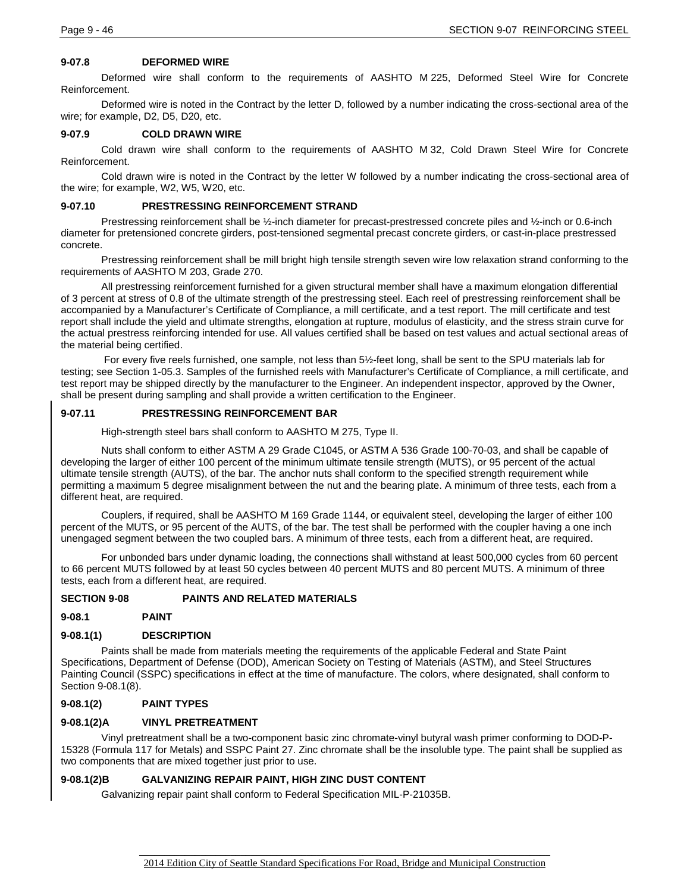### **9-07.8 DEFORMED WIRE**

Deformed wire shall conform to the requirements of AASHTO M 225, Deformed Steel Wire for Concrete Reinforcement.

Deformed wire is noted in the Contract by the letter D, followed by a number indicating the cross-sectional area of the wire; for example, D2, D5, D20, etc.

### **9-07.9 COLD DRAWN WIRE**

Cold drawn wire shall conform to the requirements of AASHTO M 32, Cold Drawn Steel Wire for Concrete Reinforcement.

Cold drawn wire is noted in the Contract by the letter W followed by a number indicating the cross-sectional area of the wire; for example, W2, W5, W20, etc.

### **9-07.10 PRESTRESSING REINFORCEMENT STRAND**

Prestressing reinforcement shall be ½-inch diameter for precast-prestressed concrete piles and ½-inch or 0.6-inch diameter for pretensioned concrete girders, post-tensioned segmental precast concrete girders, or cast-in-place prestressed concrete.

Prestressing reinforcement shall be mill bright high tensile strength seven wire low relaxation strand conforming to the requirements of AASHTO M 203, Grade 270.

All prestressing reinforcement furnished for a given structural member shall have a maximum elongation differential of 3 percent at stress of 0.8 of the ultimate strength of the prestressing steel. Each reel of prestressing reinforcement shall be accompanied by a Manufacturer's Certificate of Compliance, a mill certificate, and a test report. The mill certificate and test report shall include the yield and ultimate strengths, elongation at rupture, modulus of elasticity, and the stress strain curve for the actual prestress reinforcing intended for use. All values certified shall be based on test values and actual sectional areas of the material being certified.

For every five reels furnished, one sample, not less than 5½-feet long, shall be sent to the SPU materials lab for testing; see Section 1-05.3. Samples of the furnished reels with Manufacturer's Certificate of Compliance, a mill certificate, and test report may be shipped directly by the manufacturer to the Engineer. An independent inspector, approved by the Owner, shall be present during sampling and shall provide a written certification to the Engineer.

### **9-07.11 PRESTRESSING REINFORCEMENT BAR**

High-strength steel bars shall conform to AASHTO M 275, Type II.

Nuts shall conform to either ASTM A 29 Grade C1045, or ASTM A 536 Grade 100-70-03, and shall be capable of developing the larger of either 100 percent of the minimum ultimate tensile strength (MUTS), or 95 percent of the actual ultimate tensile strength (AUTS), of the bar. The anchor nuts shall conform to the specified strength requirement while permitting a maximum 5 degree misalignment between the nut and the bearing plate. A minimum of three tests, each from a different heat, are required.

Couplers, if required, shall be AASHTO M 169 Grade 1144, or equivalent steel, developing the larger of either 100 percent of the MUTS, or 95 percent of the AUTS, of the bar. The test shall be performed with the coupler having a one inch unengaged segment between the two coupled bars. A minimum of three tests, each from a different heat, are required.

For unbonded bars under dynamic loading, the connections shall withstand at least 500,000 cycles from 60 percent to 66 percent MUTS followed by at least 50 cycles between 40 percent MUTS and 80 percent MUTS. A minimum of three tests, each from a different heat, are required.

### **SECTION 9-08 PAINTS AND RELATED MATERIALS**

### **9-08.1 PAINT**

### **9-08.1(1) DESCRIPTION**

Paints shall be made from materials meeting the requirements of the applicable Federal and State Paint Specifications, Department of Defense (DOD), American Society on Testing of Materials (ASTM), and Steel Structures Painting Council (SSPC) specifications in effect at the time of manufacture. The colors, where designated, shall conform to Section 9-08.1(8).

### **9-08.1(2) PAINT TYPES**

### **9-08.1(2)A VINYL PRETREATMENT**

Vinyl pretreatment shall be a two-component basic zinc chromate-vinyl butyral wash primer conforming to DOD-P-15328 (Formula 117 for Metals) and SSPC Paint 27. Zinc chromate shall be the insoluble type. The paint shall be supplied as two components that are mixed together just prior to use.

### **9-08.1(2)B GALVANIZING REPAIR PAINT, HIGH ZINC DUST CONTENT**

Galvanizing repair paint shall conform to Federal Specification MIL-P-21035B.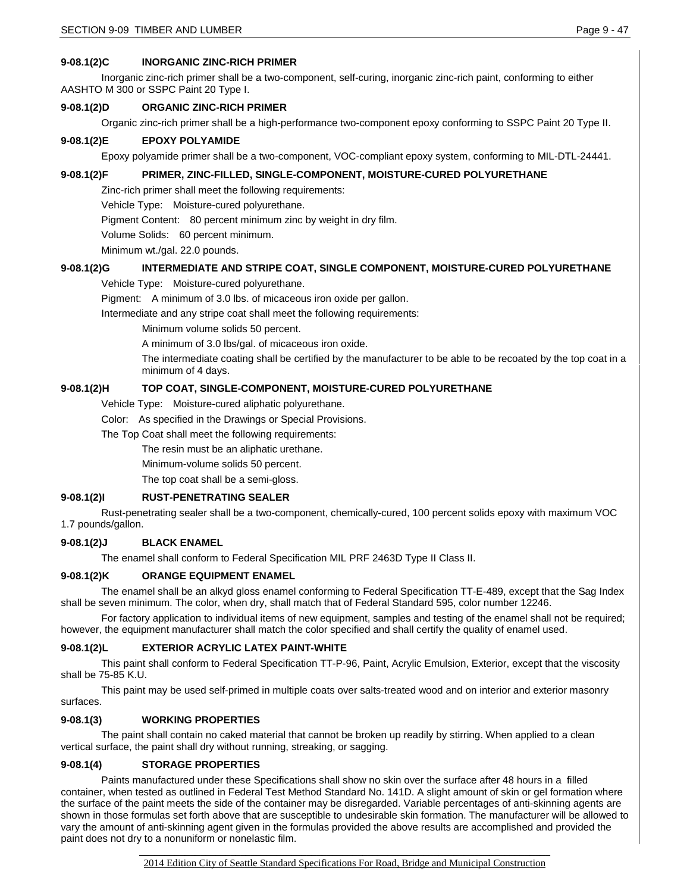## **9-08.1(2)C INORGANIC ZINC-RICH PRIMER**

Inorganic zinc-rich primer shall be a two-component, self-curing, inorganic zinc-rich paint, conforming to either AASHTO M 300 or SSPC Paint 20 Type I.

## **9-08.1(2)D ORGANIC ZINC-RICH PRIMER**

Organic zinc-rich primer shall be a high-performance two-component epoxy conforming to SSPC Paint 20 Type II.

### **9-08.1(2)E EPOXY POLYAMIDE**

Epoxy polyamide primer shall be a two-component, VOC-compliant epoxy system, conforming to MIL-DTL-24441.

## **9-08.1(2)F PRIMER, ZINC-FILLED, SINGLE-COMPONENT, MOISTURE-CURED POLYURETHANE**

Zinc-rich primer shall meet the following requirements:

Vehicle Type: Moisture-cured polyurethane.

Pigment Content: 80 percent minimum zinc by weight in dry film.

Volume Solids: 60 percent minimum.

Minimum wt./gal. 22.0 pounds.

### **9-08.1(2)G INTERMEDIATE AND STRIPE COAT, SINGLE COMPONENT, MOISTURE-CURED POLYURETHANE**

Vehicle Type: Moisture-cured polyurethane.

Pigment: A minimum of 3.0 lbs. of micaceous iron oxide per gallon.

Intermediate and any stripe coat shall meet the following requirements:

Minimum volume solids 50 percent.

A minimum of 3.0 lbs/gal. of micaceous iron oxide.

The intermediate coating shall be certified by the manufacturer to be able to be recoated by the top coat in a minimum of 4 days.

### **9-08.1(2)H TOP COAT, SINGLE-COMPONENT, MOISTURE-CURED POLYURETHANE**

Vehicle Type: Moisture-cured aliphatic polyurethane.

Color: As specified in the Drawings or Special Provisions.

The Top Coat shall meet the following requirements:

The resin must be an aliphatic urethane.

Minimum-volume solids 50 percent.

The top coat shall be a semi-gloss.

### **9-08.1(2)I RUST-PENETRATING SEALER**

Rust-penetrating sealer shall be a two-component, chemically-cured, 100 percent solids epoxy with maximum VOC 1.7 pounds/gallon.

### **9-08.1(2)J BLACK ENAMEL**

The enamel shall conform to Federal Specification MIL PRF 2463D Type II Class II.

### **9-08.1(2)K ORANGE EQUIPMENT ENAMEL**

The enamel shall be an alkyd gloss enamel conforming to Federal Specification TT-E-489, except that the Sag Index shall be seven minimum. The color, when dry, shall match that of Federal Standard 595, color number 12246.

For factory application to individual items of new equipment, samples and testing of the enamel shall not be required; however, the equipment manufacturer shall match the color specified and shall certify the quality of enamel used.

### **9-08.1(2)L EXTERIOR ACRYLIC LATEX PAINT-WHITE**

This paint shall conform to Federal Specification TT-P-96, Paint, Acrylic Emulsion, Exterior, except that the viscosity shall be 75-85 K.U.

This paint may be used self-primed in multiple coats over salts-treated wood and on interior and exterior masonry surfaces.

### **9-08.1(3) WORKING PROPERTIES**

The paint shall contain no caked material that cannot be broken up readily by stirring. When applied to a clean vertical surface, the paint shall dry without running, streaking, or sagging.

### **9-08.1(4) STORAGE PROPERTIES**

Paints manufactured under these Specifications shall show no skin over the surface after 48 hours in a filled container, when tested as outlined in Federal Test Method Standard No. 141D. A slight amount of skin or gel formation where the surface of the paint meets the side of the container may be disregarded. Variable percentages of anti-skinning agents are shown in those formulas set forth above that are susceptible to undesirable skin formation. The manufacturer will be allowed to vary the amount of anti-skinning agent given in the formulas provided the above results are accomplished and provided the paint does not dry to a nonuniform or nonelastic film.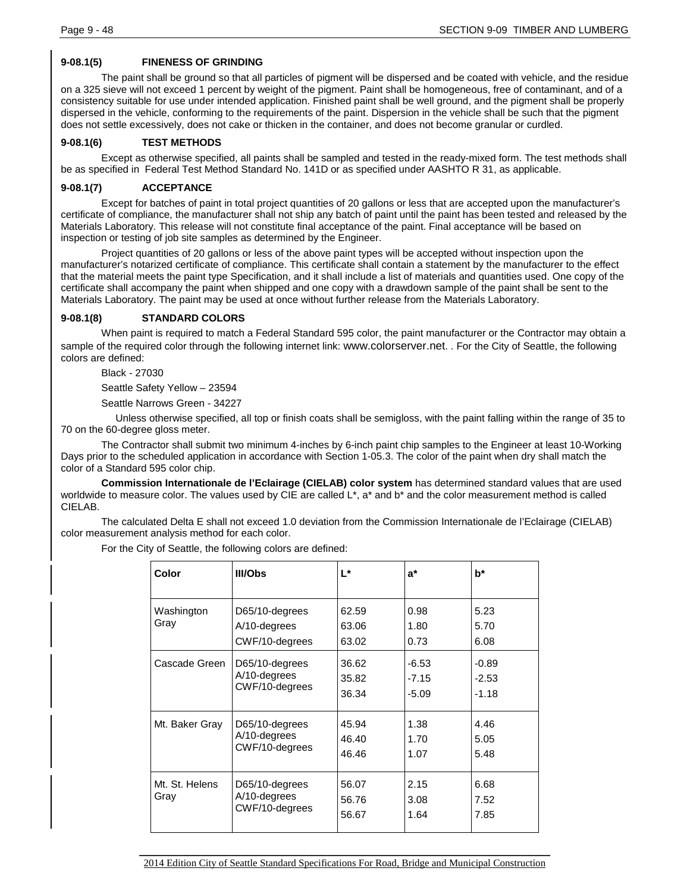## **9-08.1(5) FINENESS OF GRINDING**

The paint shall be ground so that all particles of pigment will be dispersed and be coated with vehicle, and the residue on a 325 sieve will not exceed 1 percent by weight of the pigment. Paint shall be homogeneous, free of contaminant, and of a consistency suitable for use under intended application. Finished paint shall be well ground, and the pigment shall be properly dispersed in the vehicle, conforming to the requirements of the paint. Dispersion in the vehicle shall be such that the pigment does not settle excessively, does not cake or thicken in the container, and does not become granular or curdled.

## **9-08.1(6) TEST METHODS**

Except as otherwise specified, all paints shall be sampled and tested in the ready-mixed form. The test methods shall be as specified in Federal Test Method Standard No. 141D or as specified under AASHTO R 31, as applicable.

## **9-08.1(7) ACCEPTANCE**

Except for batches of paint in total project quantities of 20 gallons or less that are accepted upon the manufacturer's certificate of compliance, the manufacturer shall not ship any batch of paint until the paint has been tested and released by the Materials Laboratory. This release will not constitute final acceptance of the paint. Final acceptance will be based on inspection or testing of job site samples as determined by the Engineer.

Project quantities of 20 gallons or less of the above paint types will be accepted without inspection upon the manufacturer's notarized certificate of compliance. This certificate shall contain a statement by the manufacturer to the effect that the material meets the paint type Specification, and it shall include a list of materials and quantities used. One copy of the certificate shall accompany the paint when shipped and one copy with a drawdown sample of the paint shall be sent to the Materials Laboratory. The paint may be used at once without further release from the Materials Laboratory.

## **9-08.1(8) STANDARD COLORS**

When paint is required to match a Federal Standard 595 color, the paint manufacturer or the Contractor may obtain a sample of the required color through the following internet link[: www.colorserver.net.](http://www.colorserver.net/) . For the City of Seattle, the following colors are defined:

Black - 27030

Seattle Safety Yellow – 23594

Seattle Narrows Green - 34227

 Unless otherwise specified, all top or finish coats shall be semigloss, with the paint falling within the range of 35 to 70 on the 60-degree gloss meter.

The Contractor shall submit two minimum 4-inches by 6-inch paint chip samples to the Engineer at least 10-Working Days prior to the scheduled application in accordance with Section 1-05.3. The color of the paint when dry shall match the color of a Standard 595 color chip.

**Commission Internationale de l'Eclairage (CIELAB) color system** has determined standard values that are used worldwide to measure color. The values used by CIE are called L<sup>\*</sup>, a<sup>\*</sup> and b<sup>\*</sup> and the color measurement method is called CIELAB.

The calculated Delta E shall not exceed 1.0 deviation from the Commission Internationale de l'Eclairage (CIELAB) color measurement analysis method for each color.

For the City of Seattle, the following colors are defined:

| Color                  | III/Obs                                             | L*                      | $a^*$                         | $b^*$                         |
|------------------------|-----------------------------------------------------|-------------------------|-------------------------------|-------------------------------|
| Washington<br>Gray     | D65/10-degrees<br>$A/10$ -degrees<br>CWF/10-degrees | 62.59<br>63.06<br>63.02 | 0.98<br>1.80<br>0.73          | 5.23<br>5.70<br>6.08          |
| Cascade Green          | D65/10-degrees<br>$A/10$ -degrees<br>CWF/10-degrees | 36.62<br>35.82<br>36.34 | $-6.53$<br>$-7.15$<br>$-5.09$ | $-0.89$<br>$-2.53$<br>$-1.18$ |
| Mt. Baker Grav         | D65/10-degrees<br>A/10-degrees<br>CWF/10-degrees    | 45.94<br>46.40<br>46.46 | 1.38<br>1.70<br>1.07          | 4.46<br>5.05<br>5.48          |
| Mt. St. Helens<br>Gray | D65/10-degrees<br>A/10-degrees<br>CWF/10-degrees    | 56.07<br>56.76<br>56.67 | 2.15<br>3.08<br>1.64          | 6.68<br>7.52<br>7.85          |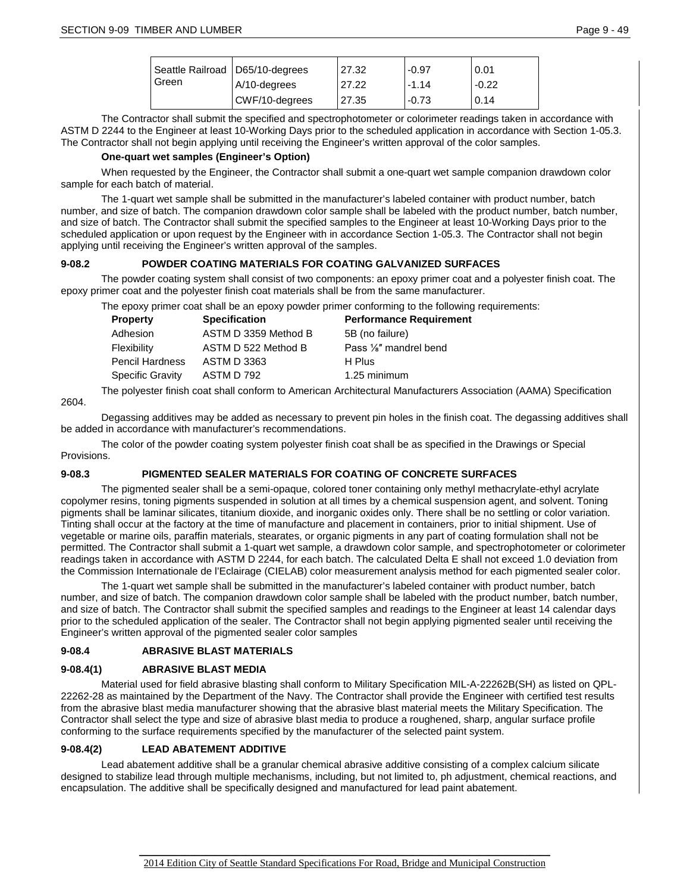| Seattle Railroad   D65/10-degrees |                | 27.32 | $-0.97$    | 0.01    |
|-----------------------------------|----------------|-------|------------|---------|
| Green                             | A/10-degrees   | 27.22 | $1 - 1.14$ | $-0.22$ |
|                                   | CWF/10-degrees | 27.35 | $-0.73$    | 0.14    |

The Contractor shall submit the specified and spectrophotometer or colorimeter readings taken in accordance with ASTM D 2244 to the Engineer at least 10-Working Days prior to the scheduled application in accordance with Section 1-05.3. The Contractor shall not begin applying until receiving the Engineer's written approval of the color samples.

### **One-quart wet samples (Engineer's Option)**

When requested by the Engineer, the Contractor shall submit a one-quart wet sample companion drawdown color sample for each batch of material.

The 1-quart wet sample shall be submitted in the manufacturer's labeled container with product number, batch number, and size of batch. The companion drawdown color sample shall be labeled with the product number, batch number, and size of batch. The Contractor shall submit the specified samples to the Engineer at least 10-Working Days prior to the scheduled application or upon request by the Engineer with in accordance Section 1-05.3. The Contractor shall not begin applying until receiving the Engineer's written approval of the samples.

### **9-08.2 POWDER COATING MATERIALS FOR COATING GALVANIZED SURFACES**

The powder coating system shall consist of two components: an epoxy primer coat and a polyester finish coat. The epoxy primer coat and the polyester finish coat materials shall be from the same manufacturer.

The epoxy primer coat shall be an epoxy powder primer conforming to the following requirements:

| Property         | <b>Specification</b> | <b>Performance Requirement</b>      |  |
|------------------|----------------------|-------------------------------------|--|
| Adhesion         | ASTM D 3359 Method B | 5B (no failure)                     |  |
| Flexibility      | ASTM D 522 Method B  | Pass 1/ <sub>8</sub> " mandrel bend |  |
| Pencil Hardness  | ASTM D 3363          | H Plus                              |  |
| Specific Gravity | ASTM D 792           | 1.25 minimum                        |  |

The polyester finish coat shall conform to American Architectural Manufacturers Association (AAMA) Specification 2604.

Degassing additives may be added as necessary to prevent pin holes in the finish coat. The degassing additives shall be added in accordance with manufacturer's recommendations.

The color of the powder coating system polyester finish coat shall be as specified in the Drawings or Special Provisions.

## **9-08.3 PIGMENTED SEALER MATERIALS FOR COATING OF CONCRETE SURFACES**

The pigmented sealer shall be a semi-opaque, colored toner containing only methyl methacrylate-ethyl acrylate copolymer resins, toning pigments suspended in solution at all times by a chemical suspension agent, and solvent. Toning pigments shall be laminar silicates, titanium dioxide, and inorganic oxides only. There shall be no settling or color variation. Tinting shall occur at the factory at the time of manufacture and placement in containers, prior to initial shipment. Use of vegetable or marine oils, paraffin materials, stearates, or organic pigments in any part of coating formulation shall not be permitted. The Contractor shall submit a 1-quart wet sample, a drawdown color sample, and spectrophotometer or colorimeter readings taken in accordance with ASTM D 2244, for each batch. The calculated Delta E shall not exceed 1.0 deviation from the Commission Internationale de l'Eclairage (CIELAB) color measurement analysis method for each pigmented sealer color.

The 1-quart wet sample shall be submitted in the manufacturer's labeled container with product number, batch number, and size of batch. The companion drawdown color sample shall be labeled with the product number, batch number, and size of batch. The Contractor shall submit the specified samples and readings to the Engineer at least 14 calendar days prior to the scheduled application of the sealer. The Contractor shall not begin applying pigmented sealer until receiving the Engineer's written approval of the pigmented sealer color samples

### **9-08.4 ABRASIVE BLAST MATERIALS**

### **9-08.4(1) ABRASIVE BLAST MEDIA**

Material used for field abrasive blasting shall conform to Military Specification MIL-A-22262B(SH) as listed on QPL-22262-28 as maintained by the Department of the Navy. The Contractor shall provide the Engineer with certified test results from the abrasive blast media manufacturer showing that the abrasive blast material meets the Military Specification. The Contractor shall select the type and size of abrasive blast media to produce a roughened, sharp, angular surface profile conforming to the surface requirements specified by the manufacturer of the selected paint system.

### **9-08.4(2) LEAD ABATEMENT ADDITIVE**

Lead abatement additive shall be a granular chemical abrasive additive consisting of a complex calcium silicate designed to stabilize lead through multiple mechanisms, including, but not limited to, ph adjustment, chemical reactions, and encapsulation. The additive shall be specifically designed and manufactured for lead paint abatement.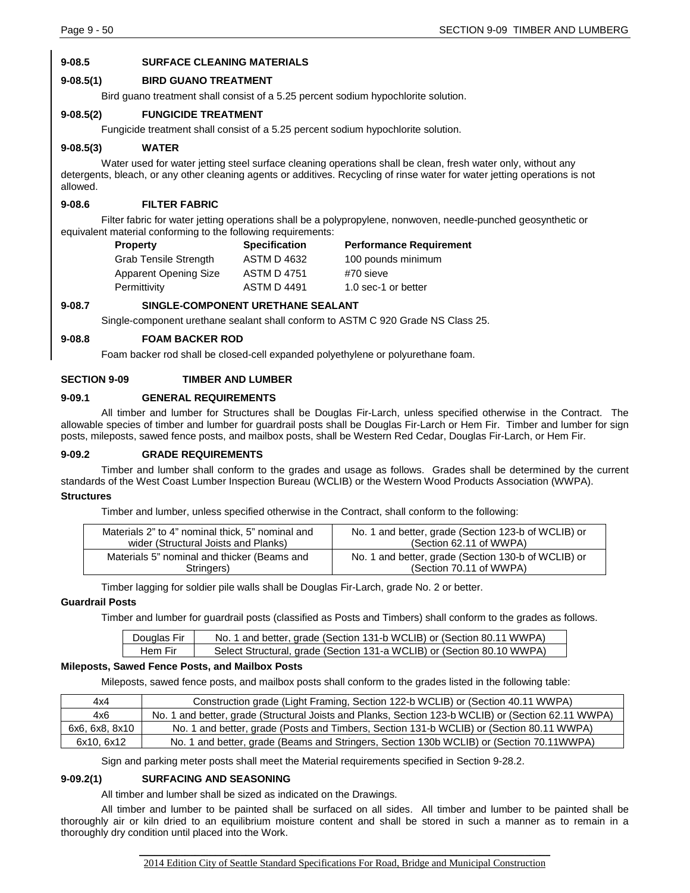## **9-08.5 SURFACE CLEANING MATERIALS**

### **9-08.5(1) BIRD GUANO TREATMENT**

Bird guano treatment shall consist of a 5.25 percent sodium hypochlorite solution.

### **9-08.5(2) FUNGICIDE TREATMENT**

Fungicide treatment shall consist of a 5.25 percent sodium hypochlorite solution.

### **9-08.5(3) WATER**

Water used for water jetting steel surface cleaning operations shall be clean, fresh water only, without any detergents, bleach, or any other cleaning agents or additives. Recycling of rinse water for water jetting operations is not allowed.

### **9-08.6 FILTER FABRIC**

Filter fabric for water jetting operations shall be a polypropylene, nonwoven, needle-punched geosynthetic or equivalent material conforming to the following requirements:

| <b>Property</b>              | <b>Specification</b> | <b>Performance Requirement</b> |
|------------------------------|----------------------|--------------------------------|
| <b>Grab Tensile Strength</b> | <b>ASTM D 4632</b>   | 100 pounds minimum             |
| <b>Apparent Opening Size</b> | <b>ASTM D 4751</b>   | #70 sieve                      |
| Permittivity                 | <b>ASTM D 4491</b>   | 1.0 sec-1 or better            |

### **9-08.7 SINGLE-COMPONENT URETHANE SEALANT**

Single-component urethane sealant shall conform to ASTM C 920 Grade NS Class 25.

### **9-08.8 FOAM BACKER ROD**

Foam backer rod shall be closed-cell expanded polyethylene or polyurethane foam.

### **SECTION 9-09 TIMBER AND LUMBER**

### **9-09.1 GENERAL REQUIREMENTS**

All timber and lumber for Structures shall be Douglas Fir-Larch, unless specified otherwise in the Contract. The allowable species of timber and lumber for guardrail posts shall be Douglas Fir-Larch or Hem Fir. Timber and lumber for sign posts, mileposts, sawed fence posts, and mailbox posts, shall be Western Red Cedar, Douglas Fir-Larch, or Hem Fir.

#### **9-09.2 GRADE REQUIREMENTS**

Timber and lumber shall conform to the grades and usage as follows. Grades shall be determined by the current standards of the West Coast Lumber Inspection Bureau (WCLIB) or the Western Wood Products Association (WWPA). **Structures**

# Timber and lumber, unless specified otherwise in the Contract, shall conform to the following:

| Materials 2" to 4" nominal thick, 5" nominal and | No. 1 and better, grade (Section 123-b of WCLIB) or |
|--------------------------------------------------|-----------------------------------------------------|
| wider (Structural Joists and Planks)             | (Section 62.11 of WWPA)                             |
| Materials 5" nominal and thicker (Beams and      | No. 1 and better, grade (Section 130-b of WCLIB) or |
| Stringers)                                       | (Section 70.11 of WWPA)                             |

Timber lagging for soldier pile walls shall be Douglas Fir-Larch, grade No. 2 or better.

#### **Guardrail Posts**

Timber and lumber for guardrail posts (classified as Posts and Timbers) shall conform to the grades as follows.

| Douglas Fir | No. 1 and better, grade (Section 131-b WCLIB) or (Section 80.11 WWPA)  |
|-------------|------------------------------------------------------------------------|
| Hem Fir     | Select Structural, grade (Section 131-a WCLIB) or (Section 80.10 WWPA) |

#### **Mileposts, Sawed Fence Posts, and Mailbox Posts**

Mileposts, sawed fence posts, and mailbox posts shall conform to the grades listed in the following table:

| 4x4            | Construction grade (Light Framing, Section 122-b WCLIB) or (Section 40.11 WWPA)                     |
|----------------|-----------------------------------------------------------------------------------------------------|
| 4x6            | No. 1 and better, grade (Structural Joists and Planks, Section 123-b WCLIB) or (Section 62.11 WWPA) |
| 6x6, 6x8, 8x10 | No. 1 and better, grade (Posts and Timbers, Section 131-b WCLIB) or (Section 80.11 WWPA)            |
| 6x10. 6x12     | No. 1 and better, grade (Beams and Stringers, Section 130b WCLIB) or (Section 70.11WWPA)            |

Sign and parking meter posts shall meet the Material requirements specified in Section 9-28.2.

### **9-09.2(1) SURFACING AND SEASONING**

All timber and lumber shall be sized as indicated on the Drawings.

All timber and lumber to be painted shall be surfaced on all sides. All timber and lumber to be painted shall be thoroughly air or kiln dried to an equilibrium moisture content and shall be stored in such a manner as to remain in a thoroughly dry condition until placed into the Work.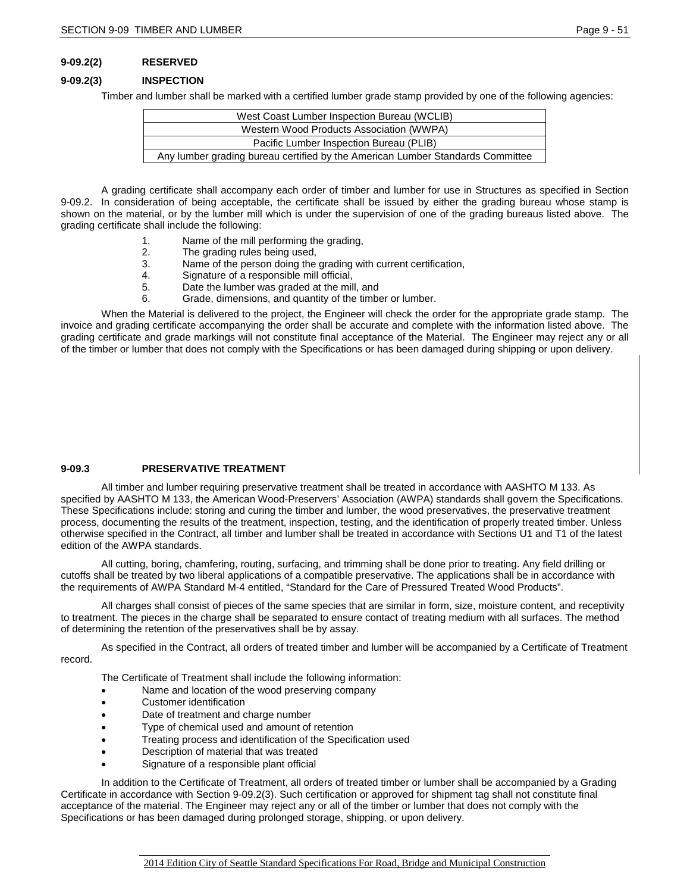## **9-09.2(2) RESERVED**

### **9-09.2(3) INSPECTION**

Timber and lumber shall be marked with a certified lumber grade stamp provided by one of the following agencies:

| West Coast Lumber Inspection Bureau (WCLIB)                                    |  |  |
|--------------------------------------------------------------------------------|--|--|
| Western Wood Products Association (WWPA)                                       |  |  |
| Pacific Lumber Inspection Bureau (PLIB)                                        |  |  |
| Any lumber grading bureau certified by the American Lumber Standards Committee |  |  |

A grading certificate shall accompany each order of timber and lumber for use in Structures as specified in Section 9-09.2. In consideration of being acceptable, the certificate shall be issued by either the grading bureau whose stamp is shown on the material, or by the lumber mill which is under the supervision of one of the grading bureaus listed above. The grading certificate shall include the following:

- 1. Name of the mill performing the grading,
- 2. The grading rules being used,<br>3. Name of the person doing the
- 3. Name of the person doing the grading with current certification,<br>4. Signature of a responsible mill official.
- 4. Signature of a responsible mill official,<br>5. Date the lumber was graded at the mil
- Date the lumber was graded at the mill, and
- 6. Grade, dimensions, and quantity of the timber or lumber.

When the Material is delivered to the project, the Engineer will check the order for the appropriate grade stamp. The invoice and grading certificate accompanying the order shall be accurate and complete with the information listed above. The grading certificate and grade markings will not constitute final acceptance of the Material. The Engineer may reject any or all of the timber or lumber that does not comply with the Specifications or has been damaged during shipping or upon delivery.

### **9-09.3 PRESERVATIVE TREATMENT**

All timber and lumber requiring preservative treatment shall be treated in accordance with AASHTO M 133. As specified by AASHTO M 133, the American Wood-Preservers' Association (AWPA) standards shall govern the Specifications. These Specifications include: storing and curing the timber and lumber, the wood preservatives, the preservative treatment process, documenting the results of the treatment, inspection, testing, and the identification of properly treated timber. Unless otherwise specified in the Contract, all timber and lumber shall be treated in accordance with Sections U1 and T1 of the latest edition of the AWPA standards.

All cutting, boring, chamfering, routing, surfacing, and trimming shall be done prior to treating. Any field drilling or cutoffs shall be treated by two liberal applications of a compatible preservative. The applications shall be in accordance with the requirements of AWPA Standard M-4 entitled, "Standard for the Care of Pressured Treated Wood Products".

All charges shall consist of pieces of the same species that are similar in form, size, moisture content, and receptivity to treatment. The pieces in the charge shall be separated to ensure contact of treating medium with all surfaces. The method of determining the retention of the preservatives shall be by assay.

As specified in the Contract, all orders of treated timber and lumber will be accompanied by a Certificate of Treatment record.

The Certificate of Treatment shall include the following information:

- Name and location of the wood preserving company
- Customer identification
- Date of treatment and charge number
- Type of chemical used and amount of retention
- Treating process and identification of the Specification used
- Description of material that was treated
- Signature of a responsible plant official

In addition to the Certificate of Treatment, all orders of treated timber or lumber shall be accompanied by a Grading Certificate in accordance with Section 9-09.2(3). Such certification or approved for shipment tag shall not constitute final acceptance of the material. The Engineer may reject any or all of the timber or lumber that does not comply with the Specifications or has been damaged during prolonged storage, shipping, or upon delivery.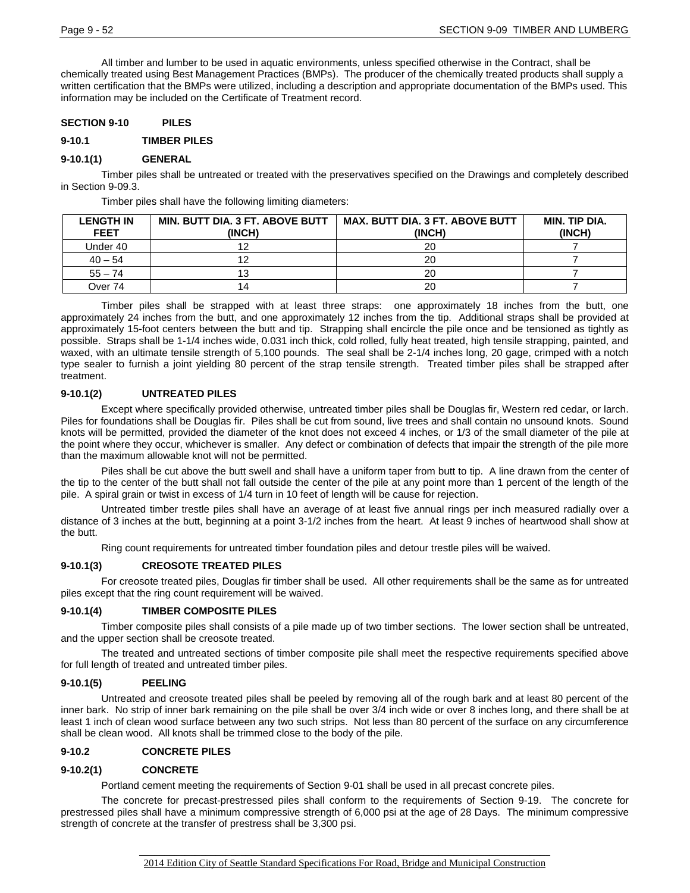All timber and lumber to be used in aquatic environments, unless specified otherwise in the Contract, shall be chemically treated using Best Management Practices (BMPs). The producer of the chemically treated products shall supply a written certification that the BMPs were utilized, including a description and appropriate documentation of the BMPs used. This information may be included on the Certificate of Treatment record.

### **SECTION 9-10 PILES**

### **9-10.1 TIMBER PILES**

### **9-10.1(1) GENERAL**

Timber piles shall be untreated or treated with the preservatives specified on the Drawings and completely described in Section 9-09.3.

Timber piles shall have the following limiting diameters:

| <b>LENGTH IN</b><br><b>FEET</b> | <b>MIN. BUTT DIA. 3 FT. ABOVE BUTT</b><br>(INCH) | <b>MAX. BUTT DIA. 3 FT. ABOVE BUTT</b><br>(INCH) | MIN. TIP DIA.<br>(INCH) |
|---------------------------------|--------------------------------------------------|--------------------------------------------------|-------------------------|
| Under 40                        |                                                  | 20                                               |                         |
| $40 - 54$                       |                                                  | 20                                               |                         |
| $55 - 74$                       | 13                                               | 20                                               |                         |
| Over 74                         | 14                                               | 20                                               |                         |

Timber piles shall be strapped with at least three straps: one approximately 18 inches from the butt, one approximately 24 inches from the butt, and one approximately 12 inches from the tip. Additional straps shall be provided at approximately 15-foot centers between the butt and tip. Strapping shall encircle the pile once and be tensioned as tightly as possible. Straps shall be 1-1/4 inches wide, 0.031 inch thick, cold rolled, fully heat treated, high tensile strapping, painted, and waxed, with an ultimate tensile strength of 5,100 pounds. The seal shall be 2-1/4 inches long, 20 gage, crimped with a notch type sealer to furnish a joint yielding 80 percent of the strap tensile strength. Treated timber piles shall be strapped after treatment.

## **9-10.1(2) UNTREATED PILES**

Except where specifically provided otherwise, untreated timber piles shall be Douglas fir, Western red cedar, or larch. Piles for foundations shall be Douglas fir. Piles shall be cut from sound, live trees and shall contain no unsound knots. Sound knots will be permitted, provided the diameter of the knot does not exceed 4 inches, or 1/3 of the small diameter of the pile at the point where they occur, whichever is smaller. Any defect or combination of defects that impair the strength of the pile more than the maximum allowable knot will not be permitted.

Piles shall be cut above the butt swell and shall have a uniform taper from butt to tip. A line drawn from the center of the tip to the center of the butt shall not fall outside the center of the pile at any point more than 1 percent of the length of the pile. A spiral grain or twist in excess of 1/4 turn in 10 feet of length will be cause for rejection.

Untreated timber trestle piles shall have an average of at least five annual rings per inch measured radially over a distance of 3 inches at the butt, beginning at a point 3-1/2 inches from the heart. At least 9 inches of heartwood shall show at the butt.

Ring count requirements for untreated timber foundation piles and detour trestle piles will be waived.

#### **9-10.1(3) CREOSOTE TREATED PILES**

For creosote treated piles, Douglas fir timber shall be used. All other requirements shall be the same as for untreated piles except that the ring count requirement will be waived.

#### **9-10.1(4) TIMBER COMPOSITE PILES**

Timber composite piles shall consists of a pile made up of two timber sections. The lower section shall be untreated, and the upper section shall be creosote treated.

The treated and untreated sections of timber composite pile shall meet the respective requirements specified above for full length of treated and untreated timber piles.

#### **9-10.1(5) PEELING**

Untreated and creosote treated piles shall be peeled by removing all of the rough bark and at least 80 percent of the inner bark. No strip of inner bark remaining on the pile shall be over 3/4 inch wide or over 8 inches long, and there shall be at least 1 inch of clean wood surface between any two such strips. Not less than 80 percent of the surface on any circumference shall be clean wood. All knots shall be trimmed close to the body of the pile.

#### **9-10.2 CONCRETE PILES**

#### **9-10.2(1) CONCRETE**

Portland cement meeting the requirements of Section 9-01 shall be used in all precast concrete piles.

The concrete for precast-prestressed piles shall conform to the requirements of Section 9-19. The concrete for prestressed piles shall have a minimum compressive strength of 6,000 psi at the age of 28 Days. The minimum compressive strength of concrete at the transfer of prestress shall be 3,300 psi.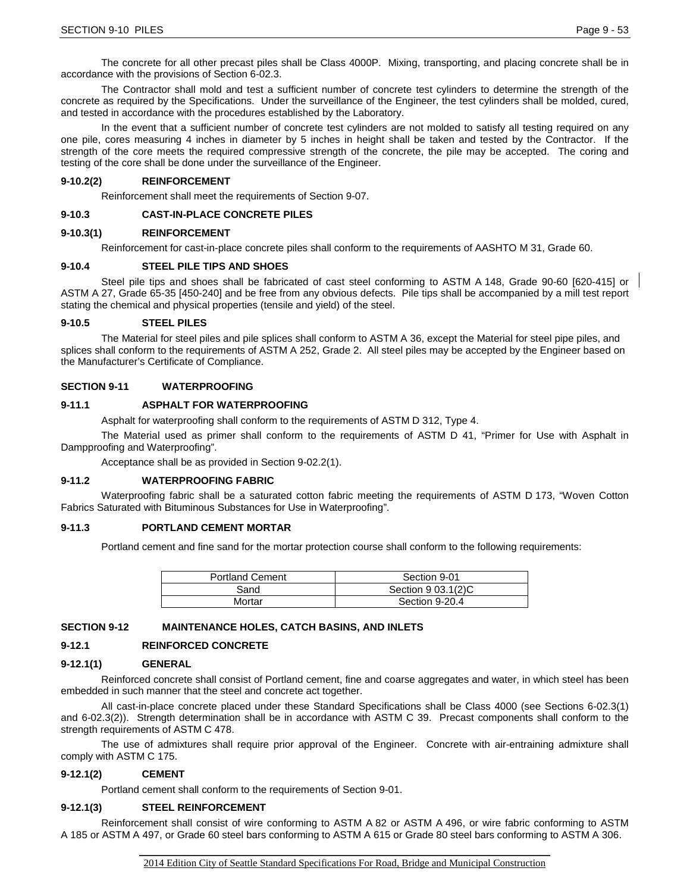The concrete for all other precast piles shall be Class 4000P. Mixing, transporting, and placing concrete shall be in accordance with the provisions of Section 6-02.3.

The Contractor shall mold and test a sufficient number of concrete test cylinders to determine the strength of the concrete as required by the Specifications. Under the surveillance of the Engineer, the test cylinders shall be molded, cured, and tested in accordance with the procedures established by the Laboratory.

In the event that a sufficient number of concrete test cylinders are not molded to satisfy all testing required on any one pile, cores measuring 4 inches in diameter by 5 inches in height shall be taken and tested by the Contractor. If the strength of the core meets the required compressive strength of the concrete, the pile may be accepted. The coring and testing of the core shall be done under the surveillance of the Engineer.

### **9-10.2(2) REINFORCEMENT**

Reinforcement shall meet the requirements of Section 9-07.

### **9-10.3 CAST-IN-PLACE CONCRETE PILES**

### **9-10.3(1) REINFORCEMENT**

Reinforcement for cast-in-place concrete piles shall conform to the requirements of AASHTO M 31, Grade 60.

### **9-10.4 STEEL PILE TIPS AND SHOES**

Steel pile tips and shoes shall be fabricated of cast steel conforming to ASTM A 148, Grade 90-60 [620-415] or ASTM A 27, Grade 65-35 [450-240] and be free from any obvious defects. Pile tips shall be accompanied by a mill test report stating the chemical and physical properties (tensile and yield) of the steel.

### **9-10.5 STEEL PILES**

The Material for steel piles and pile splices shall conform to ASTM A 36, except the Material for steel pipe piles, and splices shall conform to the requirements of ASTM A 252, Grade 2. All steel piles may be accepted by the Engineer based on the Manufacturer's Certificate of Compliance.

### **SECTION 9-11 WATERPROOFING**

### **9-11.1 ASPHALT FOR WATERPROOFING**

Asphalt for waterproofing shall conform to the requirements of ASTM D 312, Type 4.

The Material used as primer shall conform to the requirements of ASTM D 41, "Primer for Use with Asphalt in Dampproofing and Waterproofing".

Acceptance shall be as provided in Section 9-02.2(1).

#### **9-11.2 WATERPROOFING FABRIC**

Waterproofing fabric shall be a saturated cotton fabric meeting the requirements of ASTM D 173, "Woven Cotton Fabrics Saturated with Bituminous Substances for Use in Waterproofing".

#### **9-11.3 PORTLAND CEMENT MORTAR**

Portland cement and fine sand for the mortar protection course shall conform to the following requirements:

| <b>Portland Cement</b> | Section 9-01       |
|------------------------|--------------------|
| Sand                   | Section 9 03.1(2)C |
| Mortar                 | Section 9-20.4     |

#### **SECTION 9-12 MAINTENANCE HOLES, CATCH BASINS, AND INLETS**

### **9-12.1 REINFORCED CONCRETE**

#### **9-12.1(1) GENERAL**

Reinforced concrete shall consist of Portland cement, fine and coarse aggregates and water, in which steel has been embedded in such manner that the steel and concrete act together.

All cast-in-place concrete placed under these Standard Specifications shall be Class 4000 (see Sections 6-02.3(1) and 6-02.3(2)). Strength determination shall be in accordance with ASTM C 39. Precast components shall conform to the strength requirements of ASTM C 478.

The use of admixtures shall require prior approval of the Engineer. Concrete with air-entraining admixture shall comply with ASTM C 175.

#### **9-12.1(2) CEMENT**

Portland cement shall conform to the requirements of Section 9-01.

#### **9-12.1(3) STEEL REINFORCEMENT**

Reinforcement shall consist of wire conforming to ASTM A 82 or ASTM A 496, or wire fabric conforming to ASTM A 185 or ASTM A 497, or Grade 60 steel bars conforming to ASTM A 615 or Grade 80 steel bars conforming to ASTM A 306.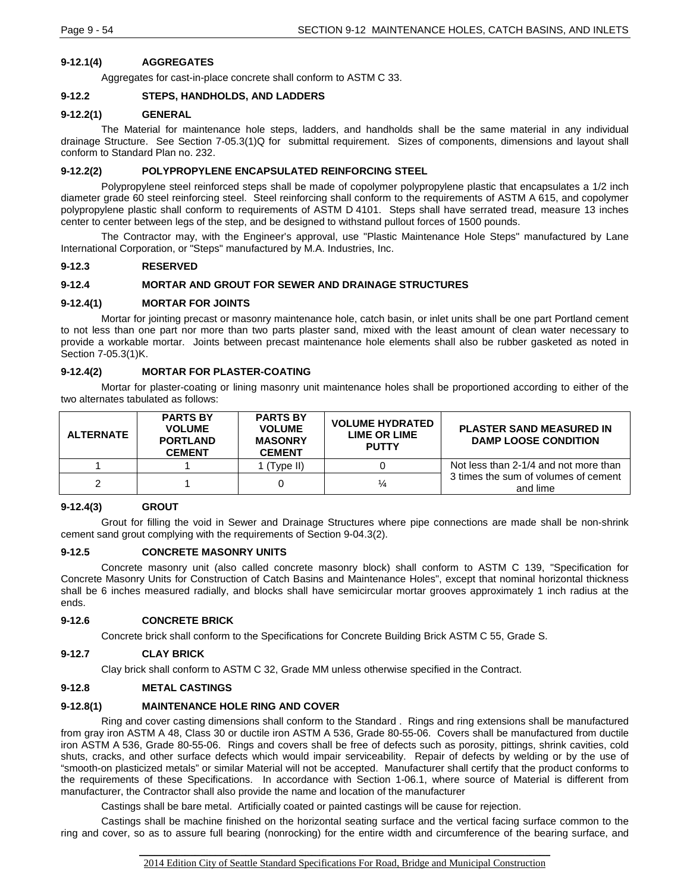### **9-12.1(4) AGGREGATES**

Aggregates for cast-in-place concrete shall conform to ASTM C 33.

## **9-12.2 STEPS, HANDHOLDS, AND LADDERS**

### **9-12.2(1) GENERAL**

The Material for maintenance hole steps, ladders, and handholds shall be the same material in any individual drainage Structure. See Section 7-05.3(1)Q for submittal requirement. Sizes of components, dimensions and layout shall conform to Standard Plan no. 232.

## **9-12.2(2) POLYPROPYLENE ENCAPSULATED REINFORCING STEEL**

Polypropylene steel reinforced steps shall be made of copolymer polypropylene plastic that encapsulates a 1/2 inch diameter grade 60 steel reinforcing steel. Steel reinforcing shall conform to the requirements of ASTM A 615, and copolymer polypropylene plastic shall conform to requirements of ASTM D 4101. Steps shall have serrated tread, measure 13 inches center to center between legs of the step, and be designed to withstand pullout forces of 1500 pounds.

The Contractor may, with the Engineer's approval, use "Plastic Maintenance Hole Steps" manufactured by Lane International Corporation, or "Steps" manufactured by M.A. Industries, Inc.

### **9-12.3 RESERVED**

### **9-12.4 MORTAR AND GROUT FOR SEWER AND DRAINAGE STRUCTURES**

### **9-12.4(1) MORTAR FOR JOINTS**

Mortar for jointing precast or masonry maintenance hole, catch basin, or inlet units shall be one part Portland cement to not less than one part nor more than two parts plaster sand, mixed with the least amount of clean water necessary to provide a workable mortar. Joints between precast maintenance hole elements shall also be rubber gasketed as noted in Section 7-05.3(1)K.

## **9-12.4(2) MORTAR FOR PLASTER-COATING**

Mortar for plaster-coating or lining masonry unit maintenance holes shall be proportioned according to either of the two alternates tabulated as follows:

| <b>ALTERNATE</b> | <b>PARTS BY</b><br><b>VOLUME</b><br><b>PORTLAND</b><br><b>CEMENT</b> | <b>PARTS BY</b><br><b>VOLUME</b><br><b>MASONRY</b><br><b>CEMENT</b> | <b>VOLUME HYDRATED</b><br>LIME OR LIME<br><b>PUTTY</b> | <b>PLASTER SAND MEASURED IN</b><br><b>DAMP LOOSE CONDITION</b> |  |
|------------------|----------------------------------------------------------------------|---------------------------------------------------------------------|--------------------------------------------------------|----------------------------------------------------------------|--|
|                  |                                                                      | (Type II)                                                           |                                                        | Not less than 2-1/4 and not more than                          |  |
|                  |                                                                      |                                                                     | ¼                                                      | 3 times the sum of volumes of cement<br>and lime               |  |

### **9-12.4(3) GROUT**

Grout for filling the void in Sewer and Drainage Structures where pipe connections are made shall be non-shrink cement sand grout complying with the requirements of Section 9-04.3(2).

### **9-12.5 CONCRETE MASONRY UNITS**

Concrete masonry unit (also called concrete masonry block) shall conform to ASTM C 139, "Specification for Concrete Masonry Units for Construction of Catch Basins and Maintenance Holes", except that nominal horizontal thickness shall be 6 inches measured radially, and blocks shall have semicircular mortar grooves approximately 1 inch radius at the ends.

### **9-12.6 CONCRETE BRICK**

Concrete brick shall conform to the Specifications for Concrete Building Brick ASTM C 55, Grade S.

### **9-12.7 CLAY BRICK**

Clay brick shall conform to ASTM C 32, Grade MM unless otherwise specified in the Contract.

### **9-12.8 METAL CASTINGS**

### **9-12.8(1) MAINTENANCE HOLE RING AND COVER**

Ring and cover casting dimensions shall conform to the Standard . Rings and ring extensions shall be manufactured from gray iron ASTM A 48, Class 30 or ductile iron ASTM A 536, Grade 80-55-06. Covers shall be manufactured from ductile iron ASTM A 536, Grade 80-55-06. Rings and covers shall be free of defects such as porosity, pittings, shrink cavities, cold shuts, cracks, and other surface defects which would impair serviceability. Repair of defects by welding or by the use of "smooth-on plasticized metals" or similar Material will not be accepted. Manufacturer shall certify that the product conforms to the requirements of these Specifications. In accordance with Section 1-06.1, where source of Material is different from manufacturer, the Contractor shall also provide the name and location of the manufacturer

Castings shall be bare metal. Artificially coated or painted castings will be cause for rejection.

Castings shall be machine finished on the horizontal seating surface and the vertical facing surface common to the ring and cover, so as to assure full bearing (nonrocking) for the entire width and circumference of the bearing surface, and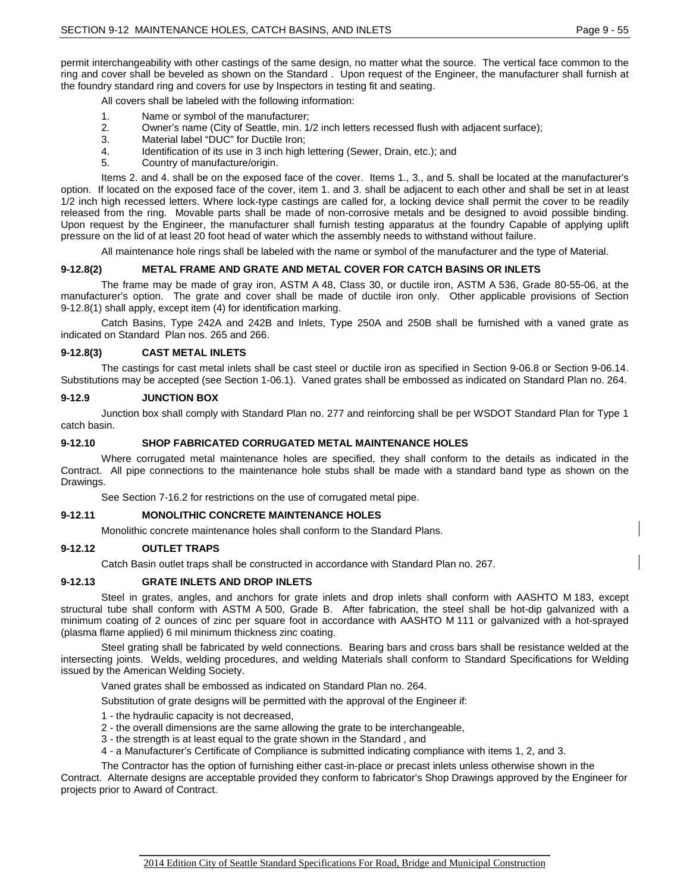permit interchangeability with other castings of the same design, no matter what the source. The vertical face common to the ring and cover shall be beveled as shown on the Standard . Upon request of the Engineer, the manufacturer shall furnish at the foundry standard ring and covers for use by Inspectors in testing fit and seating.

All covers shall be labeled with the following information:

- 1. Name or symbol of the manufacturer;
- 2. Owner's name (City of Seattle, min. 1/2 inch letters recessed flush with adjacent surface);
- 3. Material label "DUC" for Ductile Iron;
- 4. Identification of its use in 3 inch high lettering (Sewer, Drain, etc.); and
- 5. Country of manufacture/origin.

Items 2. and 4. shall be on the exposed face of the cover. Items 1., 3., and 5. shall be located at the manufacturer's option. If located on the exposed face of the cover, item 1. and 3. shall be adjacent to each other and shall be set in at least 1/2 inch high recessed letters. Where lock-type castings are called for, a locking device shall permit the cover to be readily released from the ring. Movable parts shall be made of non-corrosive metals and be designed to avoid possible binding. Upon request by the Engineer, the manufacturer shall furnish testing apparatus at the foundry Capable of applying uplift pressure on the lid of at least 20 foot head of water which the assembly needs to withstand without failure.

All maintenance hole rings shall be labeled with the name or symbol of the manufacturer and the type of Material.

### **9-12.8(2) METAL FRAME AND GRATE AND METAL COVER FOR CATCH BASINS OR INLETS**

The frame may be made of gray iron, ASTM A 48, Class 30, or ductile iron, ASTM A 536, Grade 80-55-06, at the manufacturer's option. The grate and cover shall be made of ductile iron only. Other applicable provisions of Section 9-12.8(1) shall apply, except item (4) for identification marking.

Catch Basins, Type 242A and 242B and Inlets, Type 250A and 250B shall be furnished with a vaned grate as indicated on Standard Plan nos. 265 and 266.

### **9-12.8(3) CAST METAL INLETS**

The castings for cast metal inlets shall be cast steel or ductile iron as specified in Section 9-06.8 or Section 9-06.14. Substitutions may be accepted (see Section 1-06.1). Vaned grates shall be embossed as indicated on Standard Plan no. 264.

#### **9-12.9 JUNCTION BOX**

Junction box shall comply with Standard Plan no. 277 and reinforcing shall be per WSDOT Standard Plan for Type 1 catch basin.

#### **9-12.10 SHOP FABRICATED CORRUGATED METAL MAINTENANCE HOLES**

Where corrugated metal maintenance holes are specified, they shall conform to the details as indicated in the Contract. All pipe connections to the maintenance hole stubs shall be made with a standard band type as shown on the Drawings.

See Section 7-16.2 for restrictions on the use of corrugated metal pipe.

#### **9-12.11 MONOLITHIC CONCRETE MAINTENANCE HOLES**

Monolithic concrete maintenance holes shall conform to the Standard Plans.

#### **9-12.12 OUTLET TRAPS**

Catch Basin outlet traps shall be constructed in accordance with Standard Plan no. 267.

## **9-12.13 GRATE INLETS AND DROP INLETS**

Steel in grates, angles, and anchors for grate inlets and drop inlets shall conform with AASHTO M 183, except structural tube shall conform with ASTM A 500, Grade B. After fabrication, the steel shall be hot-dip galvanized with a minimum coating of 2 ounces of zinc per square foot in accordance with AASHTO M 111 or galvanized with a hot-sprayed (plasma flame applied) 6 mil minimum thickness zinc coating.

Steel grating shall be fabricated by weld connections. Bearing bars and cross bars shall be resistance welded at the intersecting joints. Welds, welding procedures, and welding Materials shall conform to Standard Specifications for Welding issued by the American Welding Society.

Vaned grates shall be embossed as indicated on Standard Plan no. 264.

Substitution of grate designs will be permitted with the approval of the Engineer if:

1 - the hydraulic capacity is not decreased,

- 2 the overall dimensions are the same allowing the grate to be interchangeable,
- 3 the strength is at least equal to the grate shown in the Standard , and
- 4 a Manufacturer's Certificate of Compliance is submitted indicating compliance with items 1, 2, and 3.

The Contractor has the option of furnishing either cast-in-place or precast inlets unless otherwise shown in the Contract. Alternate designs are acceptable provided they conform to fabricator's Shop Drawings approved by the Engineer for projects prior to Award of Contract.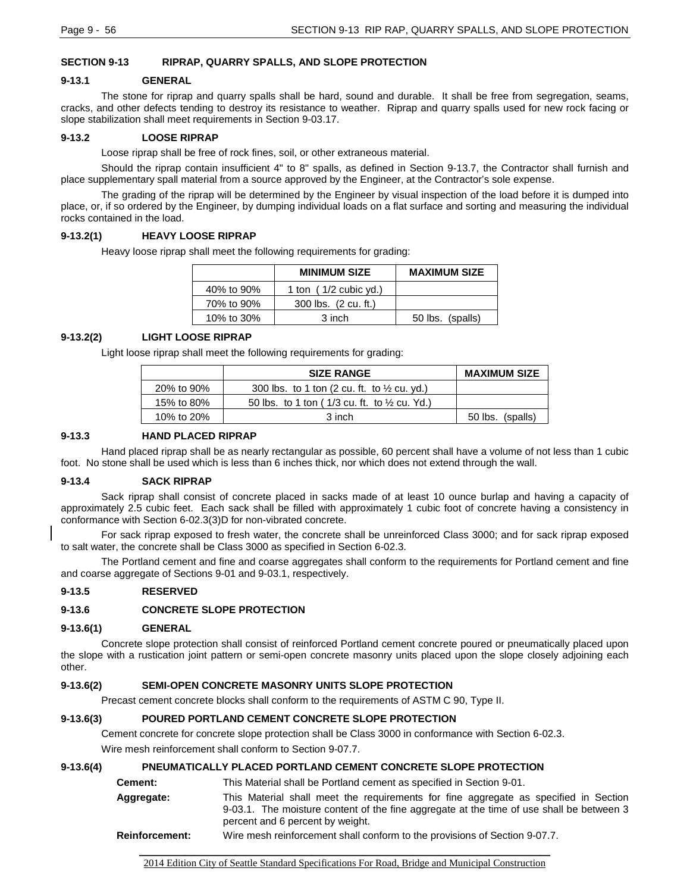## **SECTION 9-13 RIPRAP, QUARRY SPALLS, AND SLOPE PROTECTION**

### **9-13.1 GENERAL**

The stone for riprap and quarry spalls shall be hard, sound and durable. It shall be free from segregation, seams, cracks, and other defects tending to destroy its resistance to weather. Riprap and quarry spalls used for new rock facing or slope stabilization shall meet requirements in Section 9-03.17.

### **9-13.2 LOOSE RIPRAP**

Loose riprap shall be free of rock fines, soil, or other extraneous material.

Should the riprap contain insufficient 4" to 8" spalls, as defined in Section 9-13.7, the Contractor shall furnish and place supplementary spall material from a source approved by the Engineer, at the Contractor's sole expense.

The grading of the riprap will be determined by the Engineer by visual inspection of the load before it is dumped into place, or, if so ordered by the Engineer, by dumping individual loads on a flat surface and sorting and measuring the individual rocks contained in the load.

### **9-13.2(1) HEAVY LOOSE RIPRAP**

Heavy loose riprap shall meet the following requirements for grading:

|            | <b>MINIMUM SIZE</b>     | <b>MAXIMUM SIZE</b> |
|------------|-------------------------|---------------------|
| 40% to 90% | 1 ton $(1/2$ cubic yd.) |                     |
| 70% to 90% | 300 lbs. (2 cu. ft.)    |                     |
| 10% to 30% | 3 inch                  | 50 lbs. (spalls)    |

## **9-13.2(2) LIGHT LOOSE RIPRAP**

Light loose riprap shall meet the following requirements for grading:

|            | <b>SIZE RANGE</b>                                          | <b>MAXIMUM SIZE</b> |
|------------|------------------------------------------------------------|---------------------|
| 20% to 90% | 300 lbs. to 1 ton (2 cu. ft. to $\frac{1}{2}$ cu. yd.)     |                     |
| 15% to 80% | 50 lbs. to 1 ton ( $1/3$ cu. ft. to $\frac{1}{2}$ cu. Yd.) |                     |
| 10% to 20% | 3 inch                                                     | 50 lbs. (spalls)    |

### **9-13.3 HAND PLACED RIPRAP**

Hand placed riprap shall be as nearly rectangular as possible, 60 percent shall have a volume of not less than 1 cubic foot. No stone shall be used which is less than 6 inches thick, nor which does not extend through the wall.

### **9-13.4 SACK RIPRAP**

Sack riprap shall consist of concrete placed in sacks made of at least 10 ounce burlap and having a capacity of approximately 2.5 cubic feet. Each sack shall be filled with approximately 1 cubic foot of concrete having a consistency in conformance with Section 6-02.3(3)D for non-vibrated concrete.

For sack riprap exposed to fresh water, the concrete shall be unreinforced Class 3000; and for sack riprap exposed to salt water, the concrete shall be Class 3000 as specified in Section 6-02.3.

The Portland cement and fine and coarse aggregates shall conform to the requirements for Portland cement and fine and coarse aggregate of Sections 9-01 and 9-03.1, respectively.

### **9-13.5 RESERVED**

### **9-13.6 CONCRETE SLOPE PROTECTION**

### **9-13.6(1) GENERAL**

Concrete slope protection shall consist of reinforced Portland cement concrete poured or pneumatically placed upon the slope with a rustication joint pattern or semi-open concrete masonry units placed upon the slope closely adjoining each other.

### **9-13.6(2) SEMI-OPEN CONCRETE MASONRY UNITS SLOPE PROTECTION**

Precast cement concrete blocks shall conform to the requirements of ASTM C 90, Type II.

## **9-13.6(3) POURED PORTLAND CEMENT CONCRETE SLOPE PROTECTION**

Cement concrete for concrete slope protection shall be Class 3000 in conformance with Section 6-02.3.

Wire mesh reinforcement shall conform to Section 9-07.7.

## **9-13.6(4) PNEUMATICALLY PLACED PORTLAND CEMENT CONCRETE SLOPE PROTECTION**

| Cement:               | This Material shall be Portland cement as specified in Section 9-01.                                                                                                                                                 |  |
|-----------------------|----------------------------------------------------------------------------------------------------------------------------------------------------------------------------------------------------------------------|--|
| Aggregate:            | This Material shall meet the requirements for fine aggregate as specified in Section<br>9-03.1. The moisture content of the fine aggregate at the time of use shall be between 3<br>percent and 6 percent by weight. |  |
| <b>Reinforcement:</b> | Wire mesh reinforcement shall conform to the provisions of Section 9-07.7.                                                                                                                                           |  |